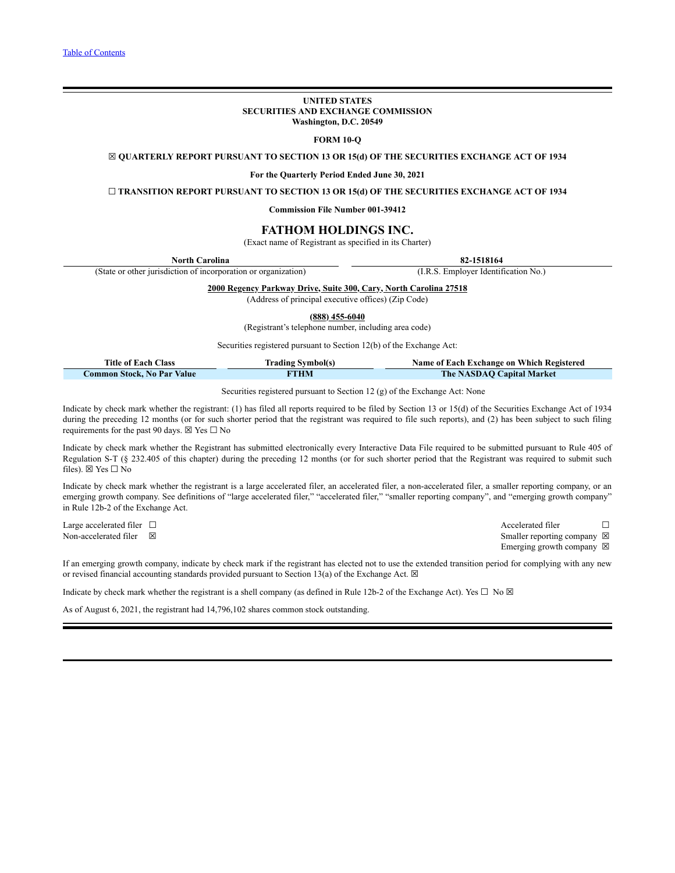## **UNITED STATES SECURITIES AND EXCHANGE COMMISSION Washington, D.C. 20549**

**FORM 10-Q**

☒ **QUARTERLY REPORT PURSUANT TO SECTION 13 OR 15(d) OF THE SECURITIES EXCHANGE ACT OF 1934**

**For the Quarterly Period Ended June 30, 2021**

☐ **TRANSITION REPORT PURSUANT TO SECTION 13 OR 15(d) OF THE SECURITIES EXCHANGE ACT OF 1934**

**Commission File Number 001-39412**

# **FATHOM HOLDINGS INC.**

(Exact name of Registrant as specified in its Charter)

**North Carolina 82-1518164**

(State or other jurisdiction of incorporation or organization) (I.R.S. Employer Identification No.)

**2000 Regency Parkway Drive, Suite 300, Cary, North Carolina 27518**

(Address of principal executive offices) (Zip Code)

**(888) 455-6040**

(Registrant's telephone number, including area code)

Securities registered pursuant to Section 12(b) of the Exchange Act:

| <b>Title of Each Class</b>        | <b>Trading Symbol(s)</b> | Name of Each Exchange on Which Registered |
|-----------------------------------|--------------------------|-------------------------------------------|
| <b>Common Stock, No Par Value</b> | <b>FTHM</b>              | The NASDAQ Capital Market                 |

Securities registered pursuant to Section 12 (g) of the Exchange Act: None

Indicate by check mark whether the registrant: (1) has filed all reports required to be filed by Section 13 or 15(d) of the Securities Exchange Act of 1934 during the preceding 12 months (or for such shorter period that the registrant was required to file such reports), and (2) has been subject to such filing requirements for the past 90 days.  $\boxtimes$  Yes  $\Box$  No

Indicate by check mark whether the Registrant has submitted electronically every Interactive Data File required to be submitted pursuant to Rule 405 of Regulation S-T (§ 232.405 of this chapter) during the preceding 12 months (or for such shorter period that the Registrant was required to submit such files). ☒ Yes ☐ No

Indicate by check mark whether the registrant is a large accelerated filer, an accelerated filer, a non-accelerated filer, a smaller reporting company, or an emerging growth company. See definitions of "large accelerated filer," "accelerated filer," "smaller reporting company", and "emerging growth company" in Rule 12b-2 of the Exchange Act.

Non-accelerated filer ⊠ Smaller reporting company ⊠

f

Large accelerated filer ☐ Accelerated filer ☐

Emerging growth company  $\boxtimes$ 

If an emerging growth company, indicate by check mark if the registrant has elected not to use the extended transition period for complying with any new or revised financial accounting standards provided pursuant to Section 13(a) of the Exchange Act.  $\boxtimes$ 

Indicate by check mark whether the registrant is a shell company (as defined in Rule 12b-2 of the Exchange Act). Yes  $\Box$  No  $\boxtimes$ 

As of August 6, 2021, the registrant had 14,796,102 shares common stock outstanding.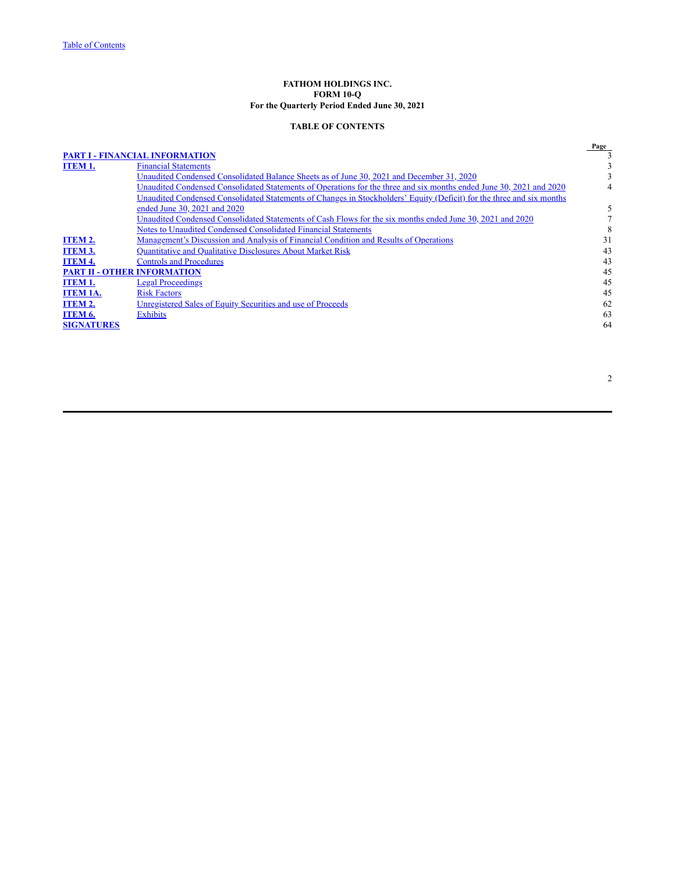## **FATHOM HOLDINGS INC. FORM 10-Q For the Quarterly Period Ended June 30, 2021**

# **TABLE OF CONTENTS**

<span id="page-1-0"></span>

|                                    |                                                                                                                       | Page |
|------------------------------------|-----------------------------------------------------------------------------------------------------------------------|------|
|                                    | <b>PART I - FINANCIAL INFORMATION</b>                                                                                 |      |
| ITEM 1.                            | <b>Financial Statements</b>                                                                                           |      |
|                                    | Unaudited Condensed Consolidated Balance Sheets as of June 30, 2021 and December 31, 2020                             |      |
|                                    | Unaudited Condensed Consolidated Statements of Operations for the three and six months ended June 30, 2021 and 2020   |      |
|                                    | Unaudited Condensed Consolidated Statements of Changes in Stockholders' Equity (Deficit) for the three and six months |      |
|                                    | ended June 30, 2021 and 2020                                                                                          |      |
|                                    | Unaudited Condensed Consolidated Statements of Cash Flows for the six months ended June 30, 2021 and 2020             |      |
|                                    | Notes to Unaudited Condensed Consolidated Financial Statements                                                        | 8    |
| ITEM 2.                            | Management's Discussion and Analysis of Financial Condition and Results of Operations                                 | 31   |
| <b>ITEM 3.</b>                     | <b>Quantitative and Qualitative Disclosures About Market Risk</b>                                                     | 43   |
| <b>ITEM 4.</b>                     | <b>Controls and Procedures</b>                                                                                        | 43   |
| <b>PART II - OTHER INFORMATION</b> |                                                                                                                       | 45   |
| <b>ITEM 1.</b>                     | <b>Legal Proceedings</b>                                                                                              | 45   |
| <b>ITEM 1A.</b>                    | <b>Risk Factors</b>                                                                                                   | 45   |
| ITEM 2.                            | Unregistered Sales of Equity Securities and use of Proceeds                                                           | 62   |
| ITEM 6.                            | <b>Exhibits</b>                                                                                                       | 63   |
| <b>SIGNATURES</b>                  |                                                                                                                       | 64   |
|                                    |                                                                                                                       |      |

2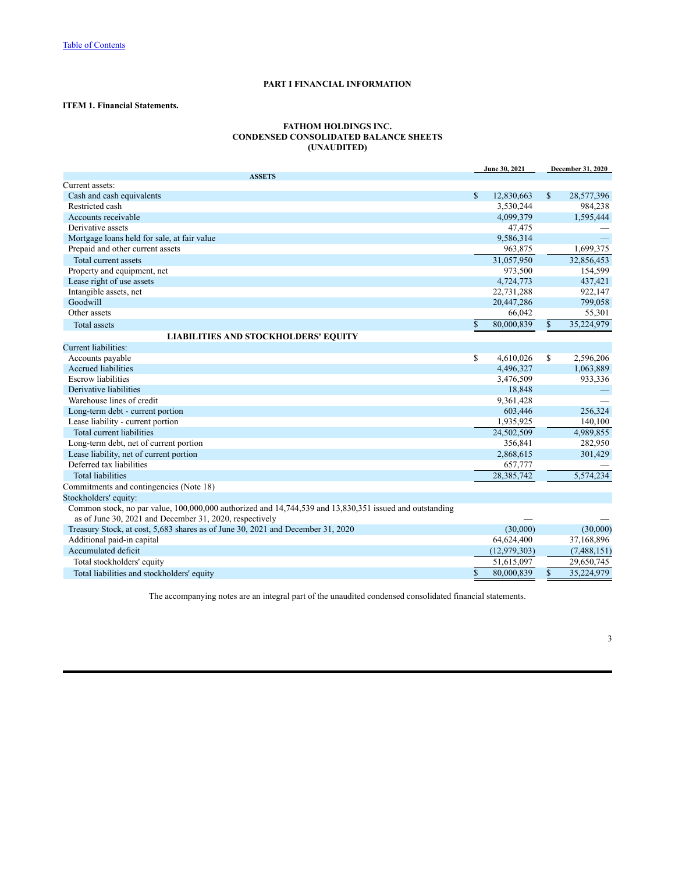# **PART I FINANCIAL INFORMATION**

# <span id="page-2-2"></span><span id="page-2-1"></span><span id="page-2-0"></span>**ITEM 1. Financial Statements.**

### **FATHOM HOLDINGS INC. CONDENSED CONSOLIDATED BALANCE SHEETS (UNAUDITED)**

|                                                                                                         | June 30, 2021 |                |              | December 31, 2020 |  |
|---------------------------------------------------------------------------------------------------------|---------------|----------------|--------------|-------------------|--|
| <b>ASSETS</b>                                                                                           |               |                |              |                   |  |
| Current assets:                                                                                         |               |                |              |                   |  |
| Cash and cash equivalents                                                                               | \$            | 12,830,663     | \$           | 28,577,396        |  |
| Restricted cash                                                                                         |               | 3,530,244      |              | 984,238           |  |
| Accounts receivable                                                                                     |               | 4,099,379      |              | 1,595,444         |  |
| Derivative assets                                                                                       |               | 47,475         |              |                   |  |
| Mortgage loans held for sale, at fair value                                                             |               | 9,586,314      |              |                   |  |
| Prepaid and other current assets                                                                        |               | 963,875        |              | 1,699,375         |  |
| Total current assets                                                                                    |               | 31,057,950     |              | 32,856,453        |  |
| Property and equipment, net                                                                             |               | 973,500        |              | 154,599           |  |
| Lease right of use assets                                                                               |               | 4,724,773      |              | 437,421           |  |
| Intangible assets, net                                                                                  |               | 22,731,288     |              | 922,147           |  |
| Goodwill                                                                                                |               | 20,447,286     |              | 799,058           |  |
| Other assets                                                                                            |               | 66,042         |              | 55,301            |  |
| <b>Total assets</b>                                                                                     | \$            | 80,000,839     | $\mathbb{S}$ | 35,224,979        |  |
| <b>LIABILITIES AND STOCKHOLDERS' EQUITY</b>                                                             |               |                |              |                   |  |
| Current liabilities:                                                                                    |               |                |              |                   |  |
| Accounts payable                                                                                        | \$            | 4,610,026      | \$           | 2,596,206         |  |
| <b>Accrued liabilities</b>                                                                              |               | 4,496,327      |              | 1,063,889         |  |
| <b>Escrow</b> liabilities                                                                               |               | 3,476,509      |              | 933,336           |  |
| Derivative liabilities                                                                                  |               | 18,848         |              |                   |  |
| Warehouse lines of credit                                                                               |               | 9,361,428      |              |                   |  |
| Long-term debt - current portion                                                                        |               | 603,446        |              | 256,324           |  |
| Lease liability - current portion                                                                       |               | 1,935,925      |              | 140,100           |  |
| Total current liabilities                                                                               |               | 24,502,509     |              | 4,989,855         |  |
| Long-term debt, net of current portion                                                                  |               | 356,841        |              | 282,950           |  |
| Lease liability, net of current portion                                                                 |               | 2,868,615      |              | 301,429           |  |
| Deferred tax liabilities                                                                                |               | 657,777        |              |                   |  |
| <b>Total liabilities</b>                                                                                |               | 28,385,742     |              | 5,574,234         |  |
| Commitments and contingencies (Note 18)                                                                 |               |                |              |                   |  |
| Stockholders' equity:                                                                                   |               |                |              |                   |  |
| Common stock, no par value, 100,000,000 authorized and 14,744,539 and 13,830,351 issued and outstanding |               |                |              |                   |  |
| as of June 30, 2021 and December 31, 2020, respectively                                                 |               |                |              |                   |  |
| Treasury Stock, at cost, 5,683 shares as of June 30, 2021 and December 31, 2020                         |               | (30,000)       |              | (30,000)          |  |
| Additional paid-in capital                                                                              |               | 64,624,400     |              | 37,168,896        |  |
| Accumulated deficit                                                                                     |               | (12, 979, 303) |              | (7,488,151)       |  |
| Total stockholders' equity                                                                              |               | 51,615,097     |              | 29,650,745        |  |
| Total liabilities and stockholders' equity                                                              | $\mathbf S$   | 80.000.839     | $\mathbf S$  | 35.224.979        |  |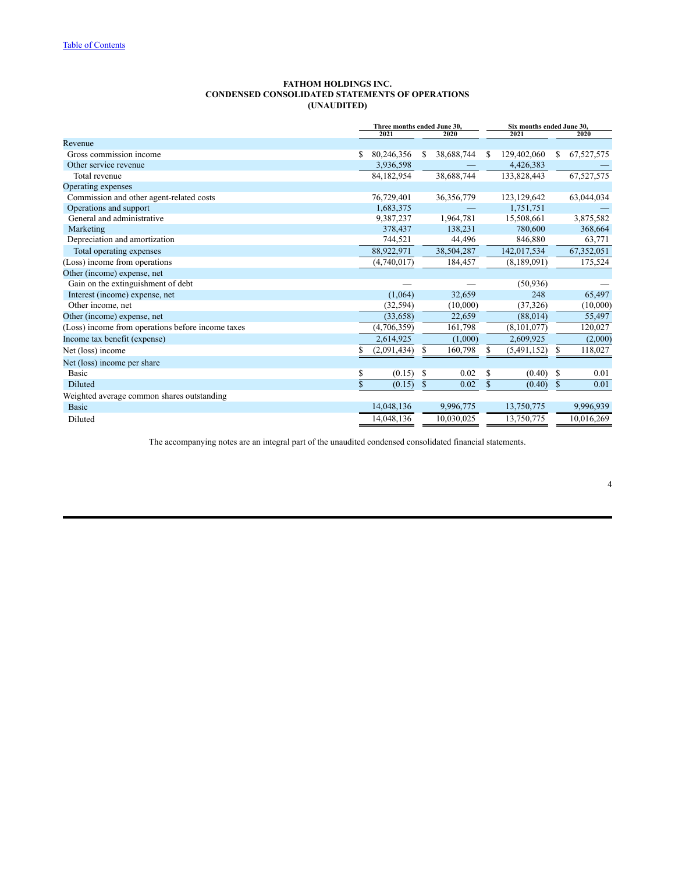## **FATHOM HOLDINGS INC. CONDENSED CONSOLIDATED STATEMENTS OF OPERATIONS (UNAUDITED)**

<span id="page-3-0"></span>

|                                                   | Three months ended June 30, |             |    |            | Six months ended June 30, |               |              |            |  |
|---------------------------------------------------|-----------------------------|-------------|----|------------|---------------------------|---------------|--------------|------------|--|
|                                                   |                             | 2021        |    | 2020       |                           | 2021          |              | 2020       |  |
| Revenue                                           |                             |             |    |            |                           |               |              |            |  |
| Gross commission income                           | S                           | 80,246,356  | S  | 38,688,744 | -S                        | 129,402,060   | S.           | 67,527,575 |  |
| Other service revenue                             |                             | 3,936,598   |    |            |                           | 4,426,383     |              |            |  |
| Total revenue                                     |                             | 84,182,954  |    | 38,688,744 |                           | 133,828,443   |              | 67,527,575 |  |
| Operating expenses                                |                             |             |    |            |                           |               |              |            |  |
| Commission and other agent-related costs          |                             | 76,729,401  |    | 36,356,779 |                           | 123,129,642   |              | 63,044,034 |  |
| Operations and support                            |                             | 1,683,375   |    |            |                           | 1,751,751     |              |            |  |
| General and administrative                        |                             | 9,387,237   |    | 1,964,781  |                           | 15,508,661    |              | 3,875,582  |  |
| Marketing                                         |                             | 378,437     |    | 138,231    |                           | 780,600       |              | 368,664    |  |
| Depreciation and amortization                     |                             | 744,521     |    | 44,496     |                           | 846,880       |              | 63,771     |  |
| Total operating expenses                          |                             | 88,922,971  |    | 38,504,287 |                           | 142,017,534   |              | 67,352,051 |  |
| (Loss) income from operations                     |                             | (4,740,017) |    | 184,457    |                           | (8,189,091)   |              | 175,524    |  |
| Other (income) expense, net                       |                             |             |    |            |                           |               |              |            |  |
| Gain on the extinguishment of debt                |                             |             |    |            |                           | (50, 936)     |              |            |  |
| Interest (income) expense, net                    |                             | (1,064)     |    | 32,659     |                           | 248           |              | 65,497     |  |
| Other income, net                                 |                             | (32, 594)   |    | (10,000)   |                           | (37, 326)     |              | (10,000)   |  |
| Other (income) expense, net                       |                             | (33, 658)   |    | 22,659     |                           | (88, 014)     |              | 55,497     |  |
| (Loss) income from operations before income taxes |                             | (4,706,359) |    | 161,798    |                           | (8, 101, 077) |              | 120,027    |  |
| Income tax benefit (expense)                      |                             | 2,614,925   |    | (1,000)    |                           | 2,609,925     |              | (2,000)    |  |
| Net (loss) income                                 |                             | (2,091,434) | \$ | 160,798    | \$                        | (5,491,152)   | S            | 118,027    |  |
| Net (loss) income per share                       |                             |             |    |            |                           |               |              |            |  |
| Basic                                             | \$                          | (0.15)      | \$ | 0.02       | S                         | (0.40)        | \$           | 0.01       |  |
| Diluted                                           | \$                          | (0.15)      | \$ | 0.02       | $\mathbb{S}$              | (0.40)        | $\mathbb{S}$ | 0.01       |  |
| Weighted average common shares outstanding        |                             |             |    |            |                           |               |              |            |  |
| <b>Basic</b>                                      |                             | 14,048,136  |    | 9,996,775  |                           | 13,750,775    |              | 9,996,939  |  |
| Diluted                                           |                             | 14,048,136  |    | 10,030,025 |                           | 13,750,775    |              | 10,016,269 |  |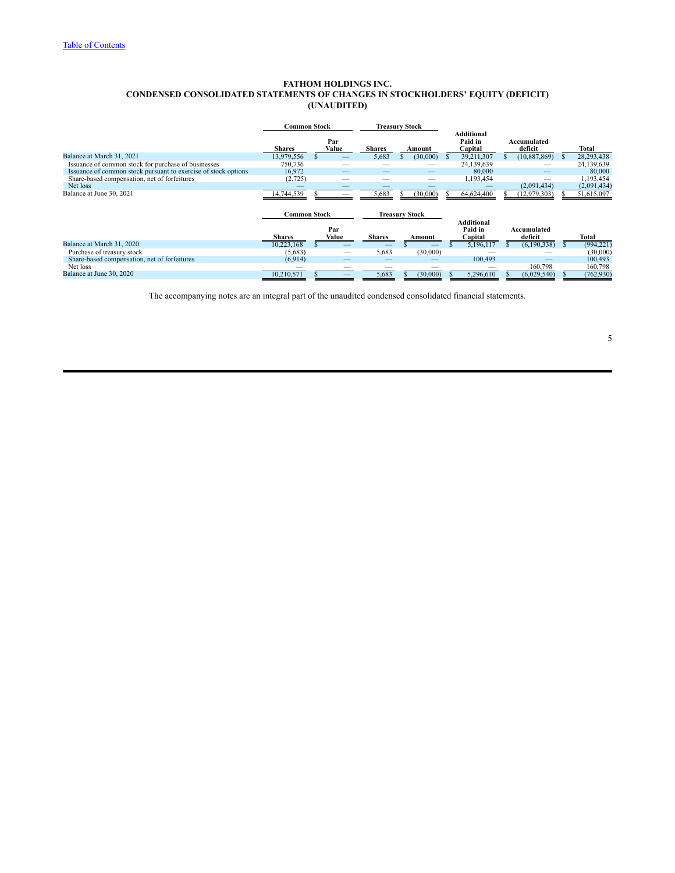## **FATHOM HOLDINGS INC. CONDENSED CONSOLIDATED STATEMENTS OF CHANGES IN STOCKHOLDERS' EQUITY (DEFICIT) (UNAUDITED)**

<span id="page-4-0"></span>

|                                                                | <b>Common Stock</b> |              |                       | <b>Treasury Stock</b> |  |                                         |                        |              |
|----------------------------------------------------------------|---------------------|--------------|-----------------------|-----------------------|--|-----------------------------------------|------------------------|--------------|
|                                                                | <b>Shares</b>       | Par<br>Value | <b>Shares</b>         | Amount                |  | Additional<br>Paid in<br>Capital        | Accumulated<br>deficit | Total        |
| Balance at March 31, 2021                                      | 13,979,556          |              | 5,683                 | (30,000)              |  | 39,211,307                              | (10, 887, 869)         | 28, 293, 438 |
| Issuance of common stock for purchase of businesses            | 750,736             | _            |                       |                       |  | 24,139,639                              |                        | 24,139,639   |
| Issuance of common stock pursuant to exercise of stock options | 16,972              | _            |                       | –                     |  | 80,000                                  |                        | 80,000       |
| Share-based compensation, net of forfeitures                   | (2, 725)            |              |                       |                       |  | 1,193,454                               |                        | 1,193,454    |
| Net loss                                                       |                     |              |                       |                       |  |                                         | (2,091,434)            | (2,091,434)  |
| Balance at June 30, 2021                                       | 14,744,539          |              | 5,683                 | (30,000)              |  | 64,624,400                              | (12, 979, 303)         | 51,615,097   |
|                                                                | <b>Common Stock</b> |              | <b>Treasury Stock</b> |                       |  |                                         |                        |              |
|                                                                | <b>Shares</b>       | Par<br>Value | <b>Shares</b>         | Amount                |  | <b>Additional</b><br>Paid in<br>Capital | Accumulated<br>deficit | Total        |
| Balance at March 31, 2020                                      | 10,223,168          | _            |                       |                       |  | 5,196,117                               | (6,190,338)            | (994, 221)   |
| Purchase of treasury stock                                     | (5,683)             | _            | 5,683                 | (30,000)              |  |                                         |                        | (30,000)     |
| Share-based compensation, net of forfeitures                   | (6.914)             | _            |                       |                       |  | 100.493                                 |                        | 100,493      |
| Net loss                                                       |                     |              |                       |                       |  |                                         | 160,798                | 160,798      |
| Balance at June 30, 2020                                       | 10,210,571          | _            | 5,683                 | (30,000)              |  | 5,296,610                               | (6,029,540)            | (762, 930)   |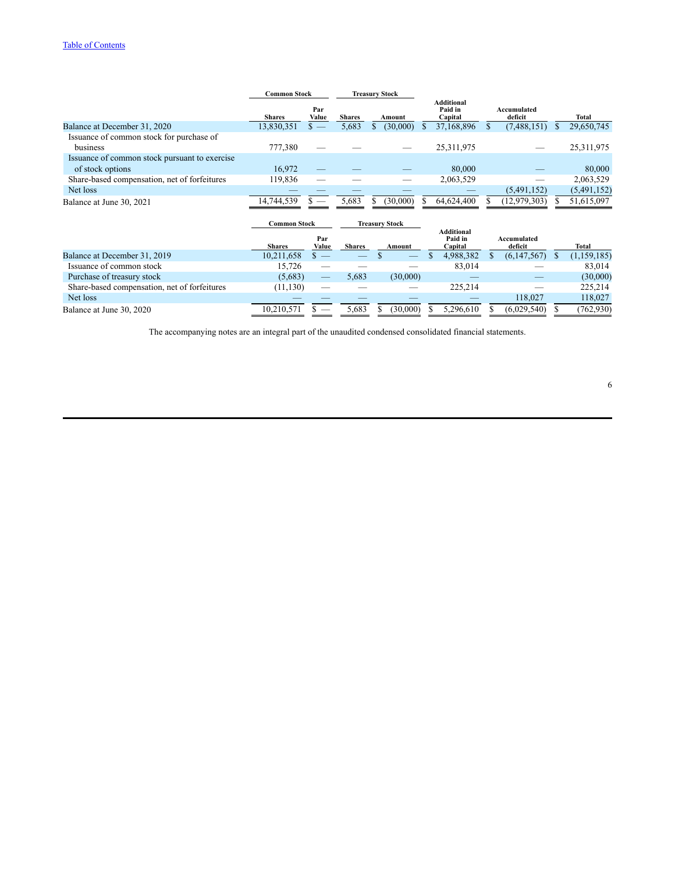|                                               | <b>Common Stock</b><br><b>Treasury Stock</b> |                           |                       |          |           |                                         |               |                        |    |                              |  |             |  |  |           |
|-----------------------------------------------|----------------------------------------------|---------------------------|-----------------------|----------|-----------|-----------------------------------------|---------------|------------------------|----|------------------------------|--|-------------|--|--|-----------|
|                                               | <b>Shares</b>                                | Par<br>Value              | <b>Shares</b>         | Amount   |           | <b>Additional</b><br>Paid in<br>Capital |               | Accumulated<br>deficit |    | Total                        |  |             |  |  |           |
| Balance at December 31, 2020                  | 13,830,351                                   | $\frac{\mathbf{s}}{ }$ —  | 5,683                 | (30,000) | S.        | 37,168,896                              | <sup>\$</sup> | (7,488,151)            |    | 29,650,745                   |  |             |  |  |           |
| Issuance of common stock for purchase of      |                                              |                           |                       |          |           |                                         |               |                        |    |                              |  |             |  |  |           |
| business                                      | 777,380                                      |                           |                       |          |           | 25, 311, 975                            |               |                        |    | 25, 311, 975                 |  |             |  |  |           |
| Issuance of common stock pursuant to exercise |                                              |                           |                       |          |           |                                         |               |                        |    |                              |  |             |  |  |           |
| of stock options                              | 16,972                                       |                           |                       |          |           | 80,000                                  |               |                        |    | 80,000                       |  |             |  |  |           |
| Share-based compensation, net of forfeitures  | 119,836                                      |                           |                       |          | 2,063,529 |                                         |               |                        |    |                              |  |             |  |  | 2,063,529 |
| Net loss                                      |                                              |                           |                       |          |           |                                         |               | (5,491,152)            |    | (5,491,152)                  |  |             |  |  |           |
| Balance at June 30, 2021                      | 14,744,539                                   |                           | 5,683                 | (30,000) |           | 64,624,400                              |               | (12, 979, 303)         |    | 51,615,097                   |  |             |  |  |           |
|                                               | <b>Common Stock</b>                          | Par                       | <b>Treasury Stock</b> |          |           |                                         |               |                        |    | <b>Additional</b><br>Paid in |  | Accumulated |  |  |           |
|                                               | <b>Shares</b>                                | Value                     | <b>Shares</b>         | Amount   |           | Capital                                 |               | deficit                |    | Total                        |  |             |  |  |           |
| Balance at December 31, 2019                  | 10,211,658                                   | $\frac{\epsilon}{\sigma}$ |                       |          |           | 4,988,382                               | S.            | (6,147,567)            | S. | (1,159,185)                  |  |             |  |  |           |
| Issuance of common stock                      | 15,726                                       |                           |                       |          |           | 83,014                                  |               |                        |    | 83,014                       |  |             |  |  |           |
| Purchase of treasury stock                    | (5,683)                                      | $\overline{\phantom{m}}$  | 5,683                 | (30,000) |           |                                         |               |                        |    | (30,000)                     |  |             |  |  |           |
| Share-based compensation, net of forfeitures  | (11, 130)                                    |                           |                       |          |           | 225,214                                 |               |                        |    | 225,214                      |  |             |  |  |           |
| Net loss                                      |                                              |                           |                       |          |           |                                         |               | 118,027                |    | 118,027                      |  |             |  |  |           |

The accompanying notes are an integral part of the unaudited condensed consolidated financial statements.

Net loss  $118,027$   $118,027$ Balance at June 30, 2020 10,210,571  $\overline{\$}$   $\overline{\$}$   $\overline{\$}$   $\overline{\$}$   $\overline{\$}$   $\overline{\$}$   $\overline{\$}$   $\overline{\$}$   $\overline{\$}$   $\overline{\$}$   $\overline{\$}$   $\overline{\$}$   $\overline{\$}$   $\overline{\$}$   $\overline{\$}$   $\overline{\$}$   $\overline{\$}$   $\overline{\$}$   $\overline{\$}$   $\overline{\$}$   $\overline{\$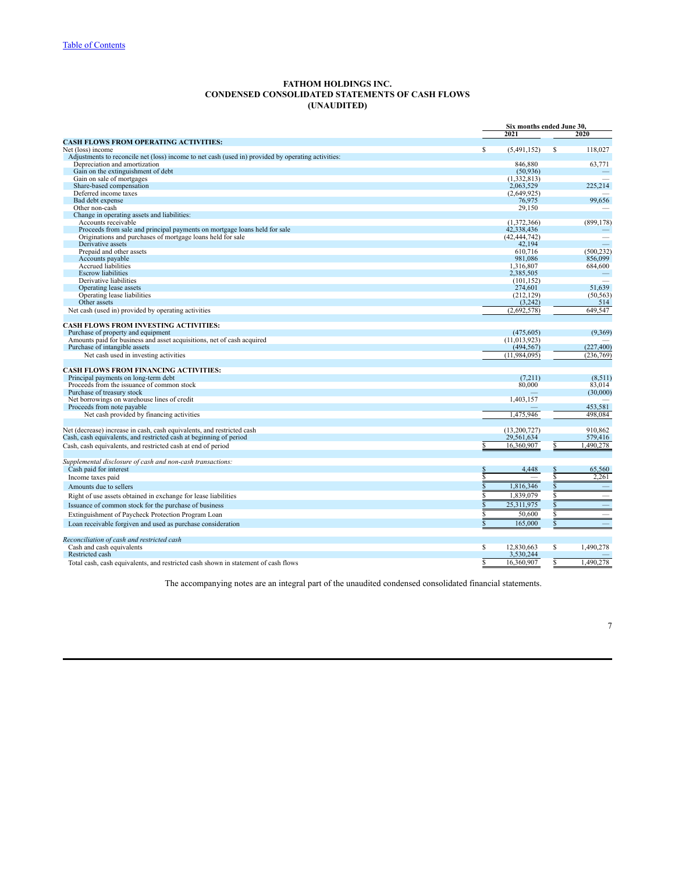## **FATHOM HOLDINGS INC. CONDENSED CONSOLIDATED STATEMENTS OF CASH FLOWS (UNAUDITED)**

<span id="page-6-0"></span>

|                                                                                                    |                  | Six months ended June 30, |  |  |
|----------------------------------------------------------------------------------------------------|------------------|---------------------------|--|--|
|                                                                                                    | 2021             | 2020                      |  |  |
| <b>CASH FLOWS FROM OPERATING ACTIVITIES:</b>                                                       |                  |                           |  |  |
| Net (loss) income                                                                                  | S<br>(5,491,152) | 118,027<br>s              |  |  |
| Adjustments to reconcile net (loss) income to net cash (used in) provided by operating activities: |                  |                           |  |  |
| Depreciation and amortization                                                                      | 846,880          | 63,771                    |  |  |
| Gain on the extinguishment of debt                                                                 | (50, 936)        |                           |  |  |
| Gain on sale of mortgages                                                                          | (1,332,813)      |                           |  |  |
| Share-based compensation                                                                           | 2,063,529        | 225,214                   |  |  |
| Deferred income taxes                                                                              | (2,649,925)      |                           |  |  |
| Bad debt expense                                                                                   | 76,975           | 99,656                    |  |  |
| Other non-cash                                                                                     | 29,150           |                           |  |  |
| Change in operating assets and liabilities:                                                        |                  |                           |  |  |
| Accounts receivable                                                                                | (1,372,366)      | (899, 178)                |  |  |
| Proceeds from sale and principal payments on mortgage loans held for sale                          | 42,338,436       |                           |  |  |
| Originations and purchases of mortgage loans held for sale                                         | (42, 444, 742)   | $\overline{\phantom{0}}$  |  |  |
| Derivative assets                                                                                  | 42,194           |                           |  |  |
| Prepaid and other assets                                                                           | 610,716          | (500, 232)                |  |  |
| Accounts payable                                                                                   | 981,086          | 856,099                   |  |  |
| Accrued liabilities                                                                                | 1,316,807        | 684,600                   |  |  |
| <b>Escrow</b> liabilities                                                                          | 2,385,505        |                           |  |  |
| Derivative liabilities                                                                             | (101, 152)       |                           |  |  |
| Operating lease assets                                                                             | 274,601          | 51,639                    |  |  |
| Operating lease liabilities                                                                        | (212, 129)       | (50, 563)                 |  |  |
| Other assets                                                                                       | (3,242)          | 514                       |  |  |
| Net cash (used in) provided by operating activities                                                | (2,692,578)      | 649.547                   |  |  |
|                                                                                                    |                  |                           |  |  |
| <b>CASH FLOWS FROM INVESTING ACTIVITIES:</b>                                                       |                  |                           |  |  |
| Purchase of property and equipment                                                                 | (475, 605)       | (9,369)                   |  |  |
| Amounts paid for business and asset acquisitions, net of cash acquired                             | (11, 013, 923)   |                           |  |  |
| Purchase of intangible assets                                                                      | (494, 567)       | (227, 400)                |  |  |
| Net cash used in investing activities                                                              | (11, 984, 095)   | (236,769)                 |  |  |
|                                                                                                    |                  |                           |  |  |
| <b>CASH FLOWS FROM FINANCING ACTIVITIES:</b>                                                       |                  |                           |  |  |
| Principal payments on long-term debt                                                               | (7,211)          | (8,511)                   |  |  |
| Proceeds from the issuance of common stock                                                         | 80,000           | 83,014                    |  |  |
| Purchase of treasury stock                                                                         |                  | (30,000)                  |  |  |
| Net borrowings on warehouse lines of credit                                                        | 1,403,157        |                           |  |  |
| Proceeds from note payable                                                                         |                  | 453,581                   |  |  |
| Net cash provided by financing activities                                                          | 1,475,946        | 498,084                   |  |  |
|                                                                                                    |                  |                           |  |  |
| Net (decrease) increase in cash, cash equivalents, and restricted cash                             | (13,200,727)     | 910,862                   |  |  |
| Cash, cash equivalents, and restricted cash at beginning of period                                 | 29,561,634       | 579,416                   |  |  |
| Cash, cash equivalents, and restricted cash at end of period                                       | S<br>16,360,907  | .490,278                  |  |  |
|                                                                                                    |                  |                           |  |  |
| Supplemental disclosure of cash and non-cash transactions:                                         |                  |                           |  |  |
| Cash paid for interest                                                                             | 4,448            | 65,560                    |  |  |
|                                                                                                    |                  | 2,261                     |  |  |
| Income taxes paid                                                                                  |                  |                           |  |  |
| Amounts due to sellers                                                                             | 1,816,346        | $\qquad \qquad -$         |  |  |
| Right of use assets obtained in exchange for lease liabilities                                     | 1,839,079        |                           |  |  |
| Issuance of common stock for the purchase of business                                              | 25,311,975       |                           |  |  |
|                                                                                                    | 50.600           | $\overline{\phantom{a}}$  |  |  |
| Extinguishment of Paycheck Protection Program Loan                                                 |                  |                           |  |  |
| Loan receivable forgiven and used as purchase consideration                                        | 165,000          |                           |  |  |
| Reconciliation of cash and restricted cash                                                         |                  |                           |  |  |
| Cash and cash equivalents                                                                          | s<br>12,830,663  | \$<br>1,490,278           |  |  |
| Restricted cash                                                                                    | 3,530,244        |                           |  |  |
| Total cash, cash equivalents, and restricted cash shown in statement of cash flows                 | ς<br>16,360,907  | 1,490,278                 |  |  |
|                                                                                                    |                  |                           |  |  |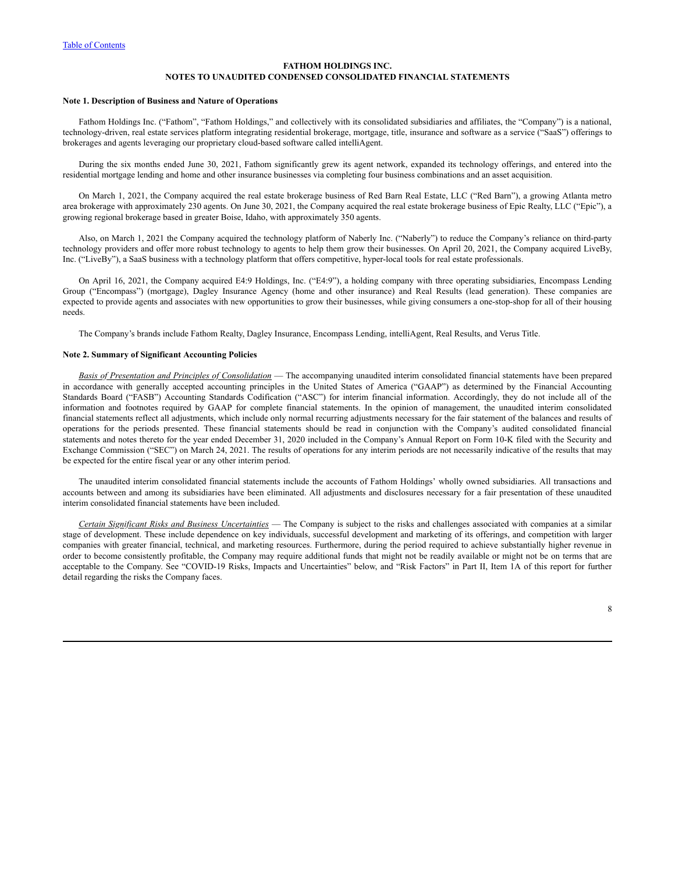#### <span id="page-7-0"></span>**Note 1. Description of Business and Nature of Operations**

Fathom Holdings Inc. ("Fathom", "Fathom Holdings," and collectively with its consolidated subsidiaries and affiliates, the "Company") is a national, technology-driven, real estate services platform integrating residential brokerage, mortgage, title, insurance and software as a service ("SaaS") offerings to brokerages and agents leveraging our proprietary cloud-based software called intelliAgent.

During the six months ended June 30, 2021, Fathom significantly grew its agent network, expanded its technology offerings, and entered into the residential mortgage lending and home and other insurance businesses via completing four business combinations and an asset acquisition.

On March 1, 2021, the Company acquired the real estate brokerage business of Red Barn Real Estate, LLC ("Red Barn"), a growing Atlanta metro area brokerage with approximately 230 agents. On June 30, 2021, the Company acquired the real estate brokerage business of Epic Realty, LLC ("Epic"), a growing regional brokerage based in greater Boise, Idaho, with approximately 350 agents.

Also, on March 1, 2021 the Company acquired the technology platform of Naberly Inc. ("Naberly") to reduce the Company's reliance on third-party technology providers and offer more robust technology to agents to help them grow their businesses. On April 20, 2021, the Company acquired LiveBy, Inc. ("LiveBy"), a SaaS business with a technology platform that offers competitive, hyper-local tools for real estate professionals.

On April 16, 2021, the Company acquired E4:9 Holdings, Inc. ("E4:9"), a holding company with three operating subsidiaries, Encompass Lending Group ("Encompass") (mortgage), Dagley Insurance Agency (home and other insurance) and Real Results (lead generation). These companies are expected to provide agents and associates with new opportunities to grow their businesses, while giving consumers a one-stop-shop for all of their housing needs.

The Company's brands include Fathom Realty, Dagley Insurance, Encompass Lending, intelliAgent, Real Results, and Verus Title.

#### **Note 2. Summary of Significant Accounting Policies**

*Basis of Presentation and Principles of Consolidation* — The accompanying unaudited interim consolidated financial statements have been prepared in accordance with generally accepted accounting principles in the United States of America ("GAAP") as determined by the Financial Accounting Standards Board ("FASB") Accounting Standards Codification ("ASC") for interim financial information. Accordingly, they do not include all of the information and footnotes required by GAAP for complete financial statements. In the opinion of management, the unaudited interim consolidated financial statements reflect all adjustments, which include only normal recurring adjustments necessary for the fair statement of the balances and results of operations for the periods presented. These financial statements should be read in conjunction with the Company's audited consolidated financial statements and notes thereto for the year ended December 31, 2020 included in the Company's Annual Report on Form 10-K filed with the Security and Exchange Commission ("SEC") on March 24, 2021. The results of operations for any interim periods are not necessarily indicative of the results that may be expected for the entire fiscal year or any other interim period.

The unaudited interim consolidated financial statements include the accounts of Fathom Holdings' wholly owned subsidiaries. All transactions and accounts between and among its subsidiaries have been eliminated. All adjustments and disclosures necessary for a fair presentation of these unaudited interim consolidated financial statements have been included.

*Certain Significant Risks and Business Uncertainties* — The Company is subject to the risks and challenges associated with companies at a similar stage of development. These include dependence on key individuals, successful development and marketing of its offerings, and competition with larger companies with greater financial, technical, and marketing resources. Furthermore, during the period required to achieve substantially higher revenue in order to become consistently profitable, the Company may require additional funds that might not be readily available or might not be on terms that are acceptable to the Company. See "COVID-19 Risks, Impacts and Uncertainties" below, and "Risk Factors" in Part II, Item 1A of this report for further detail regarding the risks the Company faces.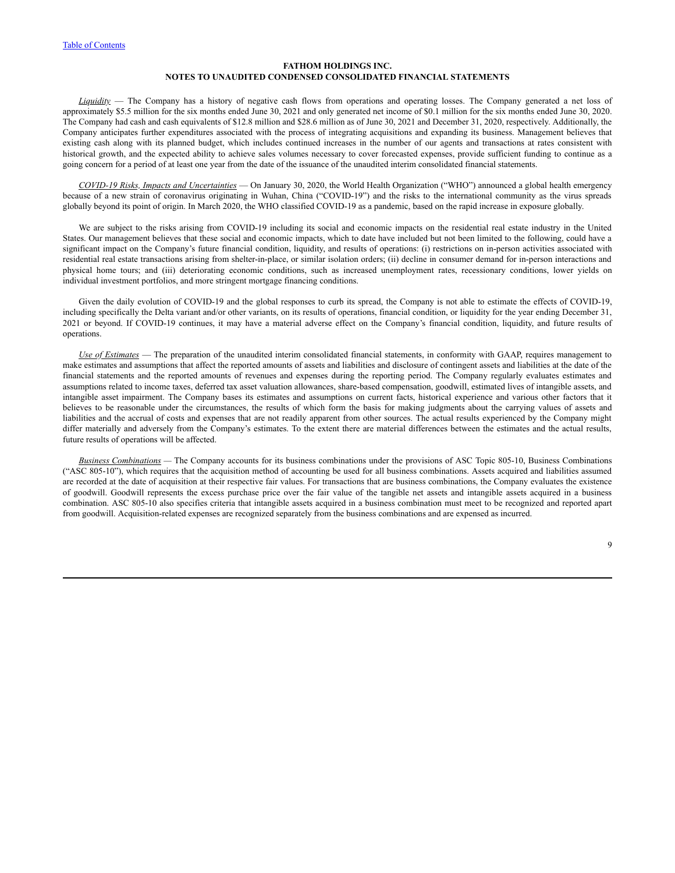*Liquidity* — The Company has a history of negative cash flows from operations and operating losses. The Company generated a net loss of approximately \$5.5 million for the six months ended June 30, 2021 and only generated net income of \$0.1 million for the six months ended June 30, 2020. The Company had cash and cash equivalents of \$12.8 million and \$28.6 million as of June 30, 2021 and December 31, 2020, respectively. Additionally, the Company anticipates further expenditures associated with the process of integrating acquisitions and expanding its business. Management believes that existing cash along with its planned budget, which includes continued increases in the number of our agents and transactions at rates consistent with historical growth, and the expected ability to achieve sales volumes necessary to cover forecasted expenses, provide sufficient funding to continue as a going concern for a period of at least one year from the date of the issuance of the unaudited interim consolidated financial statements.

*COVID-19 Risks, Impacts and Uncertainties* — On January 30, 2020, the World Health Organization ("WHO") announced a global health emergency because of a new strain of coronavirus originating in Wuhan, China ("COVID-19") and the risks to the international community as the virus spreads globally beyond its point of origin. In March 2020, the WHO classified COVID-19 as a pandemic, based on the rapid increase in exposure globally.

We are subject to the risks arising from COVID-19 including its social and economic impacts on the residential real estate industry in the United States. Our management believes that these social and economic impacts, which to date have included but not been limited to the following, could have a significant impact on the Company's future financial condition, liquidity, and results of operations: (i) restrictions on in-person activities associated with residential real estate transactions arising from shelter-in-place, or similar isolation orders; (ii) decline in consumer demand for in-person interactions and physical home tours; and (iii) deteriorating economic conditions, such as increased unemployment rates, recessionary conditions, lower yields on individual investment portfolios, and more stringent mortgage financing conditions.

Given the daily evolution of COVID-19 and the global responses to curb its spread, the Company is not able to estimate the effects of COVID-19, including specifically the Delta variant and/or other variants, on its results of operations, financial condition, or liquidity for the year ending December 31, 2021 or beyond. If COVID-19 continues, it may have a material adverse effect on the Company's financial condition, liquidity, and future results of operations.

*Use of Estimates* — The preparation of the unaudited interim consolidated financial statements, in conformity with GAAP, requires management to make estimates and assumptions that affect the reported amounts of assets and liabilities and disclosure of contingent assets and liabilities at the date of the financial statements and the reported amounts of revenues and expenses during the reporting period. The Company regularly evaluates estimates and assumptions related to income taxes, deferred tax asset valuation allowances, share-based compensation, goodwill, estimated lives of intangible assets, and intangible asset impairment. The Company bases its estimates and assumptions on current facts, historical experience and various other factors that it believes to be reasonable under the circumstances, the results of which form the basis for making judgments about the carrying values of assets and liabilities and the accrual of costs and expenses that are not readily apparent from other sources. The actual results experienced by the Company might differ materially and adversely from the Company's estimates. To the extent there are material differences between the estimates and the actual results, future results of operations will be affected.

*Business Combinations —* The Company accounts for its business combinations under the provisions of ASC Topic 805-10, Business Combinations ("ASC 805-10"), which requires that the acquisition method of accounting be used for all business combinations. Assets acquired and liabilities assumed are recorded at the date of acquisition at their respective fair values. For transactions that are business combinations, the Company evaluates the existence of goodwill. Goodwill represents the excess purchase price over the fair value of the tangible net assets and intangible assets acquired in a business combination. ASC 805-10 also specifies criteria that intangible assets acquired in a business combination must meet to be recognized and reported apart from goodwill. Acquisition-related expenses are recognized separately from the business combinations and are expensed as incurred.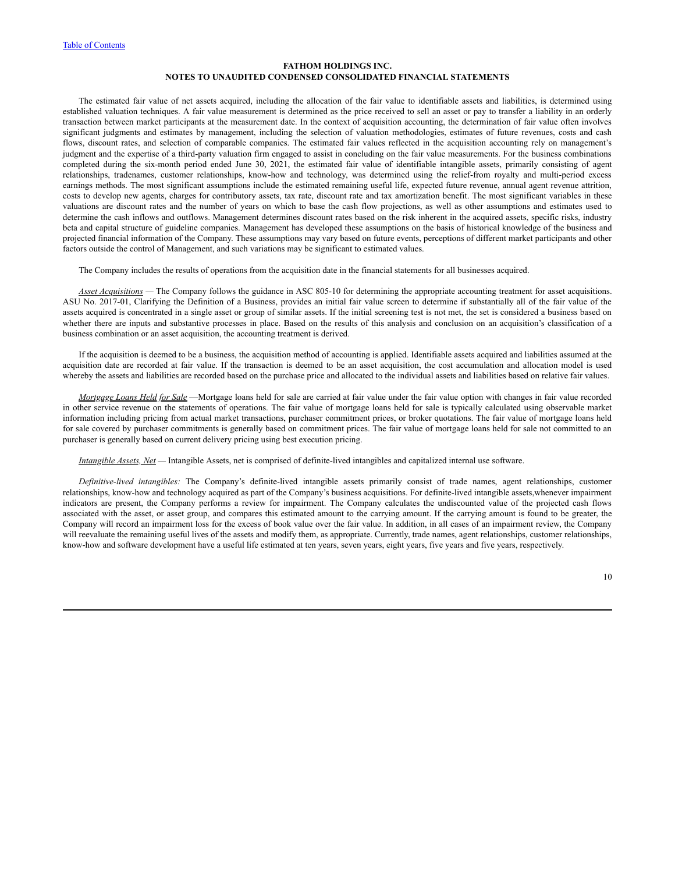The estimated fair value of net assets acquired, including the allocation of the fair value to identifiable assets and liabilities, is determined using established valuation techniques. A fair value measurement is determined as the price received to sell an asset or pay to transfer a liability in an orderly transaction between market participants at the measurement date. In the context of acquisition accounting, the determination of fair value often involves significant judgments and estimates by management, including the selection of valuation methodologies, estimates of future revenues, costs and cash flows, discount rates, and selection of comparable companies. The estimated fair values reflected in the acquisition accounting rely on management's judgment and the expertise of a third-party valuation firm engaged to assist in concluding on the fair value measurements. For the business combinations completed during the six-month period ended June 30, 2021, the estimated fair value of identifiable intangible assets, primarily consisting of agent relationships, tradenames, customer relationships, know-how and technology, was determined using the relief-from royalty and multi-period excess earnings methods. The most significant assumptions include the estimated remaining useful life, expected future revenue, annual agent revenue attrition, costs to develop new agents, charges for contributory assets, tax rate, discount rate and tax amortization benefit. The most significant variables in these valuations are discount rates and the number of years on which to base the cash flow projections, as well as other assumptions and estimates used to determine the cash inflows and outflows. Management determines discount rates based on the risk inherent in the acquired assets, specific risks, industry beta and capital structure of guideline companies. Management has developed these assumptions on the basis of historical knowledge of the business and projected financial information of the Company. These assumptions may vary based on future events, perceptions of different market participants and other factors outside the control of Management, and such variations may be significant to estimated values.

The Company includes the results of operations from the acquisition date in the financial statements for all businesses acquired.

*Asset Acquisitions —* The Company follows the guidance in ASC 805-10 for determining the appropriate accounting treatment for asset acquisitions. ASU No. 2017-01, Clarifying the Definition of a Business, provides an initial fair value screen to determine if substantially all of the fair value of the assets acquired is concentrated in a single asset or group of similar assets. If the initial screening test is not met, the set is considered a business based on whether there are inputs and substantive processes in place. Based on the results of this analysis and conclusion on an acquisition's classification of a business combination or an asset acquisition, the accounting treatment is derived.

If the acquisition is deemed to be a business, the acquisition method of accounting is applied. Identifiable assets acquired and liabilities assumed at the acquisition date are recorded at fair value. If the transaction is deemed to be an asset acquisition, the cost accumulation and allocation model is used whereby the assets and liabilities are recorded based on the purchase price and allocated to the individual assets and liabilities based on relative fair values.

*Mortgage Loans Held for Sale* —Mortgage loans held for sale are carried at fair value under the fair value option with changes in fair value recorded in other service revenue on the statements of operations. The fair value of mortgage loans held for sale is typically calculated using observable market information including pricing from actual market transactions, purchaser commitment prices, or broker quotations. The fair value of mortgage loans held for sale covered by purchaser commitments is generally based on commitment prices. The fair value of mortgage loans held for sale not committed to an purchaser is generally based on current delivery pricing using best execution pricing.

*Intangible Assets, Net —* Intangible Assets, net is comprised of definite-lived intangibles and capitalized internal use software.

*Definitive-lived intangibles:* The Company's definite-lived intangible assets primarily consist of trade names, agent relationships, customer relationships, know-how and technology acquired as part of the Company's business acquisitions. For definite-lived intangible assets,whenever impairment indicators are present, the Company performs a review for impairment. The Company calculates the undiscounted value of the projected cash flows associated with the asset, or asset group, and compares this estimated amount to the carrying amount. If the carrying amount is found to be greater, the Company will record an impairment loss for the excess of book value over the fair value. In addition, in all cases of an impairment review, the Company will reevaluate the remaining useful lives of the assets and modify them, as appropriate. Currently, trade names, agent relationships, customer relationships, know-how and software development have a useful life estimated at ten years, seven years, eight years, five years and five years, respectively.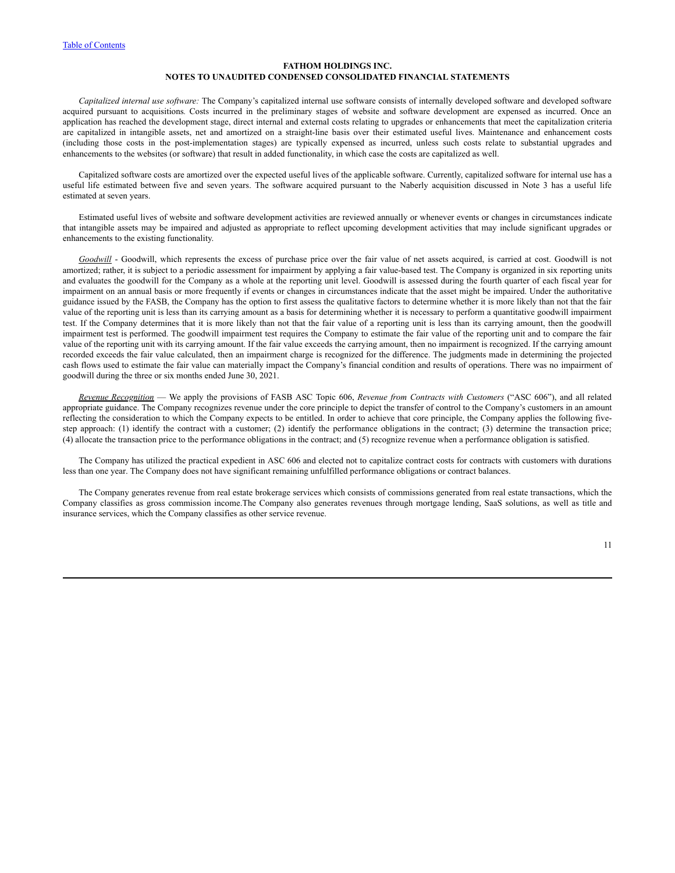*Capitalized internal use software:* The Company's capitalized internal use software consists of internally developed software and developed software acquired pursuant to acquisitions*.* Costs incurred in the preliminary stages of website and software development are expensed as incurred. Once an application has reached the development stage, direct internal and external costs relating to upgrades or enhancements that meet the capitalization criteria are capitalized in intangible assets, net and amortized on a straight-line basis over their estimated useful lives. Maintenance and enhancement costs (including those costs in the post-implementation stages) are typically expensed as incurred, unless such costs relate to substantial upgrades and enhancements to the websites (or software) that result in added functionality, in which case the costs are capitalized as well.

Capitalized software costs are amortized over the expected useful lives of the applicable software. Currently, capitalized software for internal use has a useful life estimated between five and seven years. The software acquired pursuant to the Naberly acquisition discussed in Note 3 has a useful life estimated at seven years.

Estimated useful lives of website and software development activities are reviewed annually or whenever events or changes in circumstances indicate that intangible assets may be impaired and adjusted as appropriate to reflect upcoming development activities that may include significant upgrades or enhancements to the existing functionality.

*Goodwill* - Goodwill, which represents the excess of purchase price over the fair value of net assets acquired, is carried at cost. Goodwill is not amortized; rather, it is subject to a periodic assessment for impairment by applying a fair value-based test. The Company is organized in six reporting units and evaluates the goodwill for the Company as a whole at the reporting unit level. Goodwill is assessed during the fourth quarter of each fiscal year for impairment on an annual basis or more frequently if events or changes in circumstances indicate that the asset might be impaired. Under the authoritative guidance issued by the FASB, the Company has the option to first assess the qualitative factors to determine whether it is more likely than not that the fair value of the reporting unit is less than its carrying amount as a basis for determining whether it is necessary to perform a quantitative goodwill impairment test. If the Company determines that it is more likely than not that the fair value of a reporting unit is less than its carrying amount, then the goodwill impairment test is performed. The goodwill impairment test requires the Company to estimate the fair value of the reporting unit and to compare the fair value of the reporting unit with its carrying amount. If the fair value exceeds the carrying amount, then no impairment is recognized. If the carrying amount recorded exceeds the fair value calculated, then an impairment charge is recognized for the difference. The judgments made in determining the projected cash flows used to estimate the fair value can materially impact the Company's financial condition and results of operations. There was no impairment of goodwill during the three or six months ended June 30, 2021.

*Revenue Recognition* — We apply the provisions of FASB ASC Topic 606, *Revenue from Contracts with Customers* ("ASC 606"), and all related appropriate guidance. The Company recognizes revenue under the core principle to depict the transfer of control to the Company's customers in an amount reflecting the consideration to which the Company expects to be entitled. In order to achieve that core principle, the Company applies the following fivestep approach: (1) identify the contract with a customer; (2) identify the performance obligations in the contract; (3) determine the transaction price; (4) allocate the transaction price to the performance obligations in the contract; and (5) recognize revenue when a performance obligation is satisfied.

The Company has utilized the practical expedient in ASC 606 and elected not to capitalize contract costs for contracts with customers with durations less than one year. The Company does not have significant remaining unfulfilled performance obligations or contract balances.

The Company generates revenue from real estate brokerage services which consists of commissions generated from real estate transactions, which the Company classifies as gross commission income.The Company also generates revenues through mortgage lending, SaaS solutions, as well as title and insurance services, which the Company classifies as other service revenue.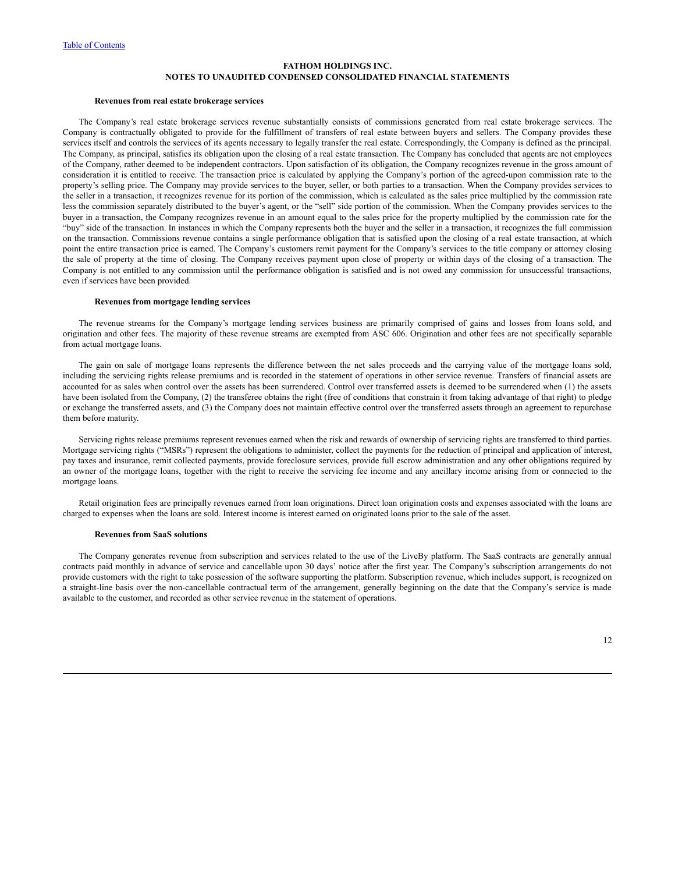#### **Revenues from real estate brokerage services**

The Company's real estate brokerage services revenue substantially consists of commissions generated from real estate brokerage services. The Company is contractually obligated to provide for the fulfillment of transfers of real estate between buyers and sellers. The Company provides these services itself and controls the services of its agents necessary to legally transfer the real estate. Correspondingly, the Company is defined as the principal. The Company, as principal, satisfies its obligation upon the closing of a real estate transaction. The Company has concluded that agents are not employees of the Company, rather deemed to be independent contractors. Upon satisfaction of its obligation, the Company recognizes revenue in the gross amount of consideration it is entitled to receive. The transaction price is calculated by applying the Company's portion of the agreed-upon commission rate to the property's selling price. The Company may provide services to the buyer, seller, or both parties to a transaction. When the Company provides services to the seller in a transaction, it recognizes revenue for its portion of the commission, which is calculated as the sales price multiplied by the commission rate less the commission separately distributed to the buyer's agent, or the "sell" side portion of the commission. When the Company provides services to the buyer in a transaction, the Company recognizes revenue in an amount equal to the sales price for the property multiplied by the commission rate for the "buy" side of the transaction. In instances in which the Company represents both the buyer and the seller in a transaction, it recognizes the full commission on the transaction. Commissions revenue contains a single performance obligation that is satisfied upon the closing of a real estate transaction, at which point the entire transaction price is earned. The Company's customers remit payment for the Company's services to the title company or attorney closing the sale of property at the time of closing. The Company receives payment upon close of property or within days of the closing of a transaction. The Company is not entitled to any commission until the performance obligation is satisfied and is not owed any commission for unsuccessful transactions, even if services have been provided.

### **Revenues from mortgage lending services**

The revenue streams for the Company's mortgage lending services business are primarily comprised of gains and losses from loans sold, and origination and other fees. The majority of these revenue streams are exempted from ASC 606. Origination and other fees are not specifically separable from actual mortgage loans.

The gain on sale of mortgage loans represents the difference between the net sales proceeds and the carrying value of the mortgage loans sold, including the servicing rights release premiums and is recorded in the statement of operations in other service revenue. Transfers of financial assets are accounted for as sales when control over the assets has been surrendered. Control over transferred assets is deemed to be surrendered when (1) the assets have been isolated from the Company, (2) the transferee obtains the right (free of conditions that constrain it from taking advantage of that right) to pledge or exchange the transferred assets, and (3) the Company does not maintain effective control over the transferred assets through an agreement to repurchase them before maturity.

Servicing rights release premiums represent revenues earned when the risk and rewards of ownership of servicing rights are transferred to third parties. Mortgage servicing rights ("MSRs") represent the obligations to administer, collect the payments for the reduction of principal and application of interest, pay taxes and insurance, remit collected payments, provide foreclosure services, provide full escrow administration and any other obligations required by an owner of the mortgage loans, together with the right to receive the servicing fee income and any ancillary income arising from or connected to the mortgage loans.

Retail origination fees are principally revenues earned from loan originations. Direct loan origination costs and expenses associated with the loans are charged to expenses when the loans are sold. Interest income is interest earned on originated loans prior to the sale of the asset.

#### **Revenues from SaaS solutions**

The Company generates revenue from subscription and services related to the use of the LiveBy platform. The SaaS contracts are generally annual contracts paid monthly in advance of service and cancellable upon 30 days' notice after the first year. The Company's subscription arrangements do not provide customers with the right to take possession of the software supporting the platform. Subscription revenue, which includes support, is recognized on a straight-line basis over the non-cancellable contractual term of the arrangement, generally beginning on the date that the Company's service is made available to the customer, and recorded as other service revenue in the statement of operations.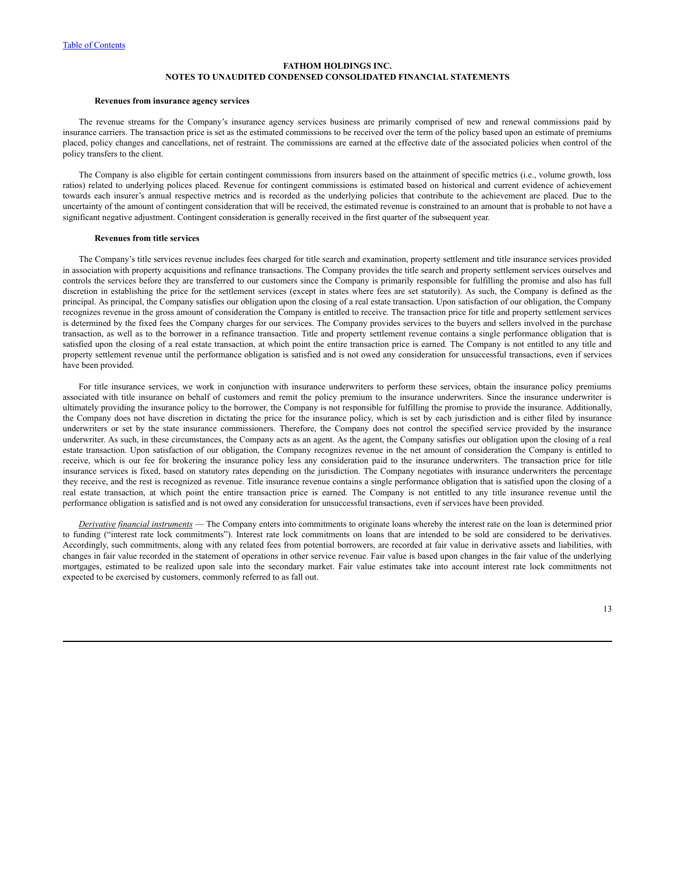#### **Revenues from insurance agency services**

The revenue streams for the Company's insurance agency services business are primarily comprised of new and renewal commissions paid by insurance carriers. The transaction price is set as the estimated commissions to be received over the term of the policy based upon an estimate of premiums placed, policy changes and cancellations, net of restraint. The commissions are earned at the effective date of the associated policies when control of the policy transfers to the client.

The Company is also eligible for certain contingent commissions from insurers based on the attainment of specific metrics (i.e., volume growth, loss ratios) related to underlying polices placed. Revenue for contingent commissions is estimated based on historical and current evidence of achievement towards each insurer's annual respective metrics and is recorded as the underlying policies that contribute to the achievement are placed. Due to the uncertainty of the amount of contingent consideration that will be received, the estimated revenue is constrained to an amount that is probable to not have a significant negative adjustment. Contingent consideration is generally received in the first quarter of the subsequent year.

### **Revenues from title services**

The Company's title services revenue includes fees charged for title search and examination, property settlement and title insurance services provided in association with property acquisitions and refinance transactions. The Company provides the title search and property settlement services ourselves and controls the services before they are transferred to our customers since the Company is primarily responsible for fulfilling the promise and also has full discretion in establishing the price for the settlement services (except in states where fees are set statutorily). As such, the Company is defined as the principal. As principal, the Company satisfies our obligation upon the closing of a real estate transaction. Upon satisfaction of our obligation, the Company recognizes revenue in the gross amount of consideration the Company is entitled to receive. The transaction price for title and property settlement services is determined by the fixed fees the Company charges for our services. The Company provides services to the buyers and sellers involved in the purchase transaction, as well as to the borrower in a refinance transaction. Title and property settlement revenue contains a single performance obligation that is satisfied upon the closing of a real estate transaction, at which point the entire transaction price is earned. The Company is not entitled to any title and property settlement revenue until the performance obligation is satisfied and is not owed any consideration for unsuccessful transactions, even if services have been provided.

For title insurance services, we work in conjunction with insurance underwriters to perform these services, obtain the insurance policy premiums associated with title insurance on behalf of customers and remit the policy premium to the insurance underwriters. Since the insurance underwriter is ultimately providing the insurance policy to the borrower, the Company is not responsible for fulfilling the promise to provide the insurance. Additionally, the Company does not have discretion in dictating the price for the insurance policy, which is set by each jurisdiction and is either filed by insurance underwriters or set by the state insurance commissioners. Therefore, the Company does not control the specified service provided by the insurance underwriter. As such, in these circumstances, the Company acts as an agent. As the agent, the Company satisfies our obligation upon the closing of a real estate transaction. Upon satisfaction of our obligation, the Company recognizes revenue in the net amount of consideration the Company is entitled to receive, which is our fee for brokering the insurance policy less any consideration paid to the insurance underwriters. The transaction price for title insurance services is fixed, based on statutory rates depending on the jurisdiction. The Company negotiates with insurance underwriters the percentage they receive, and the rest is recognized as revenue. Title insurance revenue contains a single performance obligation that is satisfied upon the closing of a real estate transaction, at which point the entire transaction price is earned. The Company is not entitled to any title insurance revenue until the performance obligation is satisfied and is not owed any consideration for unsuccessful transactions, even if services have been provided.

*Derivative financial instruments* — The Company enters into commitments to originate loans whereby the interest rate on the loan is determined prior to funding ("interest rate lock commitments"). Interest rate lock commitments on loans that are intended to be sold are considered to be derivatives. Accordingly, such commitments, along with any related fees from potential borrowers, are recorded at fair value in derivative assets and liabilities, with changes in fair value recorded in the statement of operations in other service revenue. Fair value is based upon changes in the fair value of the underlying mortgages, estimated to be realized upon sale into the secondary market. Fair value estimates take into account interest rate lock commitments not expected to be exercised by customers, commonly referred to as fall out.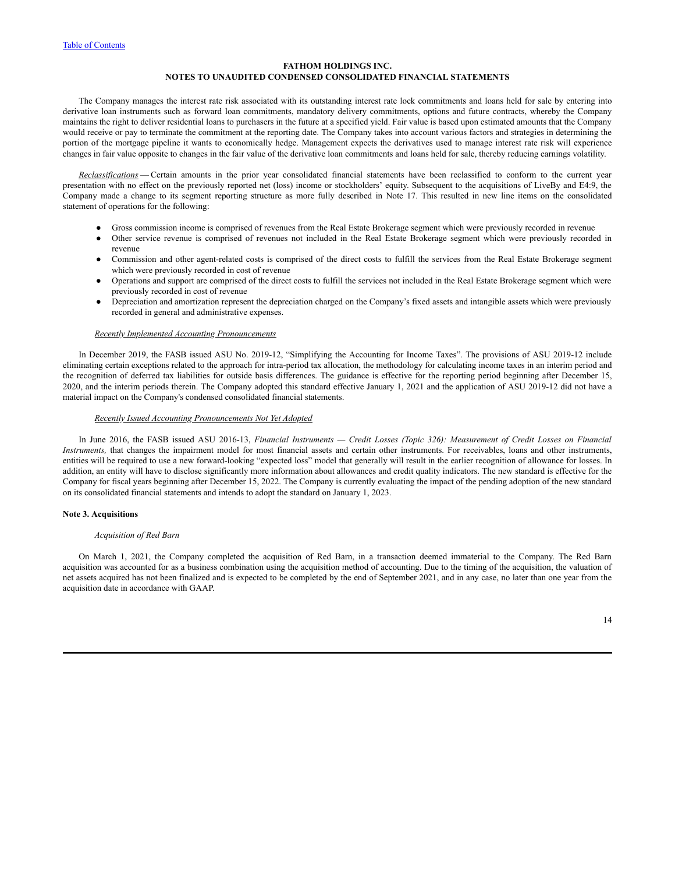The Company manages the interest rate risk associated with its outstanding interest rate lock commitments and loans held for sale by entering into derivative loan instruments such as forward loan commitments, mandatory delivery commitments, options and future contracts, whereby the Company maintains the right to deliver residential loans to purchasers in the future at a specified yield. Fair value is based upon estimated amounts that the Company would receive or pay to terminate the commitment at the reporting date. The Company takes into account various factors and strategies in determining the portion of the mortgage pipeline it wants to economically hedge. Management expects the derivatives used to manage interest rate risk will experience changes in fair value opposite to changes in the fair value of the derivative loan commitments and loans held for sale, thereby reducing earnings volatility.

*Reclassifications* — Certain amounts in the prior year consolidated financial statements have been reclassified to conform to the current year presentation with no effect on the previously reported net (loss) income or stockholders' equity. Subsequent to the acquisitions of LiveBy and E4:9, the Company made a change to its segment reporting structure as more fully described in Note 17. This resulted in new line items on the consolidated statement of operations for the following:

- Gross commission income is comprised of revenues from the Real Estate Brokerage segment which were previously recorded in revenue
- Other service revenue is comprised of revenues not included in the Real Estate Brokerage segment which were previously recorded in revenue
- Commission and other agent-related costs is comprised of the direct costs to fulfill the services from the Real Estate Brokerage segment which were previously recorded in cost of revenue
- Operations and support are comprised of the direct costs to fulfill the services not included in the Real Estate Brokerage segment which were previously recorded in cost of revenue
- Depreciation and amortization represent the depreciation charged on the Company's fixed assets and intangible assets which were previously recorded in general and administrative expenses.

#### *Recently Implemented Accounting Pronouncements*

In December 2019, the FASB issued ASU No. 2019-12, "Simplifying the Accounting for Income Taxes". The provisions of ASU 2019-12 include eliminating certain exceptions related to the approach for intra-period tax allocation, the methodology for calculating income taxes in an interim period and the recognition of deferred tax liabilities for outside basis differences. The guidance is effective for the reporting period beginning after December 15, 2020, and the interim periods therein. The Company adopted this standard effective January 1, 2021 and the application of ASU 2019-12 did not have a material impact on the Company's condensed consolidated financial statements.

### *Recently Issued Accounting Pronouncements Not Yet Adopted*

In June 2016, the FASB issued ASU 2016-13, Financial Instruments - Credit Losses (Topic 326): Measurement of Credit Losses on Financial *Instruments,* that changes the impairment model for most financial assets and certain other instruments. For receivables, loans and other instruments, entities will be required to use a new forward-looking "expected loss" model that generally will result in the earlier recognition of allowance for losses. In addition, an entity will have to disclose significantly more information about allowances and credit quality indicators. The new standard is effective for the Company for fiscal years beginning after December 15, 2022. The Company is currently evaluating the impact of the pending adoption of the new standard on its consolidated financial statements and intends to adopt the standard on January 1, 2023.

### **Note 3. Acquisitions**

### *Acquisition of Red Barn*

On March 1, 2021, the Company completed the acquisition of Red Barn, in a transaction deemed immaterial to the Company. The Red Barn acquisition was accounted for as a business combination using the acquisition method of accounting. Due to the timing of the acquisition, the valuation of net assets acquired has not been finalized and is expected to be completed by the end of September 2021, and in any case, no later than one year from the acquisition date in accordance with GAAP.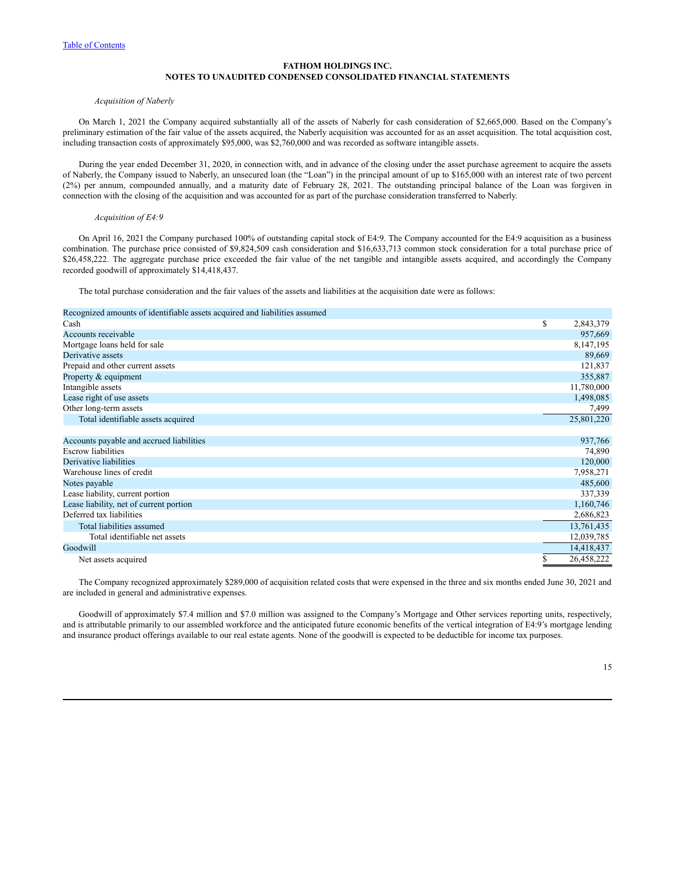#### *Acquisition of Naberly*

On March 1, 2021 the Company acquired substantially all of the assets of Naberly for cash consideration of \$2,665,000. Based on the Company's preliminary estimation of the fair value of the assets acquired, the Naberly acquisition was accounted for as an asset acquisition. The total acquisition cost, including transaction costs of approximately \$95,000, was \$2,760,000 and was recorded as software intangible assets.

During the year ended December 31, 2020, in connection with, and in advance of the closing under the asset purchase agreement to acquire the assets of Naberly, the Company issued to Naberly, an unsecured loan (the "Loan") in the principal amount of up to \$165,000 with an interest rate of two percent (2%) per annum, compounded annually, and a maturity date of February 28, 2021. The outstanding principal balance of the Loan was forgiven in connection with the closing of the acquisition and was accounted for as part of the purchase consideration transferred to Naberly.

### *Acquisition of E4:9*

On April 16, 2021 the Company purchased 100% of outstanding capital stock of E4:9. The Company accounted for the E4:9 acquisition as a business combination. The purchase price consisted of \$9,824,509 cash consideration and \$16,633,713 common stock consideration for a total purchase price of \$26,458,222. The aggregate purchase price exceeded the fair value of the net tangible and intangible assets acquired, and accordingly the Company recorded goodwill of approximately \$14,418,437.

The total purchase consideration and the fair values of the assets and liabilities at the acquisition date were as follows:

## Recognized amounts of identifiable assets acquired and liabilities assumed

| Cash                                     | \$ | 2,843,379  |
|------------------------------------------|----|------------|
| Accounts receivable                      |    | 957,669    |
| Mortgage loans held for sale             |    | 8,147,195  |
| Derivative assets                        |    | 89,669     |
| Prepaid and other current assets         |    | 121,837    |
| Property & equipment                     |    | 355,887    |
| Intangible assets                        |    | 11,780,000 |
| Lease right of use assets                |    | 1,498,085  |
| Other long-term assets                   |    | 7,499      |
| Total identifiable assets acquired       |    | 25,801,220 |
|                                          |    |            |
| Accounts payable and accrued liabilities |    | 937,766    |
| <b>Escrow</b> liabilities                |    | 74,890     |
| Derivative liabilities                   |    | 120,000    |
| Warehouse lines of credit                |    | 7,958,271  |
| Notes payable                            |    | 485,600    |
| Lease liability, current portion         |    | 337,339    |
| Lease liability, net of current portion  |    | 1,160,746  |
| Deferred tax liabilities                 |    | 2,686,823  |
| Total liabilities assumed                |    | 13,761,435 |
| Total identifiable net assets            |    | 12,039,785 |
| Goodwill                                 |    | 14,418,437 |
| Net assets acquired                      | Ф  | 26,458,222 |

The Company recognized approximately \$289,000 of acquisition related costs that were expensed in the three and six months ended June 30, 2021 and are included in general and administrative expenses.

Goodwill of approximately \$7.4 million and \$7.0 million was assigned to the Company's Mortgage and Other services reporting units, respectively, and is attributable primarily to our assembled workforce and the anticipated future economic benefits of the vertical integration of E4:9's mortgage lending and insurance product offerings available to our real estate agents. None of the goodwill is expected to be deductible for income tax purposes.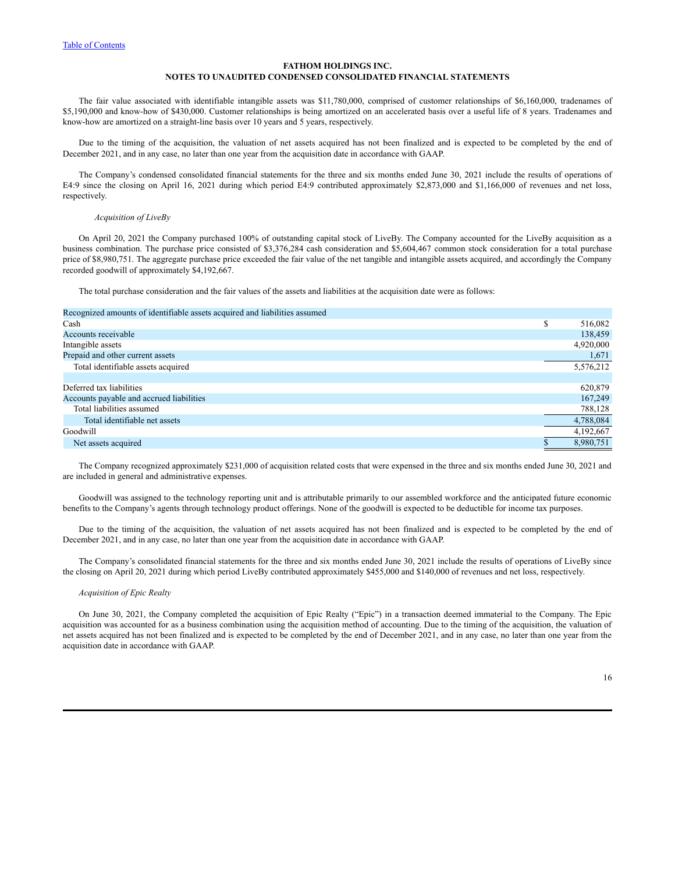The fair value associated with identifiable intangible assets was \$11,780,000, comprised of customer relationships of \$6,160,000, tradenames of \$5,190,000 and know-how of \$430,000. Customer relationships is being amortized on an accelerated basis over a useful life of 8 years. Tradenames and know-how are amortized on a straight-line basis over 10 years and 5 years, respectively.

Due to the timing of the acquisition, the valuation of net assets acquired has not been finalized and is expected to be completed by the end of December 2021, and in any case, no later than one year from the acquisition date in accordance with GAAP.

The Company's condensed consolidated financial statements for the three and six months ended June 30, 2021 include the results of operations of E4:9 since the closing on April 16, 2021 during which period E4:9 contributed approximately \$2,873,000 and \$1,166,000 of revenues and net loss, respectively.

## *Acquisition of LiveBy*

On April 20, 2021 the Company purchased 100% of outstanding capital stock of LiveBy. The Company accounted for the LiveBy acquisition as a business combination. The purchase price consisted of \$3,376,284 cash consideration and \$5,604,467 common stock consideration for a total purchase price of \$8,980,751. The aggregate purchase price exceeded the fair value of the net tangible and intangible assets acquired, and accordingly the Company recorded goodwill of approximately \$4,192,667.

The total purchase consideration and the fair values of the assets and liabilities at the acquisition date were as follows:

| \$<br>516,082 |
|---------------|
| 138,459       |
| 4,920,000     |
| 1,671         |
| 5,576,212     |
|               |
| 620,879       |
| 167,249       |
| 788,128       |
| 4,788,084     |
| 4,192,667     |
| 8,980,751     |
|               |

The Company recognized approximately \$231,000 of acquisition related costs that were expensed in the three and six months ended June 30, 2021 and are included in general and administrative expenses.

Goodwill was assigned to the technology reporting unit and is attributable primarily to our assembled workforce and the anticipated future economic benefits to the Company's agents through technology product offerings. None of the goodwill is expected to be deductible for income tax purposes.

Due to the timing of the acquisition, the valuation of net assets acquired has not been finalized and is expected to be completed by the end of December 2021, and in any case, no later than one year from the acquisition date in accordance with GAAP.

The Company's consolidated financial statements for the three and six months ended June 30, 2021 include the results of operations of LiveBy since the closing on April 20, 2021 during which period LiveBy contributed approximately \$455,000 and \$140,000 of revenues and net loss, respectively.

### *Acquisition of Epic Realty*

On June 30, 2021, the Company completed the acquisition of Epic Realty ("Epic") in a transaction deemed immaterial to the Company. The Epic acquisition was accounted for as a business combination using the acquisition method of accounting. Due to the timing of the acquisition, the valuation of net assets acquired has not been finalized and is expected to be completed by the end of December 2021, and in any case, no later than one year from the acquisition date in accordance with GAAP.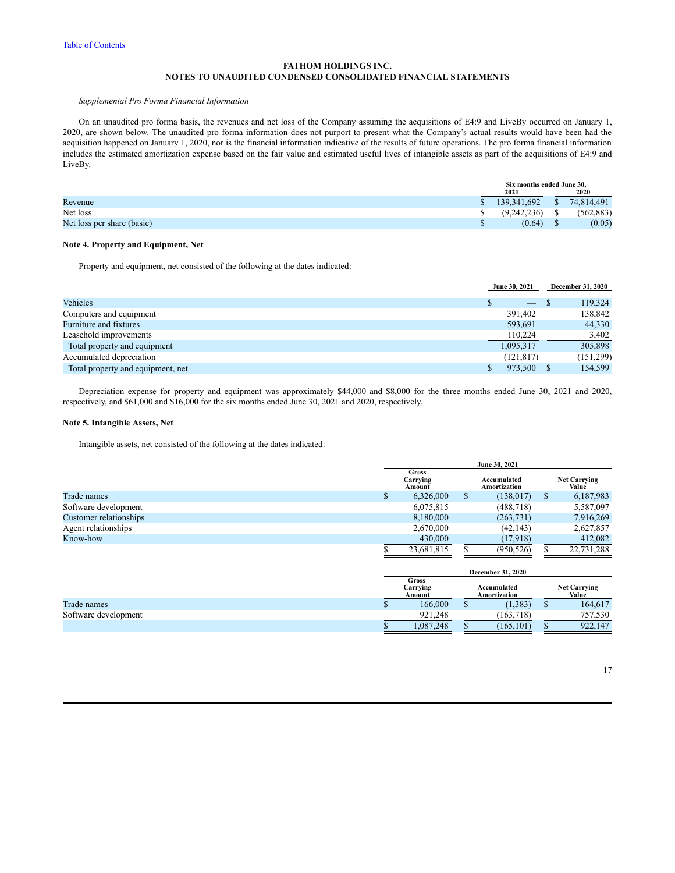## *Supplemental Pro Forma Financial Information*

On an unaudited pro forma basis, the revenues and net loss of the Company assuming the acquisitions of E4:9 and LiveBy occurred on January 1, 2020, are shown below. The unaudited pro forma information does not purport to present what the Company's actual results would have been had the acquisition happened on January 1, 2020, nor is the financial information indicative of the results of future operations. The pro forma financial information includes the estimated amortization expense based on the fair value and estimated useful lives of intangible assets as part of the acquisitions of E4:9 and LiveBy.

|                            | Six months ended June 30. |            |
|----------------------------|---------------------------|------------|
|                            | 2021                      | 2020       |
| Revenue                    | 139, 341, 692             | 74.814.491 |
| Net loss                   | (9.242.236)               | (562, 883) |
| Net loss per share (basic) | (0.64)                    | (0.05)     |

### **Note 4. Property and Equipment, Net**

Property and equipment, net consisted of the following at the dates indicated:

|                                   | June 30, 2021     | <b>December 31, 2020</b> |
|-----------------------------------|-------------------|--------------------------|
|                                   |                   |                          |
| Vehicles                          | $\qquad \qquad -$ | 119.324                  |
| Computers and equipment           | 391,402           | 138,842                  |
| Furniture and fixtures            | 593.691           | 44,330                   |
| Leasehold improvements            | 110.224           | 3,402                    |
| Total property and equipment      | 1,095,317         | 305,898                  |
| Accumulated depreciation          | (121, 817)        | (151,299)                |
| Total property and equipment, net | 973.500           | 154,599                  |

Depreciation expense for property and equipment was approximately \$44,000 and \$8,000 for the three months ended June 30, 2021 and 2020, respectively, and \$61,000 and \$16,000 for the six months ended June 30, 2021 and 2020, respectively.

## **Note 5. Intangible Assets, Net**

Intangible assets, net consisted of the following at the dates indicated:

|                        | June 30, 2021               |  |                             |  |                              |  |  |  |
|------------------------|-----------------------------|--|-----------------------------|--|------------------------------|--|--|--|
|                        | Gross<br>Carrving<br>Amount |  | Accumulated<br>Amortization |  | <b>Net Carrying</b><br>Value |  |  |  |
| Trade names            | 6,326,000                   |  | (138, 017)                  |  | 6,187,983                    |  |  |  |
| Software development   | 6,075,815                   |  | (488, 718)                  |  | 5,587,097                    |  |  |  |
| Customer relationships | 8,180,000                   |  | (263,731)                   |  | 7,916,269                    |  |  |  |
| Agent relationships    | 2,670,000                   |  | (42, 143)                   |  | 2,627,857                    |  |  |  |
| Know-how               | 430,000                     |  | (17,918)                    |  | 412,082                      |  |  |  |
|                        | 23.681.815                  |  | (950, 526)                  |  | 22.731.288                   |  |  |  |

|                      | <b>December 31, 2020</b>                                   |  |            |  |                              |  |
|----------------------|------------------------------------------------------------|--|------------|--|------------------------------|--|
|                      | Gross<br>Carrving<br>Accumulated<br>Amortization<br>Amount |  |            |  | <b>Net Carrying</b><br>Value |  |
| Trade names          | 166,000                                                    |  | (1, 383)   |  | 164,617                      |  |
| Software development | 921.248                                                    |  | (163, 718) |  | 757,530                      |  |
|                      | 1,087,248                                                  |  | (165, 101) |  | 922,147                      |  |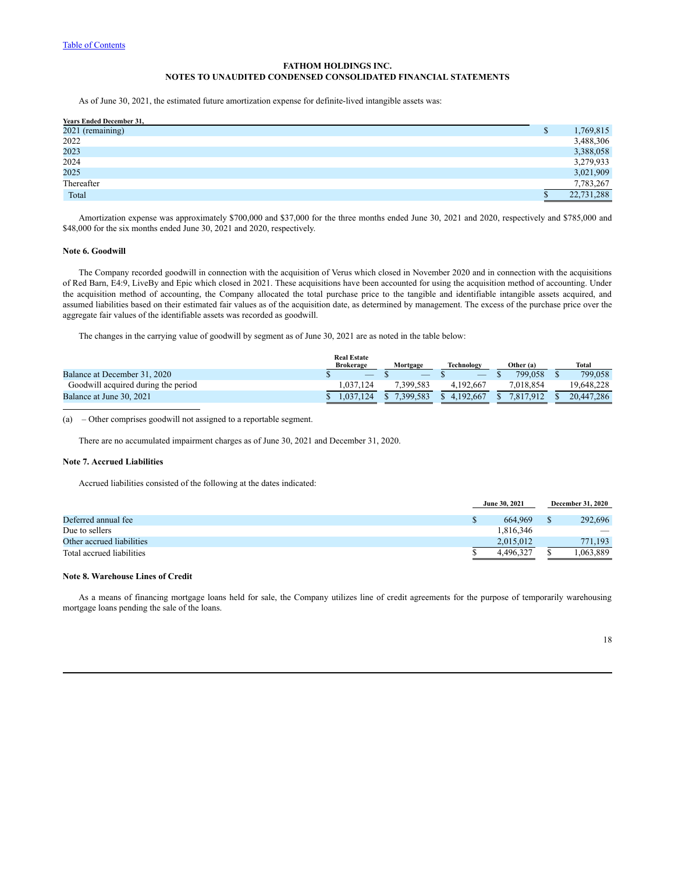As of June 30, 2021, the estimated future amortization expense for definite-lived intangible assets was:

| <b>Years Ended December 31,</b> |   |            |
|---------------------------------|---|------------|
| 2021 (remaining)                | D | 1,769,815  |
| 2022                            |   | 3,488,306  |
| 2023                            |   | 3,388,058  |
| 2024                            |   | 3,279,933  |
| 2025                            |   | 3,021,909  |
| Thereafter                      |   | 7,783,267  |
| Total                           |   | 22,731,288 |

Amortization expense was approximately \$700,000 and \$37,000 for the three months ended June 30, 2021 and 2020, respectively and \$785,000 and \$48,000 for the six months ended June 30, 2021 and 2020, respectively.

### **Note 6. Goodwill**

The Company recorded goodwill in connection with the acquisition of Verus which closed in November 2020 and in connection with the acquisitions of Red Barn, E4:9, LiveBy and Epic which closed in 2021. These acquisitions have been accounted for using the acquisition method of accounting. Under the acquisition method of accounting, the Company allocated the total purchase price to the tangible and identifiable intangible assets acquired, and assumed liabilities based on their estimated fair values as of the acquisition date, as determined by management. The excess of the purchase price over the aggregate fair values of the identifiable assets was recorded as goodwill.

The changes in the carrying value of goodwill by segment as of June 30, 2021 are as noted in the table below:

|                                     | <b>Real Estate</b><br><b>Brokerage</b> | Mortgage  | Technology | Other (a) | Total      |
|-------------------------------------|----------------------------------------|-----------|------------|-----------|------------|
| Balance at December 31, 2020        |                                        |           |            | 799.058   | 799,058    |
| Goodwill acquired during the period | 1.037.124                              | 7.399.583 | 4.192.667  | 7.018.854 | 19.648.228 |
| Balance at June 30, 2021            | 037.124                                | 7.399.583 | 4.192.667  | 7.817.912 | 20.447.286 |

(a) – Other comprises goodwill not assigned to a reportable segment.

There are no accumulated impairment charges as of June 30, 2021 and December 31, 2020.

## **Note 7. Accrued Liabilities**

Accrued liabilities consisted of the following at the dates indicated:

|                           | <b>June 30, 2021</b> | <b>December 31, 2020</b> |
|---------------------------|----------------------|--------------------------|
| Deferred annual fee       | 664.969              | 292,696                  |
| Due to sellers            | 1.816.346            | __                       |
| Other accrued liabilities | 2.015.012            | 771.193                  |
| Total accrued liabilities | 4.496.327            | .063.889                 |

### **Note 8. Warehouse Lines of Credit**

As a means of financing mortgage loans held for sale, the Company utilizes line of credit agreements for the purpose of temporarily warehousing mortgage loans pending the sale of the loans.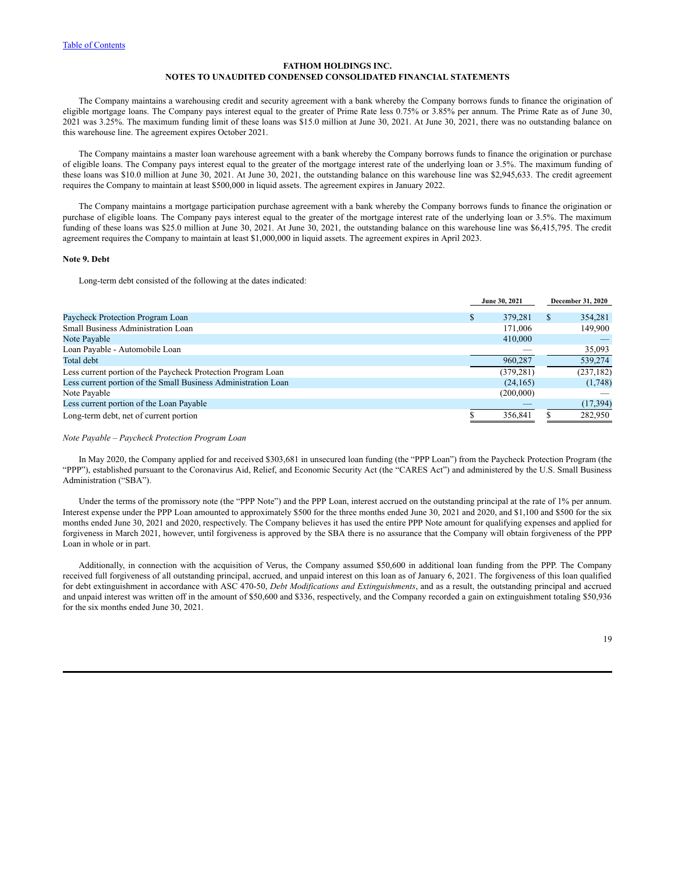The Company maintains a warehousing credit and security agreement with a bank whereby the Company borrows funds to finance the origination of eligible mortgage loans. The Company pays interest equal to the greater of Prime Rate less 0.75% or 3.85% per annum. The Prime Rate as of June 30, 2021 was 3.25%. The maximum funding limit of these loans was \$15.0 million at June 30, 2021. At June 30, 2021, there was no outstanding balance on this warehouse line. The agreement expires October 2021.

The Company maintains a master loan warehouse agreement with a bank whereby the Company borrows funds to finance the origination or purchase of eligible loans. The Company pays interest equal to the greater of the mortgage interest rate of the underlying loan or 3.5%. The maximum funding of these loans was \$10.0 million at June 30, 2021. At June 30, 2021, the outstanding balance on this warehouse line was \$2,945,633. The credit agreement requires the Company to maintain at least \$500,000 in liquid assets. The agreement expires in January 2022.

The Company maintains a mortgage participation purchase agreement with a bank whereby the Company borrows funds to finance the origination or purchase of eligible loans. The Company pays interest equal to the greater of the mortgage interest rate of the underlying loan or 3.5%. The maximum funding of these loans was \$25.0 million at June 30, 2021. At June 30, 2021, the outstanding balance on this warehouse line was \$6,415,795. The credit agreement requires the Company to maintain at least \$1,000,000 in liquid assets. The agreement expires in April 2023.

### **Note 9. Debt**

Long-term debt consisted of the following at the dates indicated:

|                                                                | <b>June 30, 2021</b> | December 31, 2020 |
|----------------------------------------------------------------|----------------------|-------------------|
| Paycheck Protection Program Loan                               | 379,281<br>аĐ.       | 354,281<br>S      |
| Small Business Administration Loan                             | 171.006              | 149,900           |
| Note Payable                                                   | 410,000              |                   |
| Loan Payable - Automobile Loan                                 |                      | 35,093            |
| Total debt                                                     | 960,287              | 539,274           |
| Less current portion of the Paycheck Protection Program Loan   | (379, 281)           | (237, 182)        |
| Less current portion of the Small Business Administration Loan | (24, 165)            | (1,748)           |
| Note Payable                                                   | (200,000)            |                   |
| Less current portion of the Loan Payable                       |                      | (17, 394)         |
| Long-term debt, net of current portion                         | 356,841              | 282,950           |

#### *Note Payable – Paycheck Protection Program Loan*

In May 2020, the Company applied for and received \$303,681 in unsecured loan funding (the "PPP Loan") from the Paycheck Protection Program (the "PPP"), established pursuant to the Coronavirus Aid, Relief, and Economic Security Act (the "CARES Act") and administered by the U.S. Small Business Administration ("SBA").

Under the terms of the promissory note (the "PPP Note") and the PPP Loan, interest accrued on the outstanding principal at the rate of 1% per annum. Interest expense under the PPP Loan amounted to approximately \$500 for the three months ended June 30, 2021 and 2020, and \$1,100 and \$500 for the six months ended June 30, 2021 and 2020, respectively. The Company believes it has used the entire PPP Note amount for qualifying expenses and applied for forgiveness in March 2021, however, until forgiveness is approved by the SBA there is no assurance that the Company will obtain forgiveness of the PPP Loan in whole or in part.

Additionally, in connection with the acquisition of Verus, the Company assumed \$50,600 in additional loan funding from the PPP. The Company received full forgiveness of all outstanding principal, accrued, and unpaid interest on this loan as of January 6, 2021. The forgiveness of this loan qualified for debt extinguishment in accordance with ASC 470-50, *Debt Modifications and Extinguishments*, and as a result, the outstanding principal and accrued and unpaid interest was written off in the amount of \$50,600 and \$336, respectively, and the Company recorded a gain on extinguishment totaling \$50,936 for the six months ended June 30, 2021.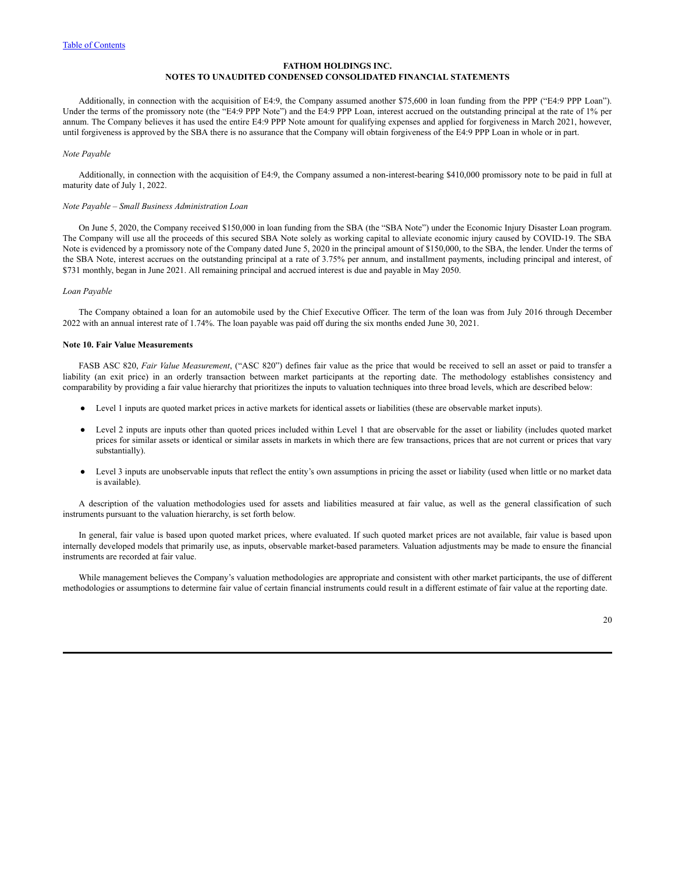Additionally, in connection with the acquisition of E4:9, the Company assumed another \$75,600 in loan funding from the PPP ("E4:9 PPP Loan"). Under the terms of the promissory note (the "E4:9 PPP Note") and the E4:9 PPP Loan, interest accrued on the outstanding principal at the rate of 1% per annum. The Company believes it has used the entire E4:9 PPP Note amount for qualifying expenses and applied for forgiveness in March 2021, however, until forgiveness is approved by the SBA there is no assurance that the Company will obtain forgiveness of the E4:9 PPP Loan in whole or in part.

#### *Note Payable*

Additionally, in connection with the acquisition of E4:9, the Company assumed a non-interest-bearing \$410,000 promissory note to be paid in full at maturity date of July 1, 2022.

### *Note Payable – Small Business Administration Loan*

On June 5, 2020, the Company received \$150,000 in loan funding from the SBA (the "SBA Note") under the Economic Injury Disaster Loan program. The Company will use all the proceeds of this secured SBA Note solely as working capital to alleviate economic injury caused by COVID-19. The SBA Note is evidenced by a promissory note of the Company dated June 5, 2020 in the principal amount of \$150,000, to the SBA, the lender. Under the terms of the SBA Note, interest accrues on the outstanding principal at a rate of 3.75% per annum, and installment payments, including principal and interest, of \$731 monthly, began in June 2021. All remaining principal and accrued interest is due and payable in May 2050.

## *Loan Payable*

The Company obtained a loan for an automobile used by the Chief Executive Officer. The term of the loan was from July 2016 through December 2022 with an annual interest rate of 1.74%. The loan payable was paid off during the six months ended June 30, 2021.

#### **Note 10. Fair Value Measurements**

FASB ASC 820, *Fair Value Measurement*, ("ASC 820") defines fair value as the price that would be received to sell an asset or paid to transfer a liability (an exit price) in an orderly transaction between market participants at the reporting date. The methodology establishes consistency and comparability by providing a fair value hierarchy that prioritizes the inputs to valuation techniques into three broad levels, which are described below:

- Level 1 inputs are quoted market prices in active markets for identical assets or liabilities (these are observable market inputs).
- Level 2 inputs are inputs other than quoted prices included within Level 1 that are observable for the asset or liability (includes quoted market prices for similar assets or identical or similar assets in markets in which there are few transactions, prices that are not current or prices that vary substantially).
- Level 3 inputs are unobservable inputs that reflect the entity's own assumptions in pricing the asset or liability (used when little or no market data is available).

A description of the valuation methodologies used for assets and liabilities measured at fair value, as well as the general classification of such instruments pursuant to the valuation hierarchy, is set forth below.

In general, fair value is based upon quoted market prices, where evaluated. If such quoted market prices are not available, fair value is based upon internally developed models that primarily use, as inputs, observable market-based parameters. Valuation adjustments may be made to ensure the financial instruments are recorded at fair value.

While management believes the Company's valuation methodologies are appropriate and consistent with other market participants, the use of different methodologies or assumptions to determine fair value of certain financial instruments could result in a different estimate of fair value at the reporting date.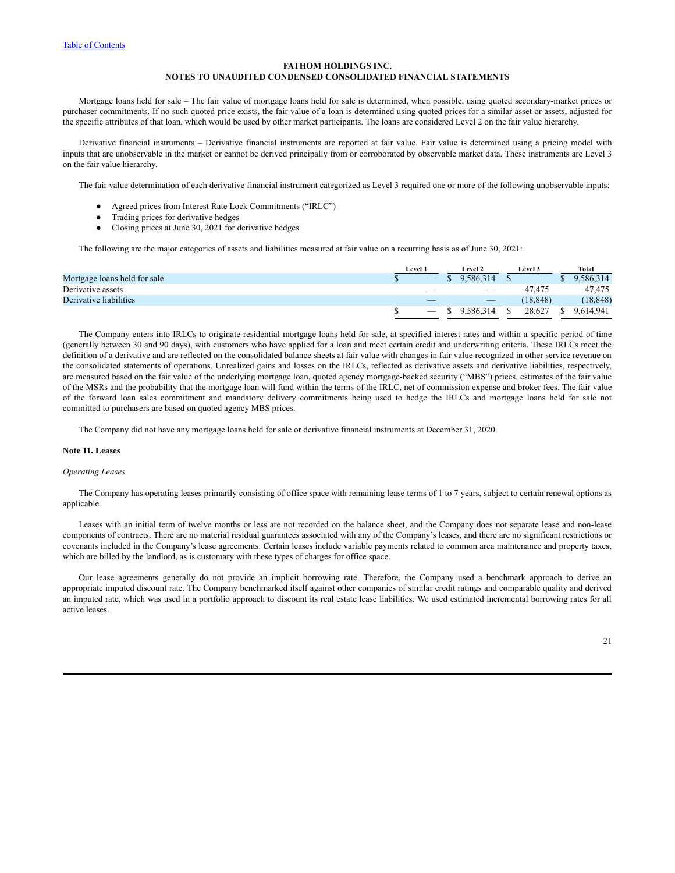Mortgage loans held for sale – The fair value of mortgage loans held for sale is determined, when possible, using quoted secondary-market prices or purchaser commitments. If no such quoted price exists, the fair value of a loan is determined using quoted prices for a similar asset or assets, adjusted for the specific attributes of that loan, which would be used by other market participants. The loans are considered Level 2 on the fair value hierarchy.

Derivative financial instruments – Derivative financial instruments are reported at fair value. Fair value is determined using a pricing model with inputs that are unobservable in the market or cannot be derived principally from or corroborated by observable market data. These instruments are Level 3 on the fair value hierarchy.

The fair value determination of each derivative financial instrument categorized as Level 3 required one or more of the following unobservable inputs:

- Agreed prices from Interest Rate Lock Commitments ("IRLC")
- Trading prices for derivative hedges
- Closing prices at June 30, 2021 for derivative hedges

The following are the major categories of assets and liabilities measured at fair value on a recurring basis as of June 30, 2021:

|                              | <b>Level 1</b> | <b>Level 2</b>           | <b>Level 3</b> | Total     |
|------------------------------|----------------|--------------------------|----------------|-----------|
| Mortgage loans held for sale |                | 9.586.314                |                | 9.586.314 |
| Derivative assets            | __             | $\overline{\phantom{a}}$ | 47.475         | 47.475    |
| Derivative liabilities       |                |                          | (18.848)       | (18.848)  |
|                              |                | 9,586,314                | 28.627         | 9.614.941 |

The Company enters into IRLCs to originate residential mortgage loans held for sale, at specified interest rates and within a specific period of time (generally between 30 and 90 days), with customers who have applied for a loan and meet certain credit and underwriting criteria. These IRLCs meet the definition of a derivative and are reflected on the consolidated balance sheets at fair value with changes in fair value recognized in other service revenue on the consolidated statements of operations. Unrealized gains and losses on the IRLCs, reflected as derivative assets and derivative liabilities, respectively, are measured based on the fair value of the underlying mortgage loan, quoted agency mortgage-backed security ("MBS") prices, estimates of the fair value of the MSRs and the probability that the mortgage loan will fund within the terms of the IRLC, net of commission expense and broker fees. The fair value of the forward loan sales commitment and mandatory delivery commitments being used to hedge the IRLCs and mortgage loans held for sale not committed to purchasers are based on quoted agency MBS prices.

The Company did not have any mortgage loans held for sale or derivative financial instruments at December 31, 2020.

#### **Note 11. Leases**

## *Operating Leases*

The Company has operating leases primarily consisting of office space with remaining lease terms of 1 to 7 years, subject to certain renewal options as applicable.

Leases with an initial term of twelve months or less are not recorded on the balance sheet, and the Company does not separate lease and non-lease components of contracts. There are no material residual guarantees associated with any of the Company's leases, and there are no significant restrictions or covenants included in the Company's lease agreements. Certain leases include variable payments related to common area maintenance and property taxes, which are billed by the landlord, as is customary with these types of charges for office space.

Our lease agreements generally do not provide an implicit borrowing rate. Therefore, the Company used a benchmark approach to derive an appropriate imputed discount rate. The Company benchmarked itself against other companies of similar credit ratings and comparable quality and derived an imputed rate, which was used in a portfolio approach to discount its real estate lease liabilities. We used estimated incremental borrowing rates for all active leases.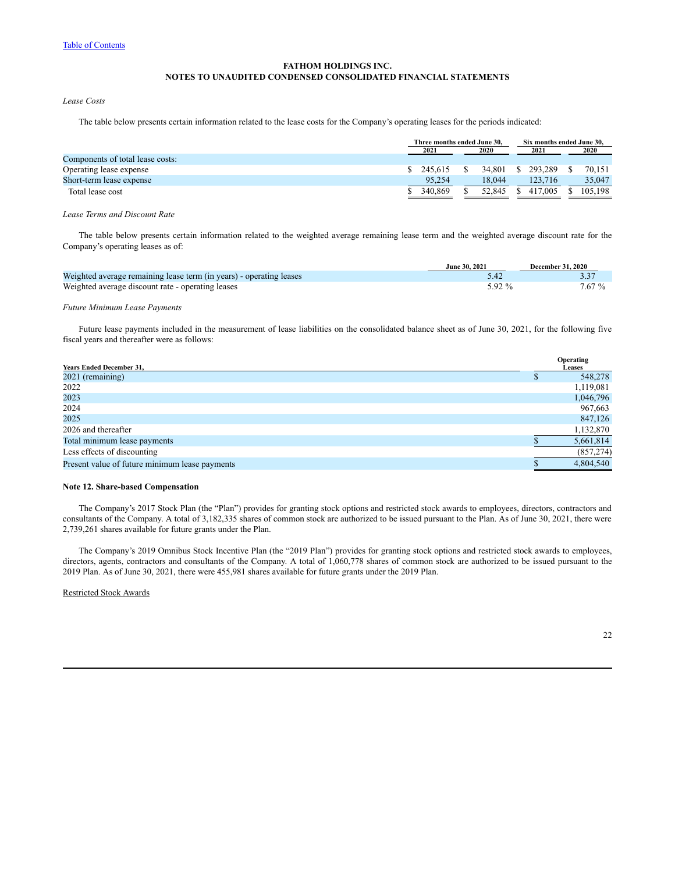## *Lease Costs*

The table below presents certain information related to the lease costs for the Company's operating leases for the periods indicated:

|                                  |      | Three months ended June 30. |             |        |  | Six months ended June 30. |  |         |  |  |  |  |  |  |  |  |  |  |  |  |  |  |  |  |  |  |  |  |  |  |      |  |  |      |
|----------------------------------|------|-----------------------------|-------------|--------|--|---------------------------|--|---------|--|--|--|--|--|--|--|--|--|--|--|--|--|--|--|--|--|--|--|--|--|--|------|--|--|------|
|                                  | 2021 |                             | <b>2020</b> |        |  |                           |  |         |  |  |  |  |  |  |  |  |  |  |  |  |  |  |  |  |  |  |  |  |  |  | 2021 |  |  | 2020 |
| Components of total lease costs: |      |                             |             |        |  |                           |  |         |  |  |  |  |  |  |  |  |  |  |  |  |  |  |  |  |  |  |  |  |  |  |      |  |  |      |
| Operating lease expense          | S.   | 245.615                     |             | 34.801 |  | 293.289                   |  | 70.151  |  |  |  |  |  |  |  |  |  |  |  |  |  |  |  |  |  |  |  |  |  |  |      |  |  |      |
| Short-term lease expense         |      | 95.254                      |             | 18.044 |  | 123.716                   |  | 35,047  |  |  |  |  |  |  |  |  |  |  |  |  |  |  |  |  |  |  |  |  |  |  |      |  |  |      |
| Total lease cost                 |      | 340.869                     |             | 52.845 |  | 417.005                   |  | 105.198 |  |  |  |  |  |  |  |  |  |  |  |  |  |  |  |  |  |  |  |  |  |  |      |  |  |      |

### *Lease Terms and Discount Rate*

The table below presents certain information related to the weighted average remaining lease term and the weighted average discount rate for the Company's operating leases as of:

|                                                                     | June 30, 2021 | <b>December 31, 2020</b> |
|---------------------------------------------------------------------|---------------|--------------------------|
| Weighted average remaining lease term (in years) - operating leases |               |                          |
| Weighted average discount rate - operating leases                   | $5.92\%$      | 7.67 %                   |

### *Future Minimum Lease Payments*

Future lease payments included in the measurement of lease liabilities on the consolidated balance sheet as of June 30, 2021, for the following five fiscal years and thereafter were as follows:

| <b>Years Ended December 31,</b>                | Operating<br><b>Leases</b> |
|------------------------------------------------|----------------------------|
| 2021 (remaining)                               | 548,278                    |
| 2022                                           | 1,119,081                  |
| 2023                                           | 1,046,796                  |
| 2024                                           | 967,663                    |
| 2025                                           | 847,126                    |
| 2026 and thereafter                            | 1,132,870                  |
| Total minimum lease payments                   | 5,661,814                  |
| Less effects of discounting                    | (857, 274)                 |
| Present value of future minimum lease payments | 4,804,540                  |

#### **Note 12. Share-based Compensation**

The Company's 2017 Stock Plan (the "Plan") provides for granting stock options and restricted stock awards to employees, directors, contractors and consultants of the Company. A total of 3,182,335 shares of common stock are authorized to be issued pursuant to the Plan. As of June 30, 2021, there were 2,739,261 shares available for future grants under the Plan.

The Company's 2019 Omnibus Stock Incentive Plan (the "2019 Plan") provides for granting stock options and restricted stock awards to employees, directors, agents, contractors and consultants of the Company. A total of 1,060,778 shares of common stock are authorized to be issued pursuant to the 2019 Plan. As of June 30, 2021, there were 455,981 shares available for future grants under the 2019 Plan.

## Restricted Stock Awards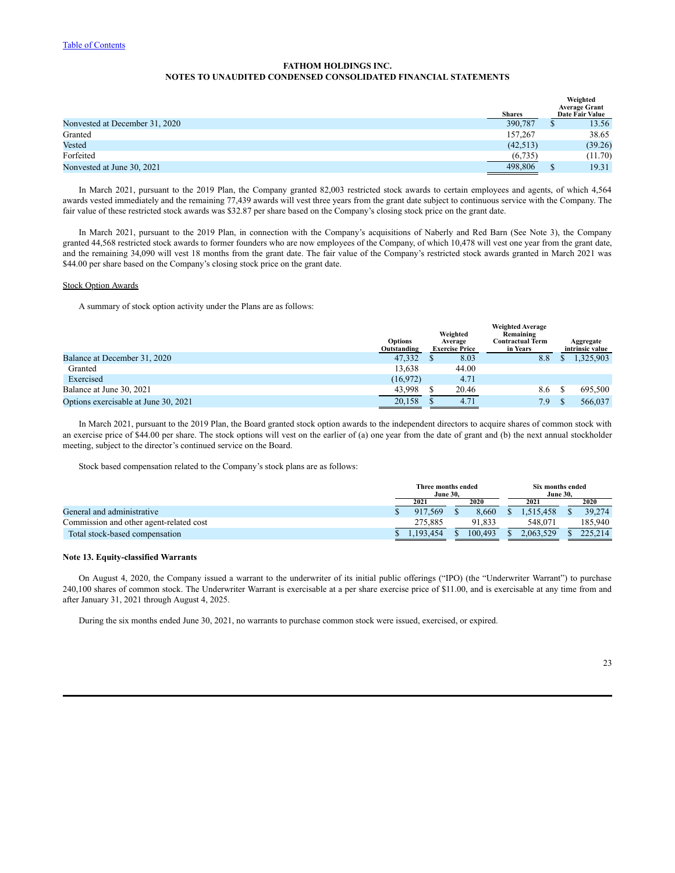|                                |               | Weighted                                       |
|--------------------------------|---------------|------------------------------------------------|
|                                | <b>Shares</b> | <b>Average Grant</b><br><b>Date Fair Value</b> |
| Nonvested at December 31, 2020 | 390,787       | 13.56                                          |
| Granted                        | 157.267       | 38.65                                          |
| <b>Vested</b>                  | (42, 513)     | (39.26)                                        |
| Forfeited                      | (6,735)       | (11.70)                                        |
| Nonvested at June 30, 2021     | 498,806       | 19.31                                          |

In March 2021, pursuant to the 2019 Plan, the Company granted 82,003 restricted stock awards to certain employees and agents, of which 4,564 awards vested immediately and the remaining 77,439 awards will vest three years from the grant date subject to continuous service with the Company. The fair value of these restricted stock awards was \$32.87 per share based on the Company's closing stock price on the grant date.

In March 2021, pursuant to the 2019 Plan, in connection with the Company's acquisitions of Naberly and Red Barn (See Note 3), the Company granted 44,568 restricted stock awards to former founders who are now employees of the Company, of which 10,478 will vest one year from the grant date, and the remaining 34,090 will vest 18 months from the grant date. The fair value of the Company's restricted stock awards granted in March 2021 was \$44.00 per share based on the Company's closing stock price on the grant date.

## Stock Option Awards

A summary of stock option activity under the Plans are as follows:

|                                      | <b>Options</b><br>Outstanding | Weighted<br>Average<br><b>Exercise Price</b> | <b>Weighted Average</b><br>Remaining<br><b>Contractual Term</b><br>in Years | Aggregate<br>intrinsic value |          |  |
|--------------------------------------|-------------------------------|----------------------------------------------|-----------------------------------------------------------------------------|------------------------------|----------|--|
| Balance at December 31, 2020         | 47,332                        | 8.03                                         | 8.8                                                                         |                              | .325,903 |  |
| Granted                              | 13.638                        | 44.00                                        |                                                                             |                              |          |  |
| Exercised                            | (16.972)                      | 4.71                                         |                                                                             |                              |          |  |
| Balance at June 30, 2021             | 43.998                        | 20.46                                        | 8.6                                                                         |                              | 695.500  |  |
| Options exercisable at June 30, 2021 | 20.158                        | 4.71                                         | 7.9                                                                         |                              | 566.037  |  |

In March 2021, pursuant to the 2019 Plan, the Board granted stock option awards to the independent directors to acquire shares of common stock with an exercise price of \$44.00 per share. The stock options will vest on the earlier of (a) one year from the date of grant and (b) the next annual stockholder meeting, subject to the director's continued service on the Board.

Stock based compensation related to the Company's stock plans are as follows:

|                                         |  | Three months ended<br><b>June 30.</b> |          |  |         |  | Six months ended |  |         |  |  |  |  |  |  |  |  |  |  |  |  |  |  |  |  |  |  |  |  |  |  |  |  |  |  |  |  |  |  |  |  |      |  |      |  |      |
|-----------------------------------------|--|---------------------------------------|----------|--|---------|--|------------------|--|---------|--|--|--|--|--|--|--|--|--|--|--|--|--|--|--|--|--|--|--|--|--|--|--|--|--|--|--|--|--|--|--|--|------|--|------|--|------|
|                                         |  | 2021                                  |          |  |         |  |                  |  |         |  |  |  |  |  |  |  |  |  |  |  |  |  |  |  |  |  |  |  |  |  |  |  |  |  |  |  |  |  |  |  |  | 2020 |  | 2021 |  | 2020 |
| General and administrative              |  |                                       | 917.569  |  | 8.660   |  | .515.458         |  | 39,274  |  |  |  |  |  |  |  |  |  |  |  |  |  |  |  |  |  |  |  |  |  |  |  |  |  |  |  |  |  |  |  |  |      |  |      |  |      |
| Commission and other agent-related cost |  |                                       | 275.885  |  | 91.833  |  | 548.071          |  | 185.940 |  |  |  |  |  |  |  |  |  |  |  |  |  |  |  |  |  |  |  |  |  |  |  |  |  |  |  |  |  |  |  |  |      |  |      |  |      |
| Total stock-based compensation          |  |                                       | .193.454 |  | 100.493 |  | 2.063.529        |  | 225,214 |  |  |  |  |  |  |  |  |  |  |  |  |  |  |  |  |  |  |  |  |  |  |  |  |  |  |  |  |  |  |  |  |      |  |      |  |      |

### **Note 13. Equity-classified Warrants**

On August 4, 2020, the Company issued a warrant to the underwriter of its initial public offerings ("IPO) (the "Underwriter Warrant") to purchase 240,100 shares of common stock. The Underwriter Warrant is exercisable at a per share exercise price of \$11.00, and is exercisable at any time from and after January 31, 2021 through August 4, 2025.

During the six months ended June 30, 2021, no warrants to purchase common stock were issued, exercised, or expired.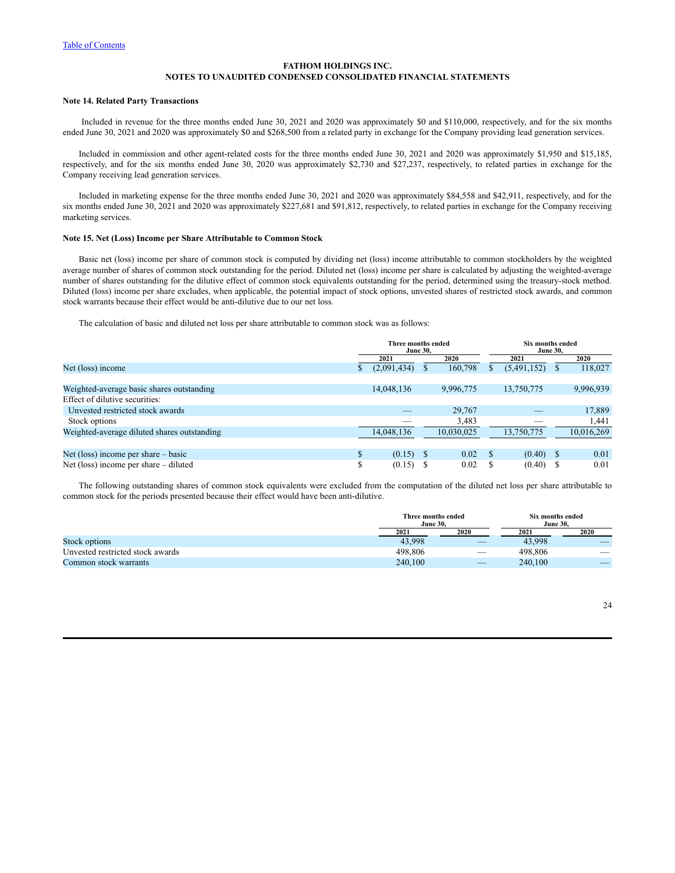#### **Note 14. Related Party Transactions**

Included in revenue for the three months ended June 30, 2021 and 2020 was approximately \$0 and \$110,000, respectively, and for the six months ended June 30, 2021 and 2020 was approximately \$0 and \$268,500 from a related party in exchange for the Company providing lead generation services.

Included in commission and other agent-related costs for the three months ended June 30, 2021 and 2020 was approximately \$1,950 and \$15,185, respectively, and for the six months ended June 30, 2020 was approximately \$2,730 and \$27,237, respectively, to related parties in exchange for the Company receiving lead generation services.

Included in marketing expense for the three months ended June 30, 2021 and 2020 was approximately \$84,558 and \$42,911, respectively, and for the six months ended June 30, 2021 and 2020 was approximately \$227,681 and \$91,812, respectively, to related parties in exchange for the Company receiving marketing services.

### **Note 15. Net (Loss) Income per Share Attributable to Common Stock**

Basic net (loss) income per share of common stock is computed by dividing net (loss) income attributable to common stockholders by the weighted average number of shares of common stock outstanding for the period. Diluted net (loss) income per share is calculated by adjusting the weighted-average number of shares outstanding for the dilutive effect of common stock equivalents outstanding for the period, determined using the treasury-stock method. Diluted (loss) income per share excludes, when applicable, the potential impact of stock options, unvested shares of restricted stock awards, and common stock warrants because their effect would be anti-dilutive due to our net loss.

The calculation of basic and diluted net loss per share attributable to common stock was as follows:

|                                             | Three months ended<br><b>June 30.</b> |             |               |            |     |             | Six months ended<br><b>June 30.</b> |            |  |
|---------------------------------------------|---------------------------------------|-------------|---------------|------------|-----|-------------|-------------------------------------|------------|--|
|                                             |                                       | 2021        |               | 2020       |     | 2021        |                                     | 2020       |  |
| Net (loss) income                           | ъ                                     | (2,091,434) |               | 160,798    |     | (5,491,152) |                                     | 118,027    |  |
|                                             |                                       |             |               |            |     |             |                                     |            |  |
| Weighted-average basic shares outstanding   |                                       | 14,048,136  |               | 9,996,775  |     | 13,750,775  |                                     | 9,996,939  |  |
| Effect of dilutive securities:              |                                       |             |               |            |     |             |                                     |            |  |
| Unvested restricted stock awards            |                                       |             |               | 29,767     |     |             |                                     | 17,889     |  |
| Stock options                               |                                       |             |               | 3,483      |     |             |                                     | 1,441      |  |
| Weighted-average diluted shares outstanding |                                       | 14,048,136  |               | 10,030,025 |     | 13,750,775  |                                     | 10,016,269 |  |
|                                             |                                       |             |               |            |     |             |                                     |            |  |
| Net (loss) income per share $-$ basic       | \$                                    | (0.15)      | <sup>\$</sup> | 0.02       | S   | (0.40)      | S                                   | 0.01       |  |
| Net (loss) income per share $-$ diluted     | \$                                    | (0.15)      |               | 0.02       | \$. | (0.40)      | S                                   | 0.01       |  |

The following outstanding shares of common stock equivalents were excluded from the computation of the diluted net loss per share attributable to common stock for the periods presented because their effect would have been anti-dilutive.

|                                  | Three months ended<br><b>June 30.</b> |                          | Six months ended<br><b>June 30.</b> |      |
|----------------------------------|---------------------------------------|--------------------------|-------------------------------------|------|
|                                  | 2021                                  | 2020                     | 2021                                | 2020 |
| Stock options                    | 43,998                                |                          | 43,998                              |      |
| Unvested restricted stock awards | 498.806                               | $\overline{\phantom{a}}$ | 498.806                             | __   |
| Common stock warrants            | 240.100                               |                          | 240.100                             |      |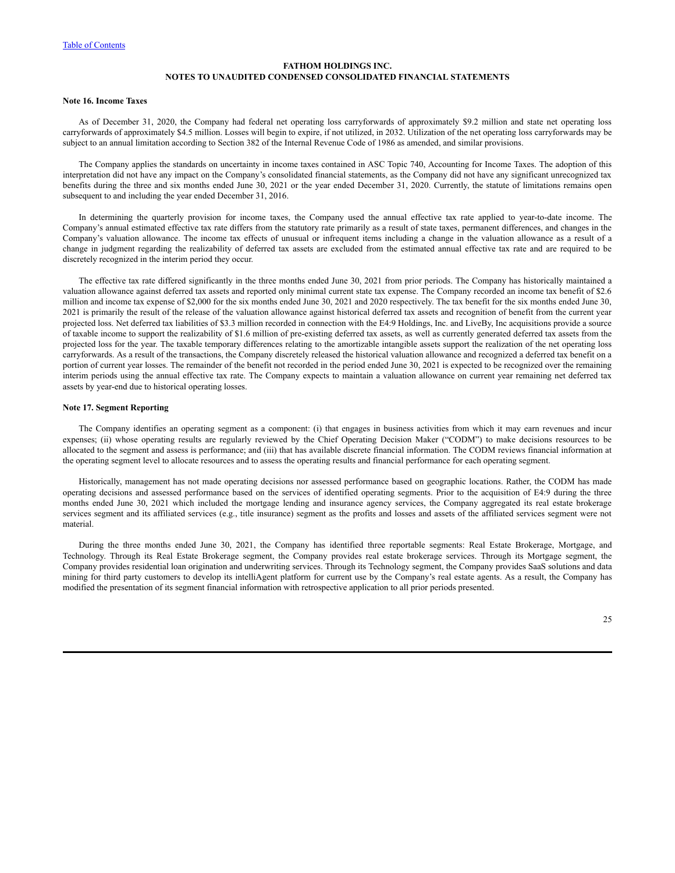## **Note 16. Income Taxes**

As of December 31, 2020, the Company had federal net operating loss carryforwards of approximately \$9.2 million and state net operating loss carryforwards of approximately \$4.5 million. Losses will begin to expire, if not utilized, in 2032. Utilization of the net operating loss carryforwards may be subject to an annual limitation according to Section 382 of the Internal Revenue Code of 1986 as amended, and similar provisions.

The Company applies the standards on uncertainty in income taxes contained in ASC Topic 740, Accounting for Income Taxes. The adoption of this interpretation did not have any impact on the Company's consolidated financial statements, as the Company did not have any significant unrecognized tax benefits during the three and six months ended June 30, 2021 or the year ended December 31, 2020. Currently, the statute of limitations remains open subsequent to and including the year ended December 31, 2016.

In determining the quarterly provision for income taxes, the Company used the annual effective tax rate applied to year-to-date income. The Company's annual estimated effective tax rate differs from the statutory rate primarily as a result of state taxes, permanent differences, and changes in the Company's valuation allowance. The income tax effects of unusual or infrequent items including a change in the valuation allowance as a result of a change in judgment regarding the realizability of deferred tax assets are excluded from the estimated annual effective tax rate and are required to be discretely recognized in the interim period they occur.

The effective tax rate differed significantly in the three months ended June 30, 2021 from prior periods. The Company has historically maintained a valuation allowance against deferred tax assets and reported only minimal current state tax expense. The Company recorded an income tax benefit of \$2.6 million and income tax expense of \$2,000 for the six months ended June 30, 2021 and 2020 respectively. The tax benefit for the six months ended June 30, 2021 is primarily the result of the release of the valuation allowance against historical deferred tax assets and recognition of benefit from the current year projected loss. Net deferred tax liabilities of \$3.3 million recorded in connection with the E4:9 Holdings, Inc. and LiveBy, Inc acquisitions provide a source of taxable income to support the realizability of \$1.6 million of pre-existing deferred tax assets, as well as currently generated deferred tax assets from the projected loss for the year. The taxable temporary differences relating to the amortizable intangible assets support the realization of the net operating loss carryforwards. As a result of the transactions, the Company discretely released the historical valuation allowance and recognized a deferred tax benefit on a portion of current year losses. The remainder of the benefit not recorded in the period ended June 30, 2021 is expected to be recognized over the remaining interim periods using the annual effective tax rate. The Company expects to maintain a valuation allowance on current year remaining net deferred tax assets by year-end due to historical operating losses.

### **Note 17. Segment Reporting**

The Company identifies an operating segment as a component: (i) that engages in business activities from which it may earn revenues and incur expenses; (ii) whose operating results are regularly reviewed by the Chief Operating Decision Maker ("CODM") to make decisions resources to be allocated to the segment and assess is performance; and (iii) that has available discrete financial information. The CODM reviews financial information at the operating segment level to allocate resources and to assess the operating results and financial performance for each operating segment.

Historically, management has not made operating decisions nor assessed performance based on geographic locations. Rather, the CODM has made operating decisions and assessed performance based on the services of identified operating segments. Prior to the acquisition of E4:9 during the three months ended June 30, 2021 which included the mortgage lending and insurance agency services, the Company aggregated its real estate brokerage services segment and its affiliated services (e.g., title insurance) segment as the profits and losses and assets of the affiliated services segment were not material.

During the three months ended June 30, 2021, the Company has identified three reportable segments: Real Estate Brokerage, Mortgage, and Technology. Through its Real Estate Brokerage segment, the Company provides real estate brokerage services. Through its Mortgage segment, the Company provides residential loan origination and underwriting services. Through its Technology segment, the Company provides SaaS solutions and data mining for third party customers to develop its intelliAgent platform for current use by the Company's real estate agents. As a result, the Company has modified the presentation of its segment financial information with retrospective application to all prior periods presented.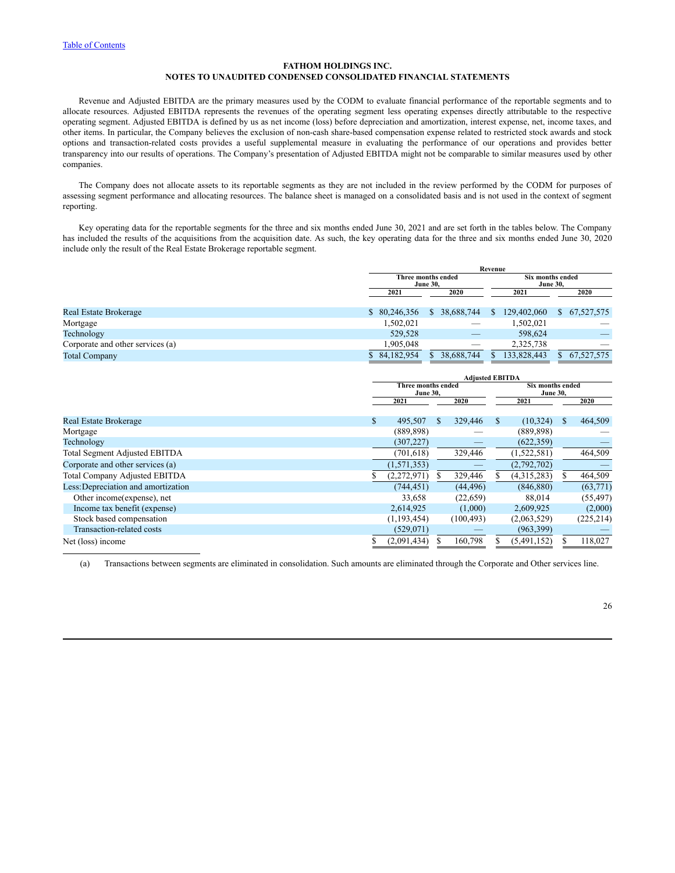Revenue and Adjusted EBITDA are the primary measures used by the CODM to evaluate financial performance of the reportable segments and to allocate resources. Adjusted EBITDA represents the revenues of the operating segment less operating expenses directly attributable to the respective operating segment. Adjusted EBITDA is defined by us as net income (loss) before depreciation and amortization, interest expense, net, income taxes, and other items. In particular, the Company believes the exclusion of non-cash share-based compensation expense related to restricted stock awards and stock options and transaction-related costs provides a useful supplemental measure in evaluating the performance of our operations and provides better transparency into our results of operations. The Company's presentation of Adjusted EBITDA might not be comparable to similar measures used by other companies.

The Company does not allocate assets to its reportable segments as they are not included in the review performed by the CODM for purposes of assessing segment performance and allocating resources. The balance sheet is managed on a consolidated basis and is not used in the context of segment reporting.

Key operating data for the reportable segments for the three and six months ended June 30, 2021 and are set forth in the tables below. The Company has included the results of the acquisitions from the acquisition date. As such, the key operating data for the three and six months ended June 30, 2020 include only the result of the Real Estate Brokerage reportable segment.

|                                  | Revenue       |                                       |                                     |                  |  |  |  |  |  |
|----------------------------------|---------------|---------------------------------------|-------------------------------------|------------------|--|--|--|--|--|
|                                  |               | Three months ended<br><b>June 30.</b> | Six months ended<br><b>June 30,</b> |                  |  |  |  |  |  |
|                                  | 2021          | 2020                                  |                                     | 2020             |  |  |  |  |  |
|                                  |               |                                       |                                     |                  |  |  |  |  |  |
| Real Estate Brokerage            | \$80,246,356  | \$ 38,688,744                         | 129,402,060<br>S.                   | 67,527,575<br>S. |  |  |  |  |  |
| Mortgage                         | 1,502,021     |                                       | 1,502,021                           |                  |  |  |  |  |  |
| Technology                       | 529,528       |                                       | 598,624                             |                  |  |  |  |  |  |
| Corporate and other services (a) | 1,905,048     |                                       | 2,325,738                           |                  |  |  |  |  |  |
| <b>Total Company</b>             | \$ 84,182,954 | 38,688,744                            | 133,828,443                         | 67,527,575       |  |  |  |  |  |

|                                      | <b>Adjusted EBITDA</b>                |               |    |            |    |                                     |   |            |  |  |  |
|--------------------------------------|---------------------------------------|---------------|----|------------|----|-------------------------------------|---|------------|--|--|--|
|                                      | Three months ended<br><b>June 30,</b> |               |    |            |    | Six months ended<br><b>June 30,</b> |   |            |  |  |  |
|                                      |                                       | 2021          |    | 2020       |    | 2021                                |   | 2020       |  |  |  |
| Real Estate Brokerage                | \$                                    | 495,507       | S. | 329,446    | S. | (10, 324)                           | S | 464,509    |  |  |  |
| Mortgage                             |                                       | (889, 898)    |    |            |    | (889, 898)                          |   |            |  |  |  |
| Technology                           |                                       | (307, 227)    |    |            |    | (622, 359)                          |   |            |  |  |  |
| <b>Total Segment Adjusted EBITDA</b> |                                       | (701, 618)    |    | 329,446    |    | (1,522,581)                         |   | 464,509    |  |  |  |
| Corporate and other services (a)     |                                       | (1,571,353)   |    |            |    | (2,792,702)                         |   |            |  |  |  |
| <b>Total Company Adjusted EBITDA</b> |                                       | (2,272,971)   |    | 329,446    |    | (4,315,283)                         |   | 464,509    |  |  |  |
| Less: Depreciation and amortization  |                                       | (744.451)     |    | (44, 496)  |    | (846, 880)                          |   | (63, 771)  |  |  |  |
| Other income (expense), net          |                                       | 33,658        |    | (22, 659)  |    | 88.014                              |   | (55, 497)  |  |  |  |
| Income tax benefit (expense)         |                                       | 2,614,925     |    | (1,000)    |    | 2,609,925                           |   | (2,000)    |  |  |  |
| Stock based compensation             |                                       | (1, 193, 454) |    | (100, 493) |    | (2,063,529)                         |   | (225, 214) |  |  |  |
| Transaction-related costs            |                                       | (529, 071)    |    |            |    | (963, 399)                          |   |            |  |  |  |
| Net (loss) income                    |                                       | (2,091,434)   |    | 160,798    |    | (5,491,152)                         |   | 118,027    |  |  |  |

(a) Transactions between segments are eliminated in consolidation. Such amounts are eliminated through the Corporate and Other services line.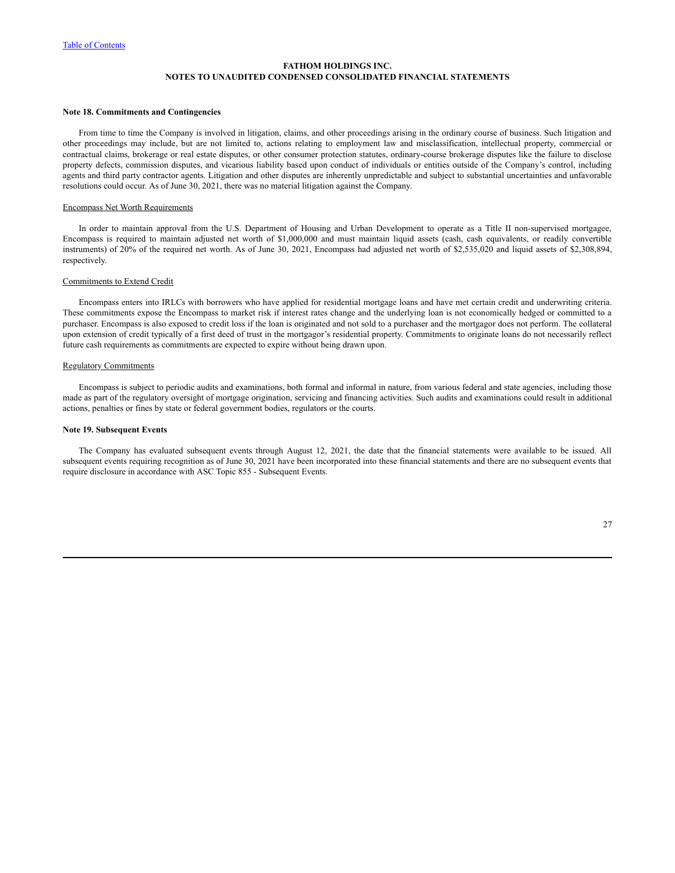#### **Note 18. Commitments and Contingencies**

From time to time the Company is involved in litigation, claims, and other proceedings arising in the ordinary course of business. Such litigation and other proceedings may include, but are not limited to, actions relating to employment law and misclassification, intellectual property, commercial or contractual claims, brokerage or real estate disputes, or other consumer protection statutes, ordinary-course brokerage disputes like the failure to disclose property defects, commission disputes, and vicarious liability based upon conduct of individuals or entities outside of the Company's control, including agents and third party contractor agents. Litigation and other disputes are inherently unpredictable and subject to substantial uncertainties and unfavorable resolutions could occur. As of June 30, 2021, there was no material litigation against the Company.

## Encompass Net Worth Requirements

In order to maintain approval from the U.S. Department of Housing and Urban Development to operate as a Title II non-supervised mortgagee, Encompass is required to maintain adjusted net worth of \$1,000,000 and must maintain liquid assets (cash, cash equivalents, or readily convertible instruments) of 20% of the required net worth. As of June 30, 2021, Encompass had adjusted net worth of \$2,535,020 and liquid assets of \$2,308,894, respectively.

#### Commitments to Extend Credit

Encompass enters into IRLCs with borrowers who have applied for residential mortgage loans and have met certain credit and underwriting criteria. These commitments expose the Encompass to market risk if interest rates change and the underlying loan is not economically hedged or committed to a purchaser. Encompass is also exposed to credit loss if the loan is originated and not sold to a purchaser and the mortgagor does not perform. The collateral upon extension of credit typically of a first deed of trust in the mortgagor's residential property. Commitments to originate loans do not necessarily reflect future cash requirements as commitments are expected to expire without being drawn upon.

#### Regulatory Commitments

Encompass is subject to periodic audits and examinations, both formal and informal in nature, from various federal and state agencies, including those made as part of the regulatory oversight of mortgage origination, servicing and financing activities. Such audits and examinations could result in additional actions, penalties or fines by state or federal government bodies, regulators or the courts.

### **Note 19. Subsequent Events**

The Company has evaluated subsequent events through August 12, 2021, the date that the financial statements were available to be issued. All subsequent events requiring recognition as of June 30, 2021 have been incorporated into these financial statements and there are no subsequent events that require disclosure in accordance with ASC Topic 855 - Subsequent Events.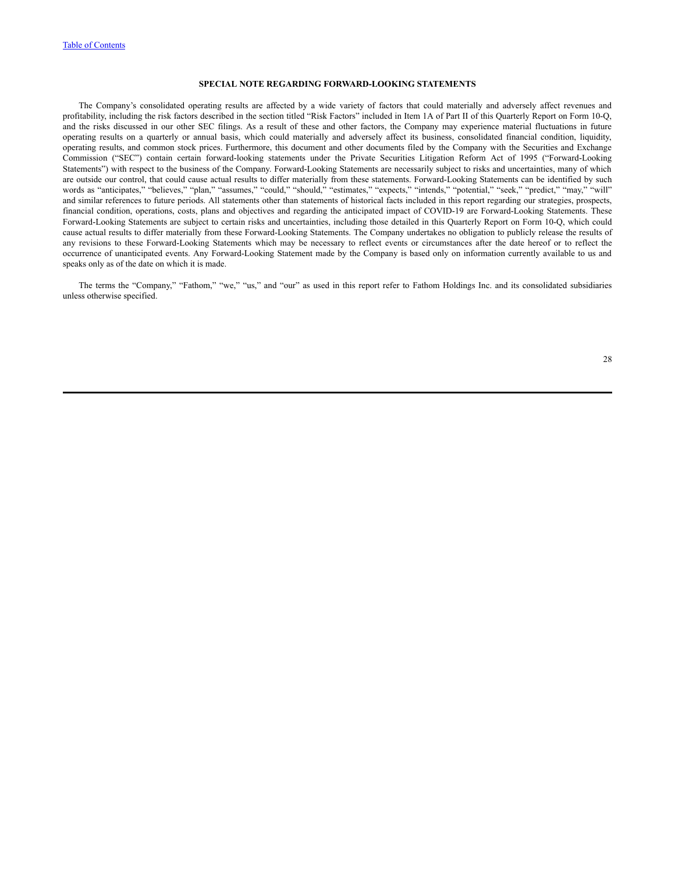## **SPECIAL NOTE REGARDING FORWARD-LOOKING STATEMENTS**

The Company's consolidated operating results are affected by a wide variety of factors that could materially and adversely affect revenues and profitability, including the risk factors described in the section titled "Risk Factors" included in Item 1A of Part II of this Quarterly Report on Form 10-Q, and the risks discussed in our other SEC filings. As a result of these and other factors, the Company may experience material fluctuations in future operating results on a quarterly or annual basis, which could materially and adversely affect its business, consolidated financial condition, liquidity, operating results, and common stock prices. Furthermore, this document and other documents filed by the Company with the Securities and Exchange Commission ("SEC") contain certain forward-looking statements under the Private Securities Litigation Reform Act of 1995 ("Forward-Looking Statements") with respect to the business of the Company. Forward-Looking Statements are necessarily subject to risks and uncertainties, many of which are outside our control, that could cause actual results to differ materially from these statements. Forward-Looking Statements can be identified by such words as "anticipates," "believes," "plan," "assumes," "could," "should," "estimates," "expects," "intends," "potential," "seek," "predict," "may," "will" and similar references to future periods. All statements other than statements of historical facts included in this report regarding our strategies, prospects, financial condition, operations, costs, plans and objectives and regarding the anticipated impact of COVID-19 are Forward-Looking Statements. These Forward-Looking Statements are subject to certain risks and uncertainties, including those detailed in this Quarterly Report on Form 10-Q, which could cause actual results to differ materially from these Forward-Looking Statements. The Company undertakes no obligation to publicly release the results of any revisions to these Forward-Looking Statements which may be necessary to reflect events or circumstances after the date hereof or to reflect the occurrence of unanticipated events. Any Forward-Looking Statement made by the Company is based only on information currently available to us and speaks only as of the date on which it is made.

The terms the "Company," "Fathom," "we," "us," and "our" as used in this report refer to Fathom Holdings Inc. and its consolidated subsidiaries unless otherwise specified.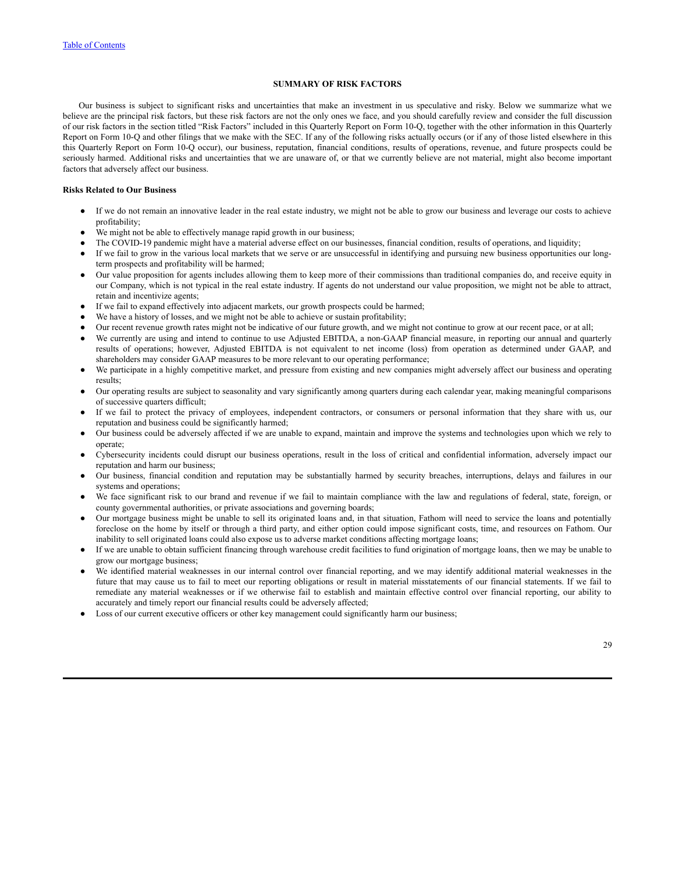### **SUMMARY OF RISK FACTORS**

Our business is subject to significant risks and uncertainties that make an investment in us speculative and risky. Below we summarize what we believe are the principal risk factors, but these risk factors are not the only ones we face, and you should carefully review and consider the full discussion of our risk factors in the section titled "Risk Factors" included in this Quarterly Report on Form 10-Q, together with the other information in this Quarterly Report on Form 10-Q and other filings that we make with the SEC. If any of the following risks actually occurs (or if any of those listed elsewhere in this this Quarterly Report on Form 10-Q occur), our business, reputation, financial conditions, results of operations, revenue, and future prospects could be seriously harmed. Additional risks and uncertainties that we are unaware of, or that we currently believe are not material, might also become important factors that adversely affect our business.

## **Risks Related to Our Business**

- If we do not remain an innovative leader in the real estate industry, we might not be able to grow our business and leverage our costs to achieve profitability;
- We might not be able to effectively manage rapid growth in our business;
- The COVID-19 pandemic might have a material adverse effect on our businesses, financial condition, results of operations, and liquidity;
- If we fail to grow in the various local markets that we serve or are unsuccessful in identifying and pursuing new business opportunities our longterm prospects and profitability will be harmed;
- Our value proposition for agents includes allowing them to keep more of their commissions than traditional companies do, and receive equity in our Company, which is not typical in the real estate industry. If agents do not understand our value proposition, we might not be able to attract, retain and incentivize agents;
- If we fail to expand effectively into adjacent markets, our growth prospects could be harmed;
- We have a history of losses, and we might not be able to achieve or sustain profitability;
- Our recent revenue growth rates might not be indicative of our future growth, and we might not continue to grow at our recent pace, or at all;
- We currently are using and intend to continue to use Adjusted EBITDA, a non-GAAP financial measure, in reporting our annual and quarterly results of operations; however, Adjusted EBITDA is not equivalent to net income (loss) from operation as determined under GAAP, and shareholders may consider GAAP measures to be more relevant to our operating performance;
- We participate in a highly competitive market, and pressure from existing and new companies might adversely affect our business and operating results;
- Our operating results are subject to seasonality and vary significantly among quarters during each calendar year, making meaningful comparisons of successive quarters difficult;
- If we fail to protect the privacy of employees, independent contractors, or consumers or personal information that they share with us, our reputation and business could be significantly harmed;
- Our business could be adversely affected if we are unable to expand, maintain and improve the systems and technologies upon which we rely to operate;
- Cybersecurity incidents could disrupt our business operations, result in the loss of critical and confidential information, adversely impact our reputation and harm our business;
- Our business, financial condition and reputation may be substantially harmed by security breaches, interruptions, delays and failures in our systems and operations;
- We face significant risk to our brand and revenue if we fail to maintain compliance with the law and regulations of federal, state, foreign, or county governmental authorities, or private associations and governing boards;
- Our mortgage business might be unable to sell its originated loans and, in that situation, Fathom will need to service the loans and potentially foreclose on the home by itself or through a third party, and either option could impose significant costs, time, and resources on Fathom. Our inability to sell originated loans could also expose us to adverse market conditions affecting mortgage loans;
- If we are unable to obtain sufficient financing through warehouse credit facilities to fund origination of mortgage loans, then we may be unable to grow our mortgage business;
- We identified material weaknesses in our internal control over financial reporting, and we may identify additional material weaknesses in the future that may cause us to fail to meet our reporting obligations or result in material misstatements of our financial statements. If we fail to remediate any material weaknesses or if we otherwise fail to establish and maintain effective control over financial reporting, our ability to accurately and timely report our financial results could be adversely affected;
- Loss of our current executive officers or other key management could significantly harm our business;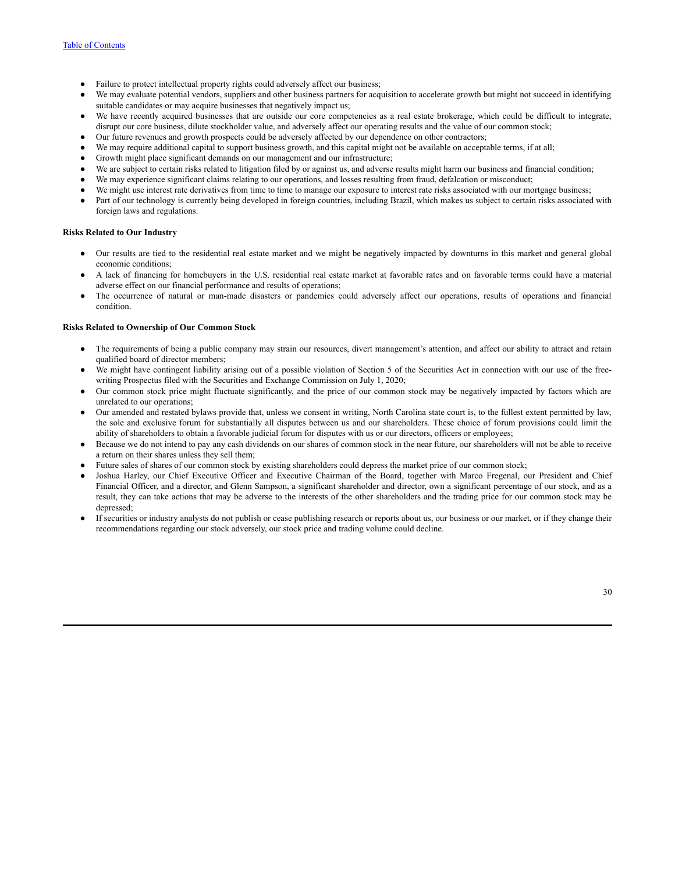- Failure to protect intellectual property rights could adversely affect our business;
- We may evaluate potential vendors, suppliers and other business partners for acquisition to accelerate growth but might not succeed in identifying suitable candidates or may acquire businesses that negatively impact us;
- We have recently acquired businesses that are outside our core competencies as a real estate brokerage, which could be difficult to integrate, disrupt our core business, dilute stockholder value, and adversely affect our operating results and the value of our common stock;
- Our future revenues and growth prospects could be adversely affected by our dependence on other contractors;
- We may require additional capital to support business growth, and this capital might not be available on acceptable terms, if at all;
- Growth might place significant demands on our management and our infrastructure;
- We are subject to certain risks related to litigation filed by or against us, and adverse results might harm our business and financial condition;
- We may experience significant claims relating to our operations, and losses resulting from fraud, defalcation or misconduct;
- We might use interest rate derivatives from time to time to manage our exposure to interest rate risks associated with our mortgage business;
- Part of our technology is currently being developed in foreign countries, including Brazil, which makes us subject to certain risks associated with foreign laws and regulations.

## **Risks Related to Our Industry**

- Our results are tied to the residential real estate market and we might be negatively impacted by downturns in this market and general global economic conditions;
- A lack of financing for homebuyers in the U.S. residential real estate market at favorable rates and on favorable terms could have a material adverse effect on our financial performance and results of operations;
- The occurrence of natural or man-made disasters or pandemics could adversely affect our operations, results of operations and financial condition.

## **Risks Related to Ownership of Our Common Stock**

- The requirements of being a public company may strain our resources, divert management's attention, and affect our ability to attract and retain qualified board of director members;
- We might have contingent liability arising out of a possible violation of Section 5 of the Securities Act in connection with our use of the freewriting Prospectus filed with the Securities and Exchange Commission on July 1, 2020;
- Our common stock price might fluctuate significantly, and the price of our common stock may be negatively impacted by factors which are unrelated to our operations;
- Our amended and restated bylaws provide that, unless we consent in writing, North Carolina state court is, to the fullest extent permitted by law, the sole and exclusive forum for substantially all disputes between us and our shareholders. These choice of forum provisions could limit the ability of shareholders to obtain a favorable judicial forum for disputes with us or our directors, officers or employees;
- Because we do not intend to pay any cash dividends on our shares of common stock in the near future, our shareholders will not be able to receive a return on their shares unless they sell them;
- Future sales of shares of our common stock by existing shareholders could depress the market price of our common stock;
- Joshua Harley, our Chief Executive Officer and Executive Chairman of the Board, together with Marco Fregenal, our President and Chief Financial Officer, and a director, and Glenn Sampson, a significant shareholder and director, own a significant percentage of our stock, and as a result, they can take actions that may be adverse to the interests of the other shareholders and the trading price for our common stock may be depressed;
- If securities or industry analysts do not publish or cease publishing research or reports about us, our business or our market, or if they change their recommendations regarding our stock adversely, our stock price and trading volume could decline.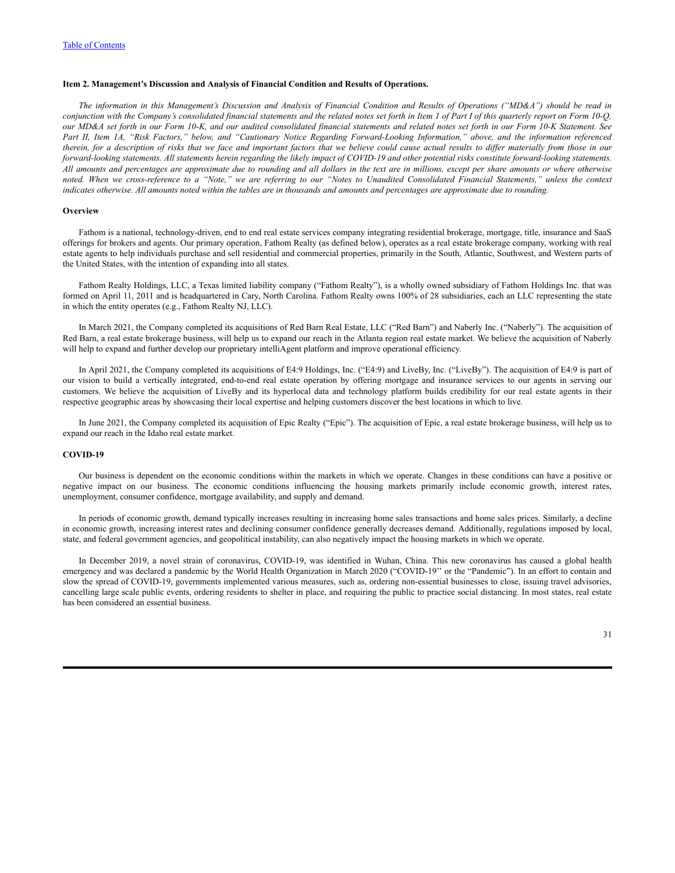## <span id="page-30-0"></span>**Item 2. Management's Discussion and Analysis of Financial Condition and Results of Operations.**

The information in this Management's Discussion and Analysis of Financial Condition and Results of Operations ("MD&A") should be read in conjunction with the Company's consolidated financial statements and the related notes set forth in Item 1 of Part I of this quarterly report on Form 10-Q, our MD&A set forth in our Form 10-K, and our audited consolidated financial statements and related notes set forth in our Form 10-K Statement. See Part II, Item 1A, "Risk Factors," below, and "Cautionary Notice Regarding Forward-Looking Information," above, and the information referenced therein, for a description of risks that we face and important factors that we believe could cause actual results to differ materially from those in our forward-looking statements. All statements herein regarding the likely impact of COVID-19 and other potential risks constitute forward-looking statements. All amounts and percentages are approximate due to rounding and all dollars in the text are in millions, except per share amounts or where otherwise noted. When we cross-reference to a "Note," we are referring to our "Notes to Unaudited Consolidated Financial Statements," unless the context indicates otherwise. All amounts noted within the tables are in thousands and amounts and percentages are approximate due to rounding.

#### **Overview**

Fathom is a national, technology-driven, end to end real estate services company integrating residential brokerage, mortgage, title, insurance and SaaS offerings for brokers and agents. Our primary operation, Fathom Realty (as defined below), operates as a real estate brokerage company, working with real estate agents to help individuals purchase and sell residential and commercial properties, primarily in the South, Atlantic, Southwest, and Western parts of the United States, with the intention of expanding into all states.

Fathom Realty Holdings, LLC, a Texas limited liability company ("Fathom Realty"), is a wholly owned subsidiary of Fathom Holdings Inc. that was formed on April 11, 2011 and is headquartered in Cary, North Carolina. Fathom Realty owns 100% of 28 subsidiaries, each an LLC representing the state in which the entity operates (e.g., Fathom Realty NJ, LLC).

In March 2021, the Company completed its acquisitions of Red Barn Real Estate, LLC ("Red Barn") and Naberly Inc. ("Naberly"). The acquisition of Red Barn, a real estate brokerage business, will help us to expand our reach in the Atlanta region real estate market. We believe the acquisition of Naberly will help to expand and further develop our proprietary intelliAgent platform and improve operational efficiency.

In April 2021, the Company completed its acquisitions of E4:9 Holdings, Inc. ("E4:9) and LiveBy, Inc. ("LiveBy"). The acquisition of E4:9 is part of our vision to build a vertically integrated, end-to-end real estate operation by offering mortgage and insurance services to our agents in serving our customers. We believe the acquisition of LiveBy and its hyperlocal data and technology platform builds credibility for our real estate agents in their respective geographic areas by showcasing their local expertise and helping customers discover the best locations in which to live.

In June 2021, the Company completed its acquisition of Epic Realty ("Epic"). The acquisition of Epic, a real estate brokerage business, will help us to expand our reach in the Idaho real estate market.

## **COVID-19**

Our business is dependent on the economic conditions within the markets in which we operate. Changes in these conditions can have a positive or negative impact on our business. The economic conditions influencing the housing markets primarily include economic growth, interest rates, unemployment, consumer confidence, mortgage availability, and supply and demand.

In periods of economic growth, demand typically increases resulting in increasing home sales transactions and home sales prices. Similarly, a decline in economic growth, increasing interest rates and declining consumer confidence generally decreases demand. Additionally, regulations imposed by local, state, and federal government agencies, and geopolitical instability, can also negatively impact the housing markets in which we operate.

In December 2019, a novel strain of coronavirus, COVID-19, was identified in Wuhan, China. This new coronavirus has caused a global health emergency and was declared a pandemic by the World Health Organization in March 2020 ("COVID-19'' or the "Pandemic"). In an effort to contain and slow the spread of COVID-19, governments implemented various measures, such as, ordering non-essential businesses to close, issuing travel advisories, cancelling large scale public events, ordering residents to shelter in place, and requiring the public to practice social distancing. In most states, real estate has been considered an essential business.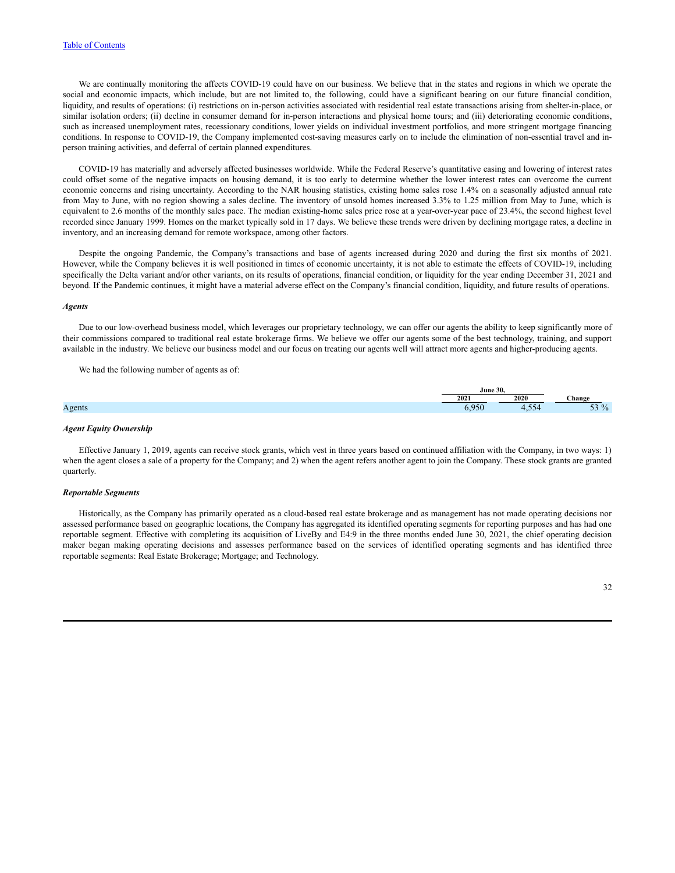We are continually monitoring the affects COVID-19 could have on our business. We believe that in the states and regions in which we operate the social and economic impacts, which include, but are not limited to, the following, could have a significant bearing on our future financial condition, liquidity, and results of operations: (i) restrictions on in-person activities associated with residential real estate transactions arising from shelter-in-place, or similar isolation orders; (ii) decline in consumer demand for in-person interactions and physical home tours; and (iii) deteriorating economic conditions, such as increased unemployment rates, recessionary conditions, lower yields on individual investment portfolios, and more stringent mortgage financing conditions. In response to COVID-19, the Company implemented cost-saving measures early on to include the elimination of non-essential travel and inperson training activities, and deferral of certain planned expenditures.

COVID-19 has materially and adversely affected businesses worldwide. While the Federal Reserve's quantitative easing and lowering of interest rates could offset some of the negative impacts on housing demand, it is too early to determine whether the lower interest rates can overcome the current economic concerns and rising uncertainty. According to the NAR housing statistics, existing home sales rose 1.4% on a seasonally adjusted annual rate from May to June, with no region showing a sales decline. The inventory of unsold homes increased 3.3% to 1.25 million from May to June, which is equivalent to 2.6 months of the monthly sales pace. The median existing-home sales price rose at a year-over-year pace of 23.4%, the second highest level recorded since January 1999. Homes on the market typically sold in 17 days. We believe these trends were driven by declining mortgage rates, a decline in inventory, and an increasing demand for remote workspace, among other factors.

Despite the ongoing Pandemic, the Company's transactions and base of agents increased during 2020 and during the first six months of 2021. However, while the Company believes it is well positioned in times of economic uncertainty, it is not able to estimate the effects of COVID-19, including specifically the Delta variant and/or other variants, on its results of operations, financial condition, or liquidity for the year ending December 31, 2021 and beyond. If the Pandemic continues, it might have a material adverse effect on the Company's financial condition, liquidity, and future results of operations.

### *Agents*

Due to our low-overhead business model, which leverages our proprietary technology, we can offer our agents the ability to keep significantly more of their commissions compared to traditional real estate brokerage firms. We believe we offer our agents some of the best technology, training, and support available in the industry. We believe our business model and our focus on treating our agents well will attract more agents and higher-producing agents.

We had the following number of agents as of:

|        | <b>June 30.</b> |                   |                 |
|--------|-----------------|-------------------|-----------------|
|        | 202             | 2020              | $_{\rm change}$ |
| Agents | 050             | <b>STATISTICS</b> |                 |

## *Agent Equity Ownership*

Effective January 1, 2019, agents can receive stock grants, which vest in three years based on continued affiliation with the Company, in two ways: 1) when the agent closes a sale of a property for the Company; and 2) when the agent refers another agent to join the Company. These stock grants are granted quarterly.

## *Reportable Segments*

Historically, as the Company has primarily operated as a cloud-based real estate brokerage and as management has not made operating decisions nor assessed performance based on geographic locations, the Company has aggregated its identified operating segments for reporting purposes and has had one reportable segment. Effective with completing its acquisition of LiveBy and E4:9 in the three months ended June 30, 2021, the chief operating decision maker began making operating decisions and assesses performance based on the services of identified operating segments and has identified three reportable segments: Real Estate Brokerage; Mortgage; and Technology.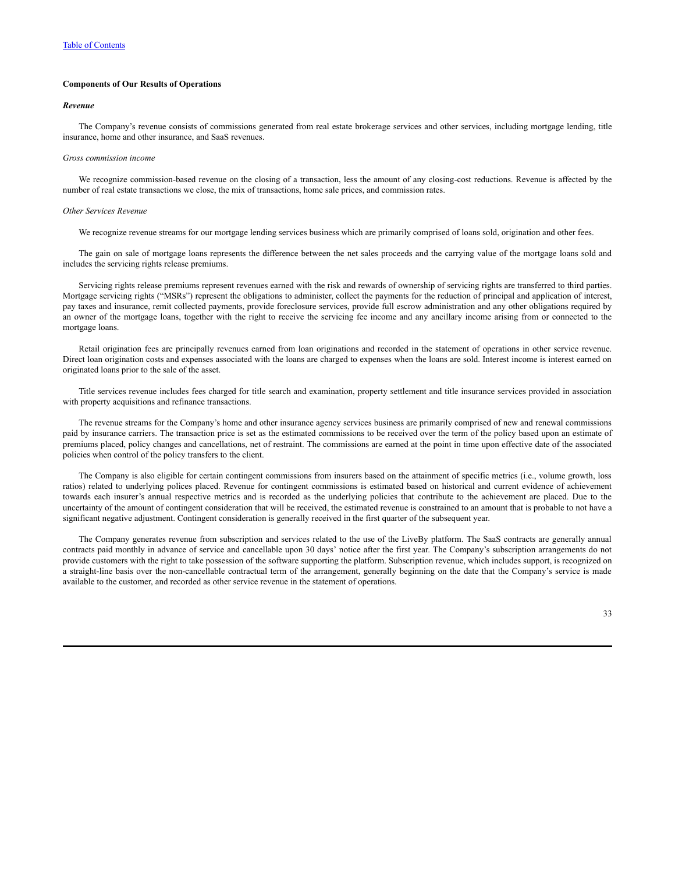## **Components of Our Results of Operations**

## *Revenue*

The Company's revenue consists of commissions generated from real estate brokerage services and other services, including mortgage lending, title insurance, home and other insurance, and SaaS revenues.

### *Gross commission income*

We recognize commission-based revenue on the closing of a transaction, less the amount of any closing-cost reductions. Revenue is affected by the number of real estate transactions we close, the mix of transactions, home sale prices, and commission rates.

#### *Other Services Revenue*

We recognize revenue streams for our mortgage lending services business which are primarily comprised of loans sold, origination and other fees.

The gain on sale of mortgage loans represents the difference between the net sales proceeds and the carrying value of the mortgage loans sold and includes the servicing rights release premiums.

Servicing rights release premiums represent revenues earned with the risk and rewards of ownership of servicing rights are transferred to third parties. Mortgage servicing rights ("MSRs") represent the obligations to administer, collect the payments for the reduction of principal and application of interest, pay taxes and insurance, remit collected payments, provide foreclosure services, provide full escrow administration and any other obligations required by an owner of the mortgage loans, together with the right to receive the servicing fee income and any ancillary income arising from or connected to the mortgage loans.

Retail origination fees are principally revenues earned from loan originations and recorded in the statement of operations in other service revenue. Direct loan origination costs and expenses associated with the loans are charged to expenses when the loans are sold. Interest income is interest earned on originated loans prior to the sale of the asset.

Title services revenue includes fees charged for title search and examination, property settlement and title insurance services provided in association with property acquisitions and refinance transactions.

The revenue streams for the Company's home and other insurance agency services business are primarily comprised of new and renewal commissions paid by insurance carriers. The transaction price is set as the estimated commissions to be received over the term of the policy based upon an estimate of premiums placed, policy changes and cancellations, net of restraint. The commissions are earned at the point in time upon effective date of the associated policies when control of the policy transfers to the client.

The Company is also eligible for certain contingent commissions from insurers based on the attainment of specific metrics (i.e., volume growth, loss ratios) related to underlying polices placed. Revenue for contingent commissions is estimated based on historical and current evidence of achievement towards each insurer's annual respective metrics and is recorded as the underlying policies that contribute to the achievement are placed. Due to the uncertainty of the amount of contingent consideration that will be received, the estimated revenue is constrained to an amount that is probable to not have a significant negative adjustment. Contingent consideration is generally received in the first quarter of the subsequent year.

The Company generates revenue from subscription and services related to the use of the LiveBy platform. The SaaS contracts are generally annual contracts paid monthly in advance of service and cancellable upon 30 days' notice after the first year. The Company's subscription arrangements do not provide customers with the right to take possession of the software supporting the platform. Subscription revenue, which includes support, is recognized on a straight-line basis over the non-cancellable contractual term of the arrangement, generally beginning on the date that the Company's service is made available to the customer, and recorded as other service revenue in the statement of operations.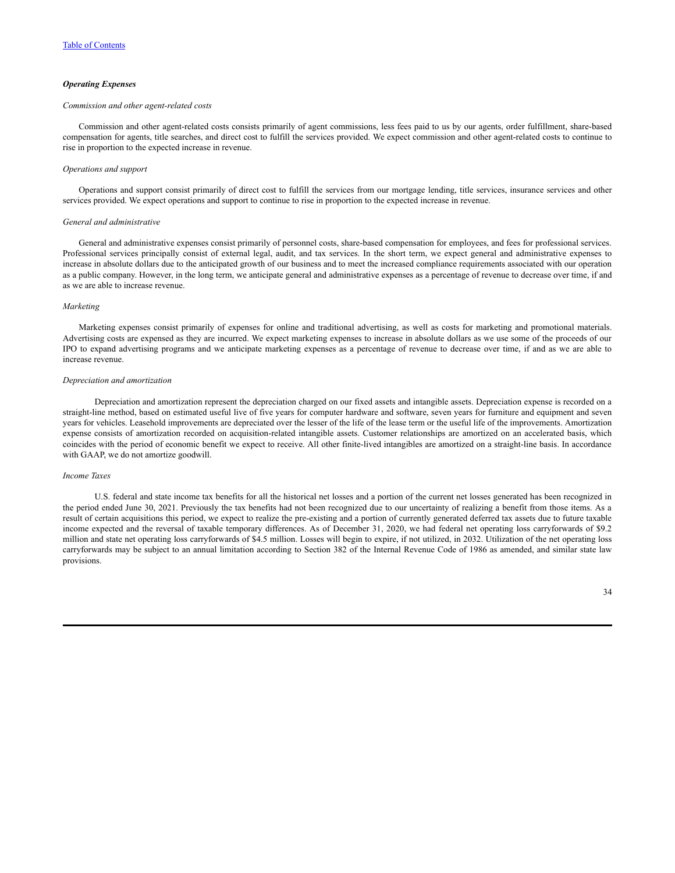## *Operating Expenses*

## *Commission and other agent-related costs*

Commission and other agent-related costs consists primarily of agent commissions, less fees paid to us by our agents, order fulfillment, share-based compensation for agents, title searches, and direct cost to fulfill the services provided. We expect commission and other agent-related costs to continue to rise in proportion to the expected increase in revenue.

## *Operations and support*

Operations and support consist primarily of direct cost to fulfill the services from our mortgage lending, title services, insurance services and other services provided. We expect operations and support to continue to rise in proportion to the expected increase in revenue.

### *General and administrative*

General and administrative expenses consist primarily of personnel costs, share-based compensation for employees, and fees for professional services. Professional services principally consist of external legal, audit, and tax services. In the short term, we expect general and administrative expenses to increase in absolute dollars due to the anticipated growth of our business and to meet the increased compliance requirements associated with our operation as a public company. However, in the long term, we anticipate general and administrative expenses as a percentage of revenue to decrease over time, if and as we are able to increase revenue.

## *Marketing*

Marketing expenses consist primarily of expenses for online and traditional advertising, as well as costs for marketing and promotional materials. Advertising costs are expensed as they are incurred. We expect marketing expenses to increase in absolute dollars as we use some of the proceeds of our IPO to expand advertising programs and we anticipate marketing expenses as a percentage of revenue to decrease over time, if and as we are able to increase revenue.

## *Depreciation and amortization*

Depreciation and amortization represent the depreciation charged on our fixed assets and intangible assets. Depreciation expense is recorded on a straight-line method, based on estimated useful live of five years for computer hardware and software, seven years for furniture and equipment and seven years for vehicles. Leasehold improvements are depreciated over the lesser of the life of the lease term or the useful life of the improvements. Amortization expense consists of amortization recorded on acquisition-related intangible assets. Customer relationships are amortized on an accelerated basis, which coincides with the period of economic benefit we expect to receive. All other finite-lived intangibles are amortized on a straight-line basis. In accordance with GAAP, we do not amortize goodwill.

#### *Income Taxes*

U.S. federal and state income tax benefits for all the historical net losses and a portion of the current net losses generated has been recognized in the period ended June 30, 2021. Previously the tax benefits had not been recognized due to our uncertainty of realizing a benefit from those items. As a result of certain acquisitions this period, we expect to realize the pre-existing and a portion of currently generated deferred tax assets due to future taxable income expected and the reversal of taxable temporary differences. As of December 31, 2020, we had federal net operating loss carryforwards of \$9.2 million and state net operating loss carryforwards of \$4.5 million. Losses will begin to expire, if not utilized, in 2032. Utilization of the net operating loss carryforwards may be subject to an annual limitation according to Section 382 of the Internal Revenue Code of 1986 as amended, and similar state law provisions.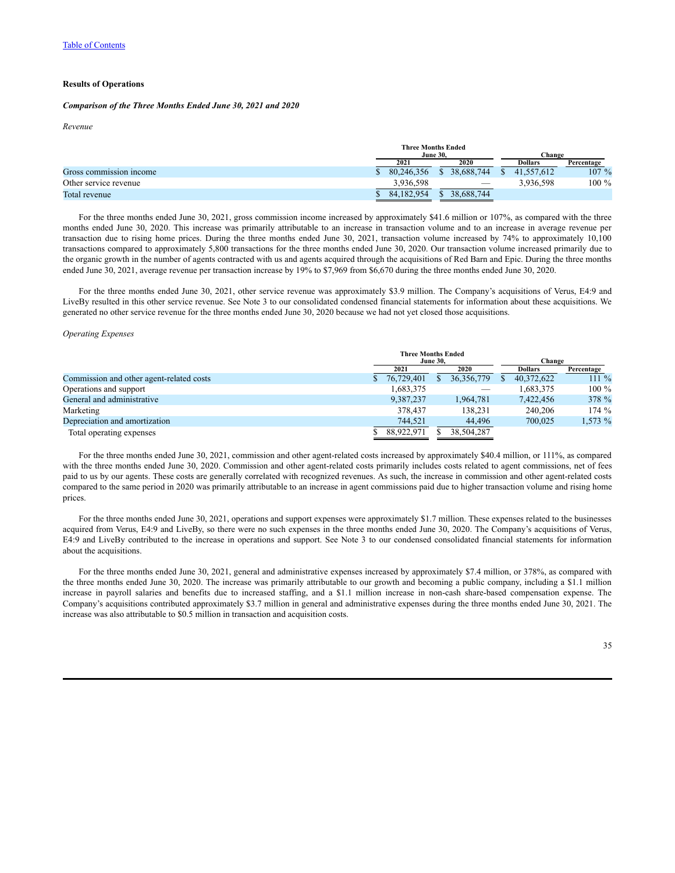## **Results of Operations**

### *Comparison of the Three Months Ended June 30, 2021 and 2020*

#### *Revenue*

|                         | <b>Three Months Ended</b><br><b>June 30.</b> |            | <b>Change</b>  |            |
|-------------------------|----------------------------------------------|------------|----------------|------------|
|                         | 2021                                         | 2020       | <b>Dollars</b> | Percentage |
| Gross commission income | 80.246.356                                   | 38.688.744 | 41.557.612     | $107\%$    |
| Other service revenue   | 3.936.598                                    |            | 3.936.598      | $100\%$    |
| Total revenue           | 84.182.954                                   | 38.688.744 |                |            |

For the three months ended June 30, 2021, gross commission income increased by approximately \$41.6 million or 107%, as compared with the three months ended June 30, 2020. This increase was primarily attributable to an increase in transaction volume and to an increase in average revenue per transaction due to rising home prices. During the three months ended June 30, 2021, transaction volume increased by 74% to approximately 10,100 transactions compared to approximately 5,800 transactions for the three months ended June 30, 2020. Our transaction volume increased primarily due to the organic growth in the number of agents contracted with us and agents acquired through the acquisitions of Red Barn and Epic. During the three months ended June 30, 2021, average revenue per transaction increase by 19% to \$7,969 from \$6,670 during the three months ended June 30, 2020.

For the three months ended June 30, 2021, other service revenue was approximately \$3.9 million. The Company's acquisitions of Verus, E4:9 and LiveBy resulted in this other service revenue. See Note 3 to our consolidated condensed financial statements for information about these acquisitions. We generated no other service revenue for the three months ended June 30, 2020 because we had not yet closed those acquisitions.

### *Operating Expenses*

|                                          | <b>Three Months Ended</b> | <b>June 30.</b> |              |  | Change         |            |
|------------------------------------------|---------------------------|-----------------|--------------|--|----------------|------------|
|                                          | 2021                      |                 | 2020         |  | <b>Dollars</b> | Percentage |
| Commission and other agent-related costs | 76,729,401                |                 | 36, 356, 779 |  | 40,372,622     | $111\%$    |
| Operations and support                   | 1,683,375                 |                 |              |  | 1.683.375      | $100\%$    |
| General and administrative               | 9,387,237                 |                 | 1.964.781    |  | 7,422,456      | 378 %      |
| Marketing                                | 378,437                   |                 | 138.231      |  | 240.206        | 174%       |
| Depreciation and amortization            | 744.521                   |                 | 44.496       |  | 700,025        | 1,573 %    |
| Total operating expenses                 | 88.922.971                |                 | 38.504.287   |  |                |            |

For the three months ended June 30, 2021, commission and other agent-related costs increased by approximately \$40.4 million, or 111%, as compared with the three months ended June 30, 2020. Commission and other agent-related costs primarily includes costs related to agent commissions, net of fees paid to us by our agents. These costs are generally correlated with recognized revenues. As such, the increase in commission and other agent-related costs compared to the same period in 2020 was primarily attributable to an increase in agent commissions paid due to higher transaction volume and rising home prices.

For the three months ended June 30, 2021, operations and support expenses were approximately \$1.7 million. These expenses related to the businesses acquired from Verus, E4:9 and LiveBy, so there were no such expenses in the three months ended June 30, 2020. The Company's acquisitions of Verus, E4:9 and LiveBy contributed to the increase in operations and support. See Note 3 to our condensed consolidated financial statements for information about the acquisitions.

For the three months ended June 30, 2021, general and administrative expenses increased by approximately \$7.4 million, or 378%, as compared with the three months ended June 30, 2020. The increase was primarily attributable to our growth and becoming a public company, including a \$1.1 million increase in payroll salaries and benefits due to increased staffing, and a \$1.1 million increase in non-cash share-based compensation expense. The Company's acquisitions contributed approximately \$3.7 million in general and administrative expenses during the three months ended June 30, 2021. The increase was also attributable to \$0.5 million in transaction and acquisition costs.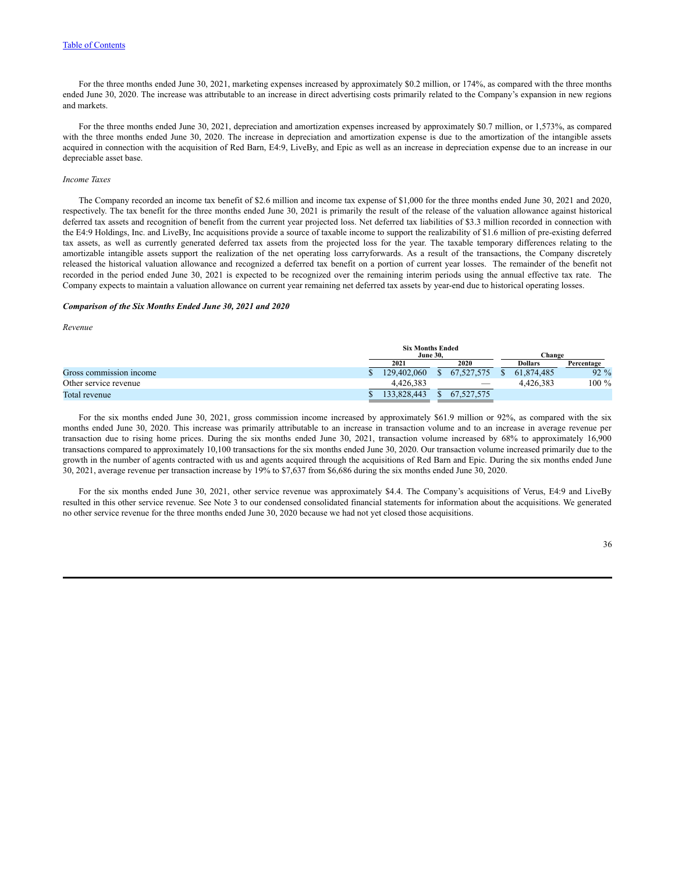For the three months ended June 30, 2021, marketing expenses increased by approximately \$0.2 million, or 174%, as compared with the three months ended June 30, 2020. The increase was attributable to an increase in direct advertising costs primarily related to the Company's expansion in new regions and markets.

For the three months ended June 30, 2021, depreciation and amortization expenses increased by approximately \$0.7 million, or 1,573%, as compared with the three months ended June 30, 2020. The increase in depreciation and amortization expense is due to the amortization of the intangible assets acquired in connection with the acquisition of Red Barn, E4:9, LiveBy, and Epic as well as an increase in depreciation expense due to an increase in our depreciable asset base.

### *Income Taxes*

The Company recorded an income tax benefit of \$2.6 million and income tax expense of \$1,000 for the three months ended June 30, 2021 and 2020, respectively. The tax benefit for the three months ended June 30, 2021 is primarily the result of the release of the valuation allowance against historical deferred tax assets and recognition of benefit from the current year projected loss. Net deferred tax liabilities of \$3.3 million recorded in connection with the E4:9 Holdings, Inc. and LiveBy, Inc acquisitions provide a source of taxable income to support the realizability of \$1.6 million of pre-existing deferred tax assets, as well as currently generated deferred tax assets from the projected loss for the year. The taxable temporary differences relating to the amortizable intangible assets support the realization of the net operating loss carryforwards. As a result of the transactions, the Company discretely released the historical valuation allowance and recognized a deferred tax benefit on a portion of current year losses. The remainder of the benefit not recorded in the period ended June 30, 2021 is expected to be recognized over the remaining interim periods using the annual effective tax rate. The Company expects to maintain a valuation allowance on current year remaining net deferred tax assets by year-end due to historical operating losses.

### *Comparison of the Six Months Ended June 30, 2021 and 2020*

*Revenue*

|                         | <b>Six Months Ended</b><br><b>June 30.</b> |      |                          |  | <b>Change</b>  |            |  |  |
|-------------------------|--------------------------------------------|------|--------------------------|--|----------------|------------|--|--|
|                         | 2021                                       | 2020 |                          |  | <b>Dollars</b> | Percentage |  |  |
| Gross commission income | 129,402,060                                |      | 67.527.575               |  | 61.874.485     | $92\%$     |  |  |
| Other service revenue   | 4.426.383                                  |      | $\overline{\phantom{a}}$ |  | 4.426.383      | $100\%$    |  |  |
| Total revenue           | 133,828,443                                |      | 67.527.575               |  |                |            |  |  |

For the six months ended June 30, 2021, gross commission income increased by approximately \$61.9 million or 92%, as compared with the six months ended June 30, 2020. This increase was primarily attributable to an increase in transaction volume and to an increase in average revenue per transaction due to rising home prices. During the six months ended June 30, 2021, transaction volume increased by 68% to approximately 16,900 transactions compared to approximately 10,100 transactions for the six months ended June 30, 2020. Our transaction volume increased primarily due to the growth in the number of agents contracted with us and agents acquired through the acquisitions of Red Barn and Epic. During the six months ended June 30, 2021, average revenue per transaction increase by 19% to \$7,637 from \$6,686 during the six months ended June 30, 2020.

For the six months ended June 30, 2021, other service revenue was approximately \$4.4. The Company's acquisitions of Verus, E4:9 and LiveBy resulted in this other service revenue. See Note 3 to our condensed consolidated financial statements for information about the acquisitions. We generated no other service revenue for the three months ended June 30, 2020 because we had not yet closed those acquisitions.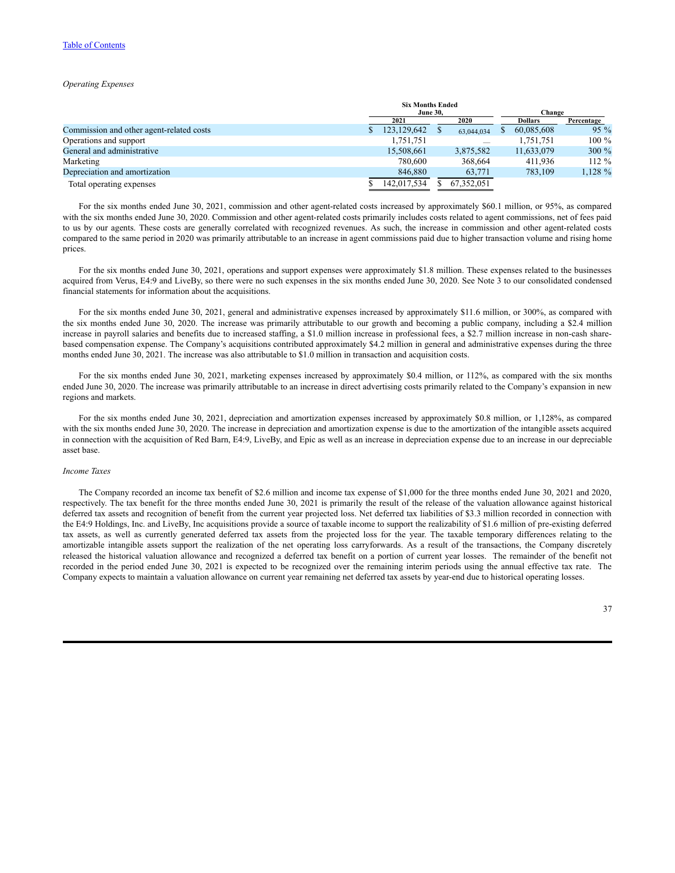## *Operating Expenses*

|                                          | <b>Six Months Ended</b> |  |            |  |            |          |  |  |  |  |                |            |
|------------------------------------------|-------------------------|--|------------|--|------------|----------|--|--|--|--|----------------|------------|
|                                          | <b>June 30,</b>         |  |            |  | Change     |          |  |  |  |  |                |            |
|                                          | 2021                    |  | 2020       |  |            |          |  |  |  |  | <b>Dollars</b> | Percentage |
| Commission and other agent-related costs | 123, 129, 642           |  | 63,044,034 |  | 60,085,608 | $95\%$   |  |  |  |  |                |            |
| Operations and support                   | 1,751,751               |  | __         |  | 1,751,751  | $100\%$  |  |  |  |  |                |            |
| General and administrative               | 15,508,661              |  | 3,875,582  |  | 11,633,079 | $300 \%$ |  |  |  |  |                |            |
| Marketing                                | 780,600                 |  | 368.664    |  | 411.936    | $112 \%$ |  |  |  |  |                |            |
| Depreciation and amortization            | 846.880                 |  | 63.771     |  | 783.109    | 1,128 %  |  |  |  |  |                |            |
| Total operating expenses                 | 142.017.534             |  | 67,352,051 |  |            |          |  |  |  |  |                |            |

For the six months ended June 30, 2021, commission and other agent-related costs increased by approximately \$60.1 million, or 95%, as compared with the six months ended June 30, 2020. Commission and other agent-related costs primarily includes costs related to agent commissions, net of fees paid to us by our agents. These costs are generally correlated with recognized revenues. As such, the increase in commission and other agent-related costs compared to the same period in 2020 was primarily attributable to an increase in agent commissions paid due to higher transaction volume and rising home prices.

For the six months ended June 30, 2021, operations and support expenses were approximately \$1.8 million. These expenses related to the businesses acquired from Verus, E4:9 and LiveBy, so there were no such expenses in the six months ended June 30, 2020. See Note 3 to our consolidated condensed financial statements for information about the acquisitions.

For the six months ended June 30, 2021, general and administrative expenses increased by approximately \$11.6 million, or 300%, as compared with the six months ended June 30, 2020. The increase was primarily attributable to our growth and becoming a public company, including a \$2.4 million increase in payroll salaries and benefits due to increased staffing, a \$1.0 million increase in professional fees, a \$2.7 million increase in non-cash sharebased compensation expense. The Company's acquisitions contributed approximately \$4.2 million in general and administrative expenses during the three months ended June 30, 2021. The increase was also attributable to \$1.0 million in transaction and acquisition costs.

For the six months ended June 30, 2021, marketing expenses increased by approximately \$0.4 million, or 112%, as compared with the six months ended June 30, 2020. The increase was primarily attributable to an increase in direct advertising costs primarily related to the Company's expansion in new regions and markets.

For the six months ended June 30, 2021, depreciation and amortization expenses increased by approximately \$0.8 million, or 1,128%, as compared with the six months ended June 30, 2020. The increase in depreciation and amortization expense is due to the amortization of the intangible assets acquired in connection with the acquisition of Red Barn, E4:9, LiveBy, and Epic as well as an increase in depreciation expense due to an increase in our depreciable asset base.

## *Income Taxes*

The Company recorded an income tax benefit of \$2.6 million and income tax expense of \$1,000 for the three months ended June 30, 2021 and 2020, respectively. The tax benefit for the three months ended June 30, 2021 is primarily the result of the release of the valuation allowance against historical deferred tax assets and recognition of benefit from the current year projected loss. Net deferred tax liabilities of \$3.3 million recorded in connection with the E4:9 Holdings, Inc. and LiveBy, Inc acquisitions provide a source of taxable income to support the realizability of \$1.6 million of pre-existing deferred tax assets, as well as currently generated deferred tax assets from the projected loss for the year. The taxable temporary differences relating to the amortizable intangible assets support the realization of the net operating loss carryforwards. As a result of the transactions, the Company discretely released the historical valuation allowance and recognized a deferred tax benefit on a portion of current year losses. The remainder of the benefit not recorded in the period ended June 30, 2021 is expected to be recognized over the remaining interim periods using the annual effective tax rate. The Company expects to maintain a valuation allowance on current year remaining net deferred tax assets by year-end due to historical operating losses.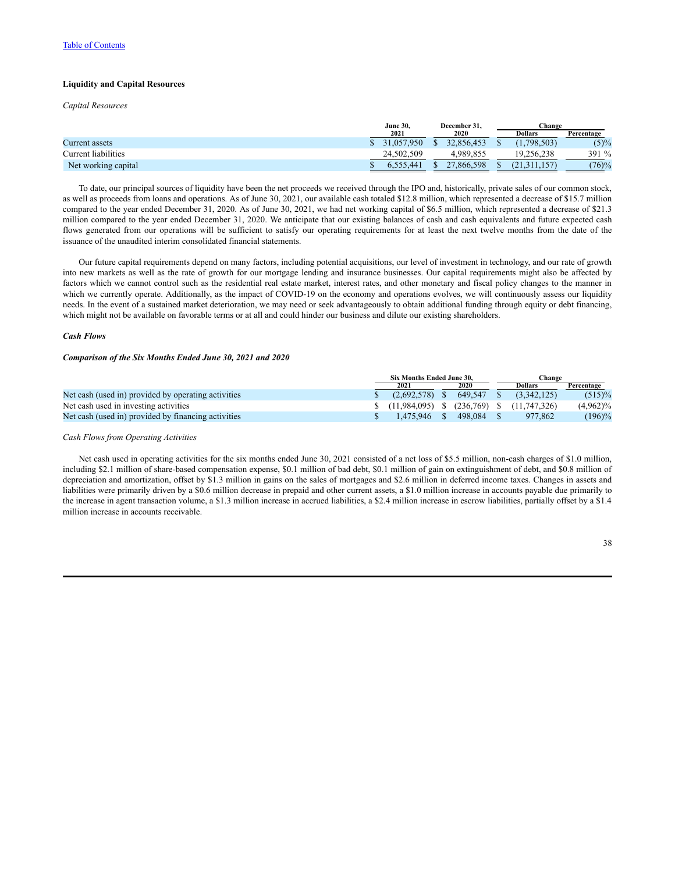## **Liquidity and Capital Resources**

*Capital Resources*

|                     | <b>June 30,</b> | December 31. | <b>Change</b>    |            |
|---------------------|-----------------|--------------|------------------|------------|
|                     | 2021            | 2020         | Dollars          | Percentage |
| Current assets      | 31.057.950      | 32.856.453   | (1,798,503)      | $(5)\%$    |
| Current liabilities | 24,502,509      | 4.989.855    | 19.256.238       | 391 %      |
| Net working capital | 6.555.441       | 27.866.598   | (21)<br>.311.157 | $(76)\%$   |

To date, our principal sources of liquidity have been the net proceeds we received through the IPO and, historically, private sales of our common stock, as well as proceeds from loans and operations. As of June 30, 2021, our available cash totaled \$12.8 million, which represented a decrease of \$15.7 million compared to the year ended December 31, 2020. As of June 30, 2021, we had net working capital of \$6.5 million, which represented a decrease of \$21.3 million compared to the year ended December 31, 2020. We anticipate that our existing balances of cash and cash equivalents and future expected cash flows generated from our operations will be sufficient to satisfy our operating requirements for at least the next twelve months from the date of the issuance of the unaudited interim consolidated financial statements.

Our future capital requirements depend on many factors, including potential acquisitions, our level of investment in technology, and our rate of growth into new markets as well as the rate of growth for our mortgage lending and insurance businesses. Our capital requirements might also be affected by factors which we cannot control such as the residential real estate market, interest rates, and other monetary and fiscal policy changes to the manner in which we currently operate. Additionally, as the impact of COVID-19 on the economy and operations evolves, we will continuously assess our liquidity needs. In the event of a sustained market deterioration, we may need or seek advantageously to obtain additional funding through equity or debt financing, which might not be available on favorable terms or at all and could hinder our business and dilute our existing shareholders.

#### *Cash Flows*

### *Comparison of the Six Months Ended June 30, 2021 and 2020*

|                                                     | Six Months Ended June 30.                       |  |         |  | `hange         |             |  |
|-----------------------------------------------------|-------------------------------------------------|--|---------|--|----------------|-------------|--|
|                                                     | 2021                                            |  | 2020    |  | <b>Dollars</b> | Percentage  |  |
| Net cash (used in) provided by operating activities | $(2.692.578)$ \$                                |  | 649.547 |  | (3.342.125)    | $(515)\%$   |  |
| Net cash used in investing activities               | $(11.984.095)$ \$ $(236.769)$ \$ $(11.747.326)$ |  |         |  |                | $(4.962)\%$ |  |
| Net cash (used in) provided by financing activities | 1.475.946                                       |  | 498.084 |  | 977.862        | (196)%      |  |

# *Cash Flows from Operating Activities*

Net cash used in operating activities for the six months ended June 30, 2021 consisted of a net loss of \$5.5 million, non-cash charges of \$1.0 million, including \$2.1 million of share-based compensation expense, \$0.1 million of bad debt, \$0.1 million of gain on extinguishment of debt, and \$0.8 million of depreciation and amortization, offset by \$1.3 million in gains on the sales of mortgages and \$2.6 million in deferred income taxes. Changes in assets and liabilities were primarily driven by a \$0.6 million decrease in prepaid and other current assets, a \$1.0 million increase in accounts payable due primarily to the increase in agent transaction volume, a \$1.3 million increase in accrued liabilities, a \$2.4 million increase in escrow liabilities, partially offset by a \$1.4 million increase in accounts receivable.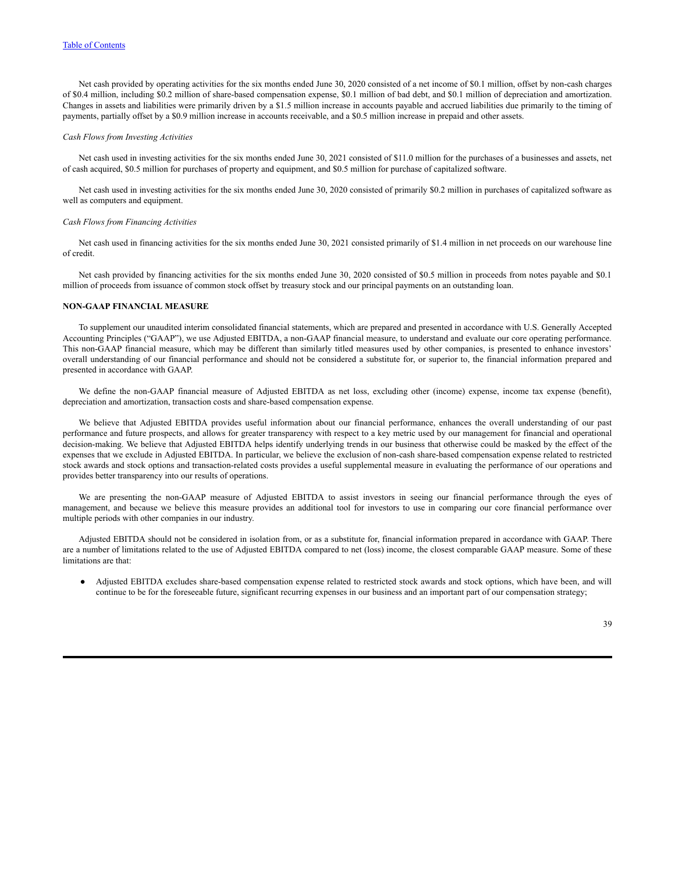Net cash provided by operating activities for the six months ended June 30, 2020 consisted of a net income of \$0.1 million, offset by non-cash charges of \$0.4 million, including \$0.2 million of share-based compensation expense, \$0.1 million of bad debt, and \$0.1 million of depreciation and amortization. Changes in assets and liabilities were primarily driven by a \$1.5 million increase in accounts payable and accrued liabilities due primarily to the timing of payments, partially offset by a \$0.9 million increase in accounts receivable, and a \$0.5 million increase in prepaid and other assets.

#### *Cash Flows from Investing Activities*

Net cash used in investing activities for the six months ended June 30, 2021 consisted of \$11.0 million for the purchases of a businesses and assets, net of cash acquired, \$0.5 million for purchases of property and equipment, and \$0.5 million for purchase of capitalized software.

Net cash used in investing activities for the six months ended June 30, 2020 consisted of primarily \$0.2 million in purchases of capitalized software as well as computers and equipment.

#### *Cash Flows from Financing Activities*

Net cash used in financing activities for the six months ended June 30, 2021 consisted primarily of \$1.4 million in net proceeds on our warehouse line of credit.

Net cash provided by financing activities for the six months ended June 30, 2020 consisted of \$0.5 million in proceeds from notes payable and \$0.1 million of proceeds from issuance of common stock offset by treasury stock and our principal payments on an outstanding loan.

### **NON-GAAP FINANCIAL MEASURE**

To supplement our unaudited interim consolidated financial statements, which are prepared and presented in accordance with U.S. Generally Accepted Accounting Principles ("GAAP"), we use Adjusted EBITDA, a non-GAAP financial measure, to understand and evaluate our core operating performance. This non-GAAP financial measure, which may be different than similarly titled measures used by other companies, is presented to enhance investors' overall understanding of our financial performance and should not be considered a substitute for, or superior to, the financial information prepared and presented in accordance with GAAP.

We define the non-GAAP financial measure of Adjusted EBITDA as net loss, excluding other (income) expense, income tax expense (benefit), depreciation and amortization, transaction costs and share-based compensation expense.

We believe that Adjusted EBITDA provides useful information about our financial performance, enhances the overall understanding of our past performance and future prospects, and allows for greater transparency with respect to a key metric used by our management for financial and operational decision-making. We believe that Adjusted EBITDA helps identify underlying trends in our business that otherwise could be masked by the effect of the expenses that we exclude in Adjusted EBITDA. In particular, we believe the exclusion of non-cash share-based compensation expense related to restricted stock awards and stock options and transaction-related costs provides a useful supplemental measure in evaluating the performance of our operations and provides better transparency into our results of operations.

We are presenting the non-GAAP measure of Adjusted EBITDA to assist investors in seeing our financial performance through the eyes of management, and because we believe this measure provides an additional tool for investors to use in comparing our core financial performance over multiple periods with other companies in our industry.

Adjusted EBITDA should not be considered in isolation from, or as a substitute for, financial information prepared in accordance with GAAP. There are a number of limitations related to the use of Adjusted EBITDA compared to net (loss) income, the closest comparable GAAP measure. Some of these limitations are that:

Adjusted EBITDA excludes share-based compensation expense related to restricted stock awards and stock options, which have been, and will continue to be for the foreseeable future, significant recurring expenses in our business and an important part of our compensation strategy;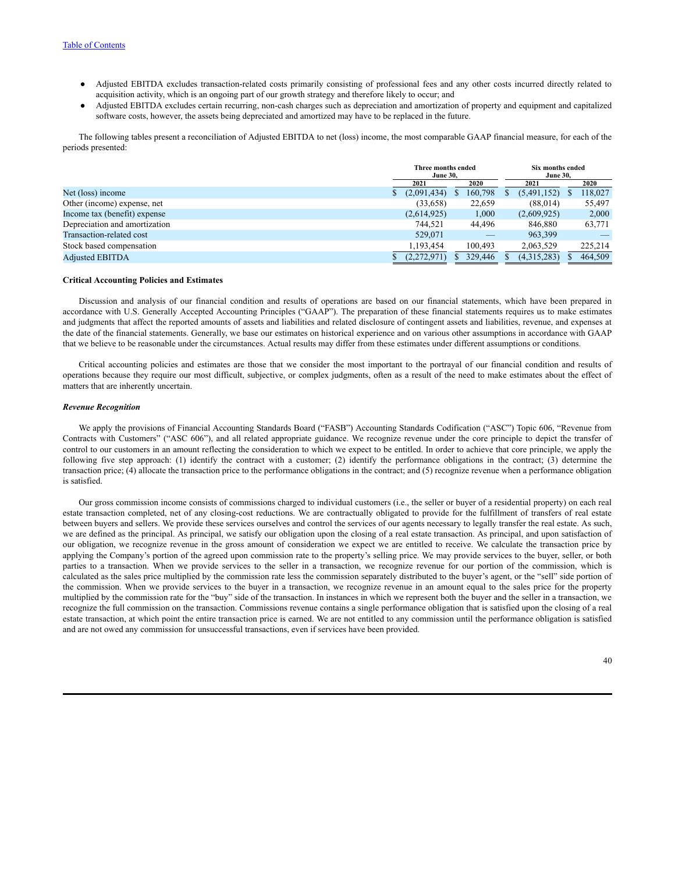- Adjusted EBITDA excludes transaction-related costs primarily consisting of professional fees and any other costs incurred directly related to acquisition activity, which is an ongoing part of our growth strategy and therefore likely to occur; and
- Adjusted EBITDA excludes certain recurring, non-cash charges such as depreciation and amortization of property and equipment and capitalized software costs, however, the assets being depreciated and amortized may have to be replaced in the future.

The following tables present a reconciliation of Adjusted EBITDA to net (loss) income, the most comparable GAAP financial measure, for each of the periods presented:

|                               | Three months ended<br><b>June 30.</b> |             |      |         |  | Six months ended<br><b>June 30.</b> |  |         |
|-------------------------------|---------------------------------------|-------------|------|---------|--|-------------------------------------|--|---------|
|                               |                                       | 2021        | 2020 |         |  | 2021                                |  | 2020    |
| Net (loss) income             |                                       | (2,091,434) |      | 160,798 |  | (5,491,152)                         |  | 118,027 |
| Other (income) expense, net   |                                       | (33, 658)   |      | 22,659  |  | (88,014)                            |  | 55,497  |
| Income tax (benefit) expense  |                                       | (2,614,925) |      | 1,000   |  | (2,609,925)                         |  | 2,000   |
| Depreciation and amortization |                                       | 744.521     |      | 44,496  |  | 846,880                             |  | 63,771  |
| Transaction-related cost      |                                       | 529.071     |      |         |  | 963,399                             |  |         |
| Stock based compensation      |                                       | 1.193.454   |      | 100.493 |  | 2,063,529                           |  | 225,214 |
| <b>Adjusted EBITDA</b>        |                                       | (2,272,971) |      | 329,446 |  | (4,315,283)                         |  | 464,509 |

### **Critical Accounting Policies and Estimates**

Discussion and analysis of our financial condition and results of operations are based on our financial statements, which have been prepared in accordance with U.S. Generally Accepted Accounting Principles ("GAAP"). The preparation of these financial statements requires us to make estimates and judgments that affect the reported amounts of assets and liabilities and related disclosure of contingent assets and liabilities, revenue, and expenses at the date of the financial statements. Generally, we base our estimates on historical experience and on various other assumptions in accordance with GAAP that we believe to be reasonable under the circumstances. Actual results may differ from these estimates under different assumptions or conditions.

Critical accounting policies and estimates are those that we consider the most important to the portrayal of our financial condition and results of operations because they require our most difficult, subjective, or complex judgments, often as a result of the need to make estimates about the effect of matters that are inherently uncertain.

## *Revenue Recognition*

We apply the provisions of Financial Accounting Standards Board ("FASB") Accounting Standards Codification ("ASC") Topic 606, "Revenue from Contracts with Customers" ("ASC 606"), and all related appropriate guidance. We recognize revenue under the core principle to depict the transfer of control to our customers in an amount reflecting the consideration to which we expect to be entitled. In order to achieve that core principle, we apply the following five step approach: (1) identify the contract with a customer; (2) identify the performance obligations in the contract; (3) determine the transaction price; (4) allocate the transaction price to the performance obligations in the contract; and (5) recognize revenue when a performance obligation is satisfied.

Our gross commission income consists of commissions charged to individual customers (i.e., the seller or buyer of a residential property) on each real estate transaction completed, net of any closing-cost reductions. We are contractually obligated to provide for the fulfillment of transfers of real estate between buyers and sellers. We provide these services ourselves and control the services of our agents necessary to legally transfer the real estate. As such, we are defined as the principal. As principal, we satisfy our obligation upon the closing of a real estate transaction. As principal, and upon satisfaction of our obligation, we recognize revenue in the gross amount of consideration we expect we are entitled to receive. We calculate the transaction price by applying the Company's portion of the agreed upon commission rate to the property's selling price. We may provide services to the buyer, seller, or both parties to a transaction. When we provide services to the seller in a transaction, we recognize revenue for our portion of the commission, which is calculated as the sales price multiplied by the commission rate less the commission separately distributed to the buyer's agent, or the "sell" side portion of the commission. When we provide services to the buyer in a transaction, we recognize revenue in an amount equal to the sales price for the property multiplied by the commission rate for the "buy" side of the transaction. In instances in which we represent both the buyer and the seller in a transaction, we recognize the full commission on the transaction. Commissions revenue contains a single performance obligation that is satisfied upon the closing of a real estate transaction, at which point the entire transaction price is earned. We are not entitled to any commission until the performance obligation is satisfied and are not owed any commission for unsuccessful transactions, even if services have been provided.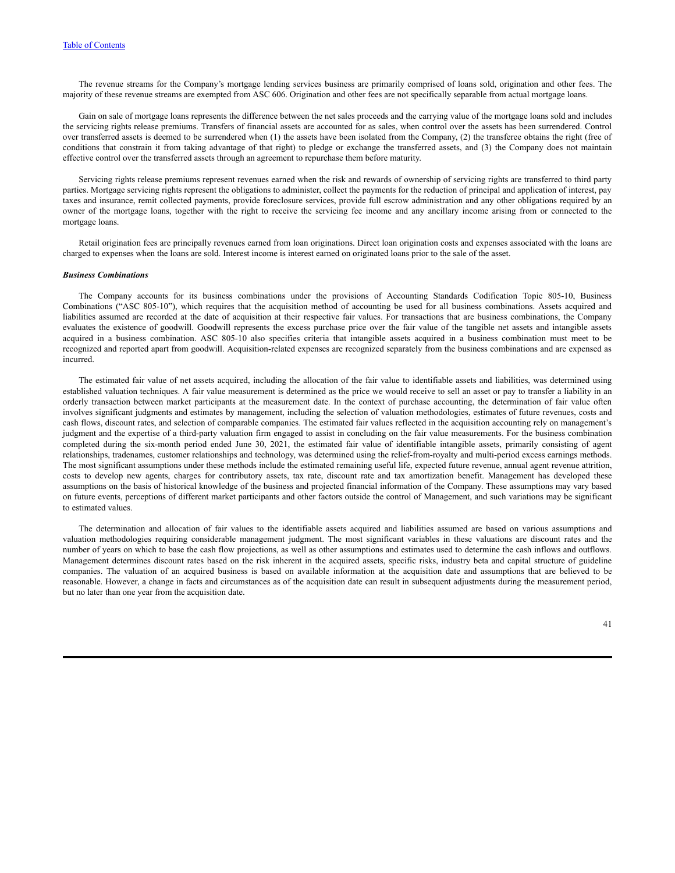The revenue streams for the Company's mortgage lending services business are primarily comprised of loans sold, origination and other fees. The majority of these revenue streams are exempted from ASC 606. Origination and other fees are not specifically separable from actual mortgage loans.

Gain on sale of mortgage loans represents the difference between the net sales proceeds and the carrying value of the mortgage loans sold and includes the servicing rights release premiums. Transfers of financial assets are accounted for as sales, when control over the assets has been surrendered. Control over transferred assets is deemed to be surrendered when (1) the assets have been isolated from the Company, (2) the transferee obtains the right (free of conditions that constrain it from taking advantage of that right) to pledge or exchange the transferred assets, and (3) the Company does not maintain effective control over the transferred assets through an agreement to repurchase them before maturity.

Servicing rights release premiums represent revenues earned when the risk and rewards of ownership of servicing rights are transferred to third party parties. Mortgage servicing rights represent the obligations to administer, collect the payments for the reduction of principal and application of interest, pay taxes and insurance, remit collected payments, provide foreclosure services, provide full escrow administration and any other obligations required by an owner of the mortgage loans, together with the right to receive the servicing fee income and any ancillary income arising from or connected to the mortgage loans.

Retail origination fees are principally revenues earned from loan originations. Direct loan origination costs and expenses associated with the loans are charged to expenses when the loans are sold. Interest income is interest earned on originated loans prior to the sale of the asset.

#### *Business Combinations*

The Company accounts for its business combinations under the provisions of Accounting Standards Codification Topic 805-10, Business Combinations ("ASC 805-10"), which requires that the acquisition method of accounting be used for all business combinations. Assets acquired and liabilities assumed are recorded at the date of acquisition at their respective fair values. For transactions that are business combinations, the Company evaluates the existence of goodwill. Goodwill represents the excess purchase price over the fair value of the tangible net assets and intangible assets acquired in a business combination. ASC 805-10 also specifies criteria that intangible assets acquired in a business combination must meet to be recognized and reported apart from goodwill. Acquisition-related expenses are recognized separately from the business combinations and are expensed as incurred.

The estimated fair value of net assets acquired, including the allocation of the fair value to identifiable assets and liabilities, was determined using established valuation techniques. A fair value measurement is determined as the price we would receive to sell an asset or pay to transfer a liability in an orderly transaction between market participants at the measurement date. In the context of purchase accounting, the determination of fair value often involves significant judgments and estimates by management, including the selection of valuation methodologies, estimates of future revenues, costs and cash flows, discount rates, and selection of comparable companies. The estimated fair values reflected in the acquisition accounting rely on management's judgment and the expertise of a third-party valuation firm engaged to assist in concluding on the fair value measurements. For the business combination completed during the six-month period ended June 30, 2021, the estimated fair value of identifiable intangible assets, primarily consisting of agent relationships, tradenames, customer relationships and technology, was determined using the relief-from-royalty and multi-period excess earnings methods. The most significant assumptions under these methods include the estimated remaining useful life, expected future revenue, annual agent revenue attrition, costs to develop new agents, charges for contributory assets, tax rate, discount rate and tax amortization benefit. Management has developed these assumptions on the basis of historical knowledge of the business and projected financial information of the Company. These assumptions may vary based on future events, perceptions of different market participants and other factors outside the control of Management, and such variations may be significant to estimated values.

The determination and allocation of fair values to the identifiable assets acquired and liabilities assumed are based on various assumptions and valuation methodologies requiring considerable management judgment. The most significant variables in these valuations are discount rates and the number of years on which to base the cash flow projections, as well as other assumptions and estimates used to determine the cash inflows and outflows. Management determines discount rates based on the risk inherent in the acquired assets, specific risks, industry beta and capital structure of guideline companies. The valuation of an acquired business is based on available information at the acquisition date and assumptions that are believed to be reasonable. However, a change in facts and circumstances as of the acquisition date can result in subsequent adjustments during the measurement period, but no later than one year from the acquisition date.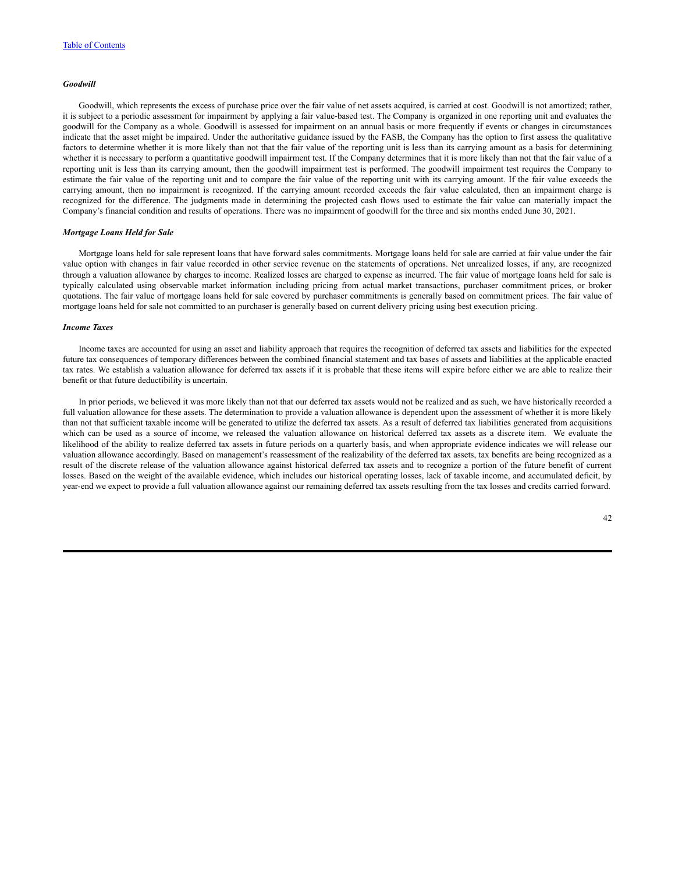## *Goodwill*

Goodwill, which represents the excess of purchase price over the fair value of net assets acquired, is carried at cost. Goodwill is not amortized; rather, it is subject to a periodic assessment for impairment by applying a fair value-based test. The Company is organized in one reporting unit and evaluates the goodwill for the Company as a whole. Goodwill is assessed for impairment on an annual basis or more frequently if events or changes in circumstances indicate that the asset might be impaired. Under the authoritative guidance issued by the FASB, the Company has the option to first assess the qualitative factors to determine whether it is more likely than not that the fair value of the reporting unit is less than its carrying amount as a basis for determining whether it is necessary to perform a quantitative goodwill impairment test. If the Company determines that it is more likely than not that the fair value of a reporting unit is less than its carrying amount, then the goodwill impairment test is performed. The goodwill impairment test requires the Company to estimate the fair value of the reporting unit and to compare the fair value of the reporting unit with its carrying amount. If the fair value exceeds the carrying amount, then no impairment is recognized. If the carrying amount recorded exceeds the fair value calculated, then an impairment charge is recognized for the difference. The judgments made in determining the projected cash flows used to estimate the fair value can materially impact the Company's financial condition and results of operations. There was no impairment of goodwill for the three and six months ended June 30, 2021.

#### *Mortgage Loans Held for Sale*

Mortgage loans held for sale represent loans that have forward sales commitments. Mortgage loans held for sale are carried at fair value under the fair value option with changes in fair value recorded in other service revenue on the statements of operations. Net unrealized losses, if any, are recognized through a valuation allowance by charges to income. Realized losses are charged to expense as incurred. The fair value of mortgage loans held for sale is typically calculated using observable market information including pricing from actual market transactions, purchaser commitment prices, or broker quotations. The fair value of mortgage loans held for sale covered by purchaser commitments is generally based on commitment prices. The fair value of mortgage loans held for sale not committed to an purchaser is generally based on current delivery pricing using best execution pricing.

#### *Income Taxes*

Income taxes are accounted for using an asset and liability approach that requires the recognition of deferred tax assets and liabilities for the expected future tax consequences of temporary differences between the combined financial statement and tax bases of assets and liabilities at the applicable enacted tax rates. We establish a valuation allowance for deferred tax assets if it is probable that these items will expire before either we are able to realize their benefit or that future deductibility is uncertain.

In prior periods, we believed it was more likely than not that our deferred tax assets would not be realized and as such, we have historically recorded a full valuation allowance for these assets. The determination to provide a valuation allowance is dependent upon the assessment of whether it is more likely than not that sufficient taxable income will be generated to utilize the deferred tax assets. As a result of deferred tax liabilities generated from acquisitions which can be used as a source of income, we released the valuation allowance on historical deferred tax assets as a discrete item. We evaluate the likelihood of the ability to realize deferred tax assets in future periods on a quarterly basis, and when appropriate evidence indicates we will release our valuation allowance accordingly. Based on management's reassessment of the realizability of the deferred tax assets, tax benefits are being recognized as a result of the discrete release of the valuation allowance against historical deferred tax assets and to recognize a portion of the future benefit of current losses. Based on the weight of the available evidence, which includes our historical operating losses, lack of taxable income, and accumulated deficit, by year-end we expect to provide a full valuation allowance against our remaining deferred tax assets resulting from the tax losses and credits carried forward.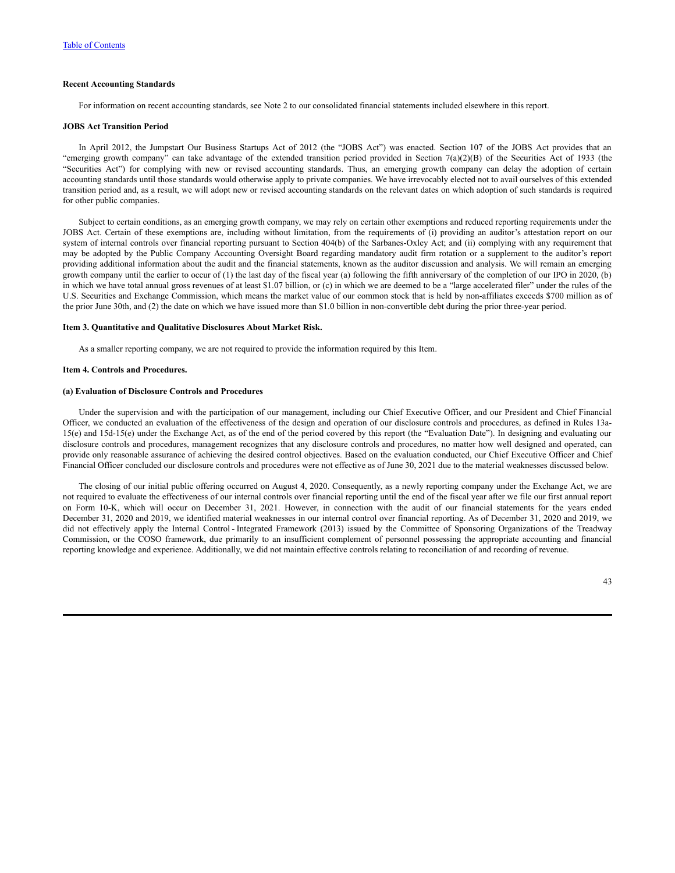### **Recent Accounting Standards**

For information on recent accounting standards, see Note 2 to our consolidated financial statements included elsewhere in this report.

#### **JOBS Act Transition Period**

In April 2012, the Jumpstart Our Business Startups Act of 2012 (the "JOBS Act") was enacted. Section 107 of the JOBS Act provides that an "emerging growth company" can take advantage of the extended transition period provided in Section 7(a)(2)(B) of the Securities Act of 1933 (the "Securities Act") for complying with new or revised accounting standards. Thus, an emerging growth company can delay the adoption of certain accounting standards until those standards would otherwise apply to private companies. We have irrevocably elected not to avail ourselves of this extended transition period and, as a result, we will adopt new or revised accounting standards on the relevant dates on which adoption of such standards is required for other public companies.

Subject to certain conditions, as an emerging growth company, we may rely on certain other exemptions and reduced reporting requirements under the JOBS Act. Certain of these exemptions are, including without limitation, from the requirements of (i) providing an auditor's attestation report on our system of internal controls over financial reporting pursuant to Section 404(b) of the Sarbanes-Oxley Act; and (ii) complying with any requirement that may be adopted by the Public Company Accounting Oversight Board regarding mandatory audit firm rotation or a supplement to the auditor's report providing additional information about the audit and the financial statements, known as the auditor discussion and analysis. We will remain an emerging growth company until the earlier to occur of  $(1)$  the last day of the fiscal year (a) following the fifth anniversary of the completion of our IPO in 2020, (b) in which we have total annual gross revenues of at least \$1.07 billion, or (c) in which we are deemed to be a "large accelerated filer" under the rules of the U.S. Securities and Exchange Commission, which means the market value of our common stock that is held by non-affiliates exceeds \$700 million as of the prior June 30th, and (2) the date on which we have issued more than \$1.0 billion in non-convertible debt during the prior three-year period.

#### <span id="page-42-0"></span>**Item 3. Quantitative and Qualitative Disclosures About Market Risk.**

As a smaller reporting company, we are not required to provide the information required by this Item.

## <span id="page-42-1"></span>**Item 4. Controls and Procedures.**

#### **(a) Evaluation of Disclosure Controls and Procedures**

Under the supervision and with the participation of our management, including our Chief Executive Officer, and our President and Chief Financial Officer, we conducted an evaluation of the effectiveness of the design and operation of our disclosure controls and procedures, as defined in Rules 13a-15(e) and 15d-15(e) under the Exchange Act, as of the end of the period covered by this report (the "Evaluation Date"). In designing and evaluating our disclosure controls and procedures, management recognizes that any disclosure controls and procedures, no matter how well designed and operated, can provide only reasonable assurance of achieving the desired control objectives. Based on the evaluation conducted, our Chief Executive Officer and Chief Financial Officer concluded our disclosure controls and procedures were not effective as of June 30, 2021 due to the material weaknesses discussed below.

The closing of our initial public offering occurred on August 4, 2020. Consequently, as a newly reporting company under the Exchange Act, we are not required to evaluate the effectiveness of our internal controls over financial reporting until the end of the fiscal year after we file our first annual report on Form 10-K, which will occur on December 31, 2021. However, in connection with the audit of our financial statements for the years ended December 31, 2020 and 2019, we identified material weaknesses in our internal control over financial reporting. As of December 31, 2020 and 2019, we did not effectively apply the Internal Control - Integrated Framework (2013) issued by the Committee of Sponsoring Organizations of the Treadway Commission, or the COSO framework, due primarily to an insufficient complement of personnel possessing the appropriate accounting and financial reporting knowledge and experience. Additionally, we did not maintain effective controls relating to reconciliation of and recording of revenue.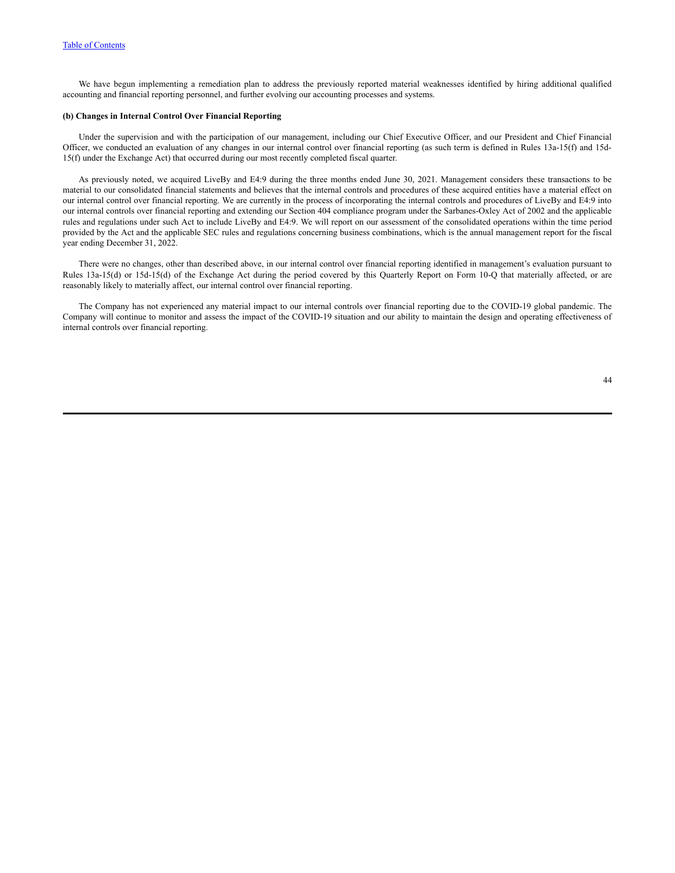We have begun implementing a remediation plan to address the previously reported material weaknesses identified by hiring additional qualified accounting and financial reporting personnel, and further evolving our accounting processes and systems.

## **(b) Changes in Internal Control Over Financial Reporting**

Under the supervision and with the participation of our management, including our Chief Executive Officer, and our President and Chief Financial Officer, we conducted an evaluation of any changes in our internal control over financial reporting (as such term is defined in Rules 13a-15(f) and 15d-15(f) under the Exchange Act) that occurred during our most recently completed fiscal quarter.

As previously noted, we acquired LiveBy and E4:9 during the three months ended June 30, 2021. Management considers these transactions to be material to our consolidated financial statements and believes that the internal controls and procedures of these acquired entities have a material effect on our internal control over financial reporting. We are currently in the process of incorporating the internal controls and procedures of LiveBy and E4:9 into our internal controls over financial reporting and extending our Section 404 compliance program under the Sarbanes-Oxley Act of 2002 and the applicable rules and regulations under such Act to include LiveBy and E4:9. We will report on our assessment of the consolidated operations within the time period provided by the Act and the applicable SEC rules and regulations concerning business combinations, which is the annual management report for the fiscal year ending December 31, 2022.

There were no changes, other than described above, in our internal control over financial reporting identified in management's evaluation pursuant to Rules 13a-15(d) or 15d-15(d) of the Exchange Act during the period covered by this Quarterly Report on Form 10-Q that materially affected, or are reasonably likely to materially affect, our internal control over financial reporting.

The Company has not experienced any material impact to our internal controls over financial reporting due to the COVID-19 global pandemic. The Company will continue to monitor and assess the impact of the COVID-19 situation and our ability to maintain the design and operating effectiveness of internal controls over financial reporting.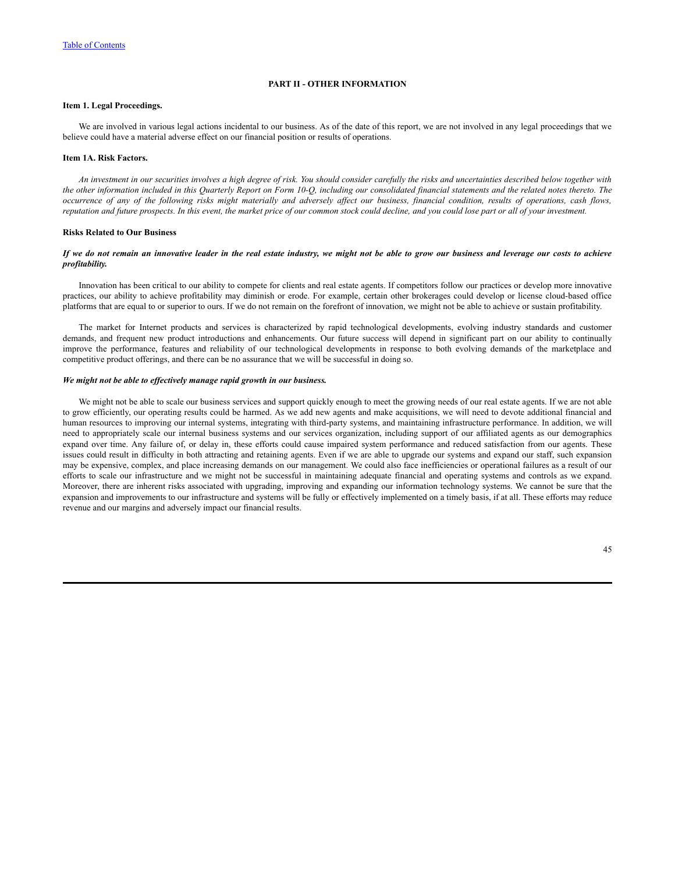## **PART II - OTHER INFORMATION**

## <span id="page-44-1"></span><span id="page-44-0"></span>**Item 1. Legal Proceedings.**

We are involved in various legal actions incidental to our business. As of the date of this report, we are not involved in any legal proceedings that we believe could have a material adverse effect on our financial position or results of operations.

### <span id="page-44-2"></span>**Item 1A. Risk Factors.**

An investment in our securities involves a high degree of risk. You should consider carefully the risks and uncertainties described below together with the other information included in this Ouarterly Report on Form 10-O, including our consolidated financial statements and the related notes thereto. The occurrence of any of the following risks might materially and adversely affect our business, financial condition, results of operations, cash flows, reputation and future prospects. In this event, the market price of our common stock could decline, and you could lose part or all of your investment.

### **Risks Related to Our Business**

## If we do not remain an innovative leader in the real estate industry, we might not be able to grow our business and leverage our costs to achieve *profitability.*

Innovation has been critical to our ability to compete for clients and real estate agents. If competitors follow our practices or develop more innovative practices, our ability to achieve profitability may diminish or erode. For example, certain other brokerages could develop or license cloud-based office platforms that are equal to or superior to ours. If we do not remain on the forefront of innovation, we might not be able to achieve or sustain profitability.

The market for Internet products and services is characterized by rapid technological developments, evolving industry standards and customer demands, and frequent new product introductions and enhancements. Our future success will depend in significant part on our ability to continually improve the performance, features and reliability of our technological developments in response to both evolving demands of the marketplace and competitive product offerings, and there can be no assurance that we will be successful in doing so.

## *We might not be able to ef ectively manage rapid growth in our business.*

We might not be able to scale our business services and support quickly enough to meet the growing needs of our real estate agents. If we are not able to grow efficiently, our operating results could be harmed. As we add new agents and make acquisitions, we will need to devote additional financial and human resources to improving our internal systems, integrating with third-party systems, and maintaining infrastructure performance. In addition, we will need to appropriately scale our internal business systems and our services organization, including support of our affiliated agents as our demographics expand over time. Any failure of, or delay in, these efforts could cause impaired system performance and reduced satisfaction from our agents. These issues could result in difficulty in both attracting and retaining agents. Even if we are able to upgrade our systems and expand our staff, such expansion may be expensive, complex, and place increasing demands on our management. We could also face inefficiencies or operational failures as a result of our efforts to scale our infrastructure and we might not be successful in maintaining adequate financial and operating systems and controls as we expand. Moreover, there are inherent risks associated with upgrading, improving and expanding our information technology systems. We cannot be sure that the expansion and improvements to our infrastructure and systems will be fully or effectively implemented on a timely basis, if at all. These efforts may reduce revenue and our margins and adversely impact our financial results.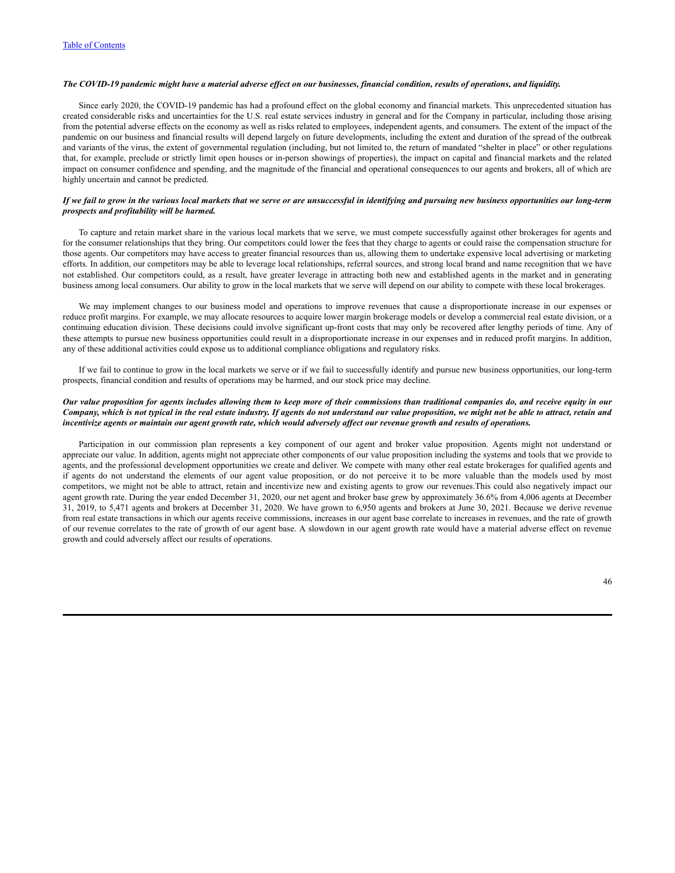## The COVID-19 pandemic might have a material adverse effect on our businesses, financial condition, results of operations, and liquidity.

Since early 2020, the COVID-19 pandemic has had a profound effect on the global economy and financial markets. This unprecedented situation has created considerable risks and uncertainties for the U.S. real estate services industry in general and for the Company in particular, including those arising from the potential adverse effects on the economy as well as risks related to employees, independent agents, and consumers. The extent of the impact of the pandemic on our business and financial results will depend largely on future developments, including the extent and duration of the spread of the outbreak and variants of the virus, the extent of governmental regulation (including, but not limited to, the return of mandated "shelter in place" or other regulations that, for example, preclude or strictly limit open houses or in-person showings of properties), the impact on capital and financial markets and the related impact on consumer confidence and spending, and the magnitude of the financial and operational consequences to our agents and brokers, all of which are highly uncertain and cannot be predicted.

## If we fail to grow in the various local markets that we serve or are unsuccessful in identifying and pursuing new business opportunities our long-term *prospects and profitability will be harmed.*

To capture and retain market share in the various local markets that we serve, we must compete successfully against other brokerages for agents and for the consumer relationships that they bring. Our competitors could lower the fees that they charge to agents or could raise the compensation structure for those agents. Our competitors may have access to greater financial resources than us, allowing them to undertake expensive local advertising or marketing efforts. In addition, our competitors may be able to leverage local relationships, referral sources, and strong local brand and name recognition that we have not established. Our competitors could, as a result, have greater leverage in attracting both new and established agents in the market and in generating business among local consumers. Our ability to grow in the local markets that we serve will depend on our ability to compete with these local brokerages.

We may implement changes to our business model and operations to improve revenues that cause a disproportionate increase in our expenses or reduce profit margins. For example, we may allocate resources to acquire lower margin brokerage models or develop a commercial real estate division, or a continuing education division. These decisions could involve significant up-front costs that may only be recovered after lengthy periods of time. Any of these attempts to pursue new business opportunities could result in a disproportionate increase in our expenses and in reduced profit margins. In addition, any of these additional activities could expose us to additional compliance obligations and regulatory risks.

If we fail to continue to grow in the local markets we serve or if we fail to successfully identify and pursue new business opportunities, our long-term prospects, financial condition and results of operations may be harmed, and our stock price may decline.

## Our value proposition for agents includes allowing them to keep more of their commissions than traditional companies do, and receive equity in our Company, which is not typical in the real estate industry. If agents do not understand our value proposition, we might not be able to attract, retain and incentivize agents or maintain our agent growth rate, which would adversely affect our revenue growth and results of operations.

Participation in our commission plan represents a key component of our agent and broker value proposition. Agents might not understand or appreciate our value. In addition, agents might not appreciate other components of our value proposition including the systems and tools that we provide to agents, and the professional development opportunities we create and deliver. We compete with many other real estate brokerages for qualified agents and if agents do not understand the elements of our agent value proposition, or do not perceive it to be more valuable than the models used by most competitors, we might not be able to attract, retain and incentivize new and existing agents to grow our revenues.This could also negatively impact our agent growth rate. During the year ended December 31, 2020, our net agent and broker base grew by approximately 36.6% from 4,006 agents at December 31, 2019, to 5,471 agents and brokers at December 31, 2020. We have grown to 6,950 agents and brokers at June 30, 2021. Because we derive revenue from real estate transactions in which our agents receive commissions, increases in our agent base correlate to increases in revenues, and the rate of growth of our revenue correlates to the rate of growth of our agent base. A slowdown in our agent growth rate would have a material adverse effect on revenue growth and could adversely affect our results of operations.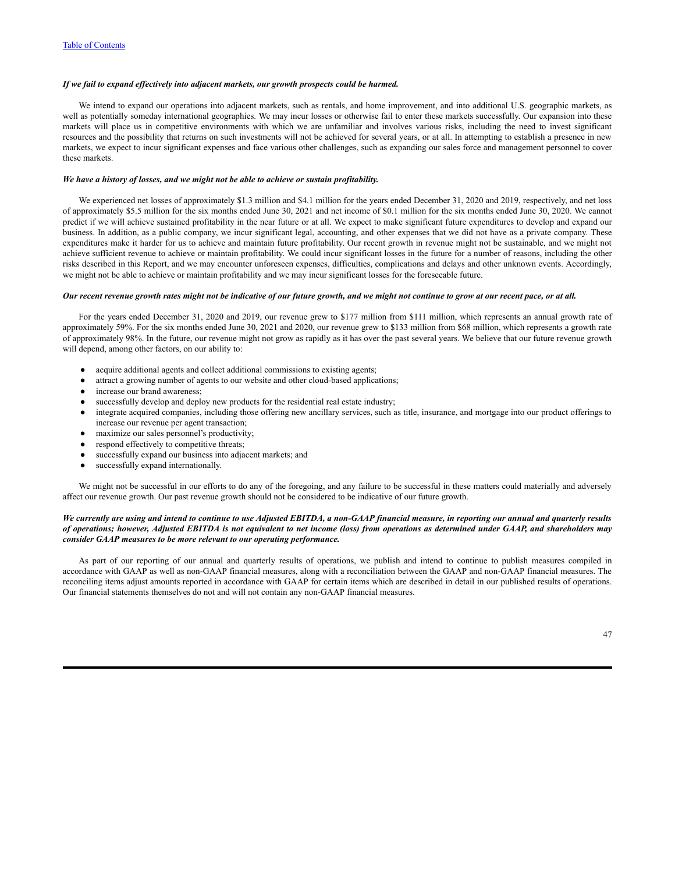## *If we fail to expand ef ectively into adjacent markets, our growth prospects could be harmed.*

We intend to expand our operations into adjacent markets, such as rentals, and home improvement, and into additional U.S. geographic markets, as well as potentially someday international geographies. We may incur losses or otherwise fail to enter these markets successfully. Our expansion into these markets will place us in competitive environments with which we are unfamiliar and involves various risks, including the need to invest significant resources and the possibility that returns on such investments will not be achieved for several years, or at all. In attempting to establish a presence in new markets, we expect to incur significant expenses and face various other challenges, such as expanding our sales force and management personnel to cover these markets.

## *We have a history of losses, and we might not be able to achieve or sustain profitability.*

We experienced net losses of approximately \$1.3 million and \$4.1 million for the years ended December 31, 2020 and 2019, respectively, and net loss of approximately \$5.5 million for the six months ended June 30, 2021 and net income of \$0.1 million for the six months ended June 30, 2020. We cannot predict if we will achieve sustained profitability in the near future or at all. We expect to make significant future expenditures to develop and expand our business. In addition, as a public company, we incur significant legal, accounting, and other expenses that we did not have as a private company. These expenditures make it harder for us to achieve and maintain future profitability. Our recent growth in revenue might not be sustainable, and we might not achieve sufficient revenue to achieve or maintain profitability. We could incur significant losses in the future for a number of reasons, including the other risks described in this Report, and we may encounter unforeseen expenses, difficulties, complications and delays and other unknown events. Accordingly, we might not be able to achieve or maintain profitability and we may incur significant losses for the foreseeable future.

## Our recent revenue growth rates might not be indicative of our future growth, and we might not continue to grow at our recent pace, or at all.

For the years ended December 31, 2020 and 2019, our revenue grew to \$177 million from \$111 million, which represents an annual growth rate of approximately 59%. For the six months ended June 30, 2021 and 2020, our revenue grew to \$133 million from \$68 million, which represents a growth rate of approximately 98%. In the future, our revenue might not grow as rapidly as it has over the past several years. We believe that our future revenue growth will depend, among other factors, on our ability to:

- acquire additional agents and collect additional commissions to existing agents;
- attract a growing number of agents to our website and other cloud-based applications;
- increase our brand awareness;
- successfully develop and deploy new products for the residential real estate industry;
- integrate acquired companies, including those offering new ancillary services, such as title, insurance, and mortgage into our product offerings to increase our revenue per agent transaction;
- maximize our sales personnel's productivity;
- respond effectively to competitive threats;
- successfully expand our business into adjacent markets; and
- successfully expand internationally.

We might not be successful in our efforts to do any of the foregoing, and any failure to be successful in these matters could materially and adversely affect our revenue growth. Our past revenue growth should not be considered to be indicative of our future growth.

## We currently are using and intend to continue to use Adjusted EBITDA, a non-GAAP financial measure, in reporting our annual and quarterly results of operations; however, Adjusted EBITDA is not equivalent to net income (loss) from operations as determined under GAAP, and shareholders may *consider GAAP measures to be more relevant to our operating performance.*

As part of our reporting of our annual and quarterly results of operations, we publish and intend to continue to publish measures compiled in accordance with GAAP as well as non-GAAP financial measures, along with a reconciliation between the GAAP and non-GAAP financial measures. The reconciling items adjust amounts reported in accordance with GAAP for certain items which are described in detail in our published results of operations. Our financial statements themselves do not and will not contain any non-GAAP financial measures.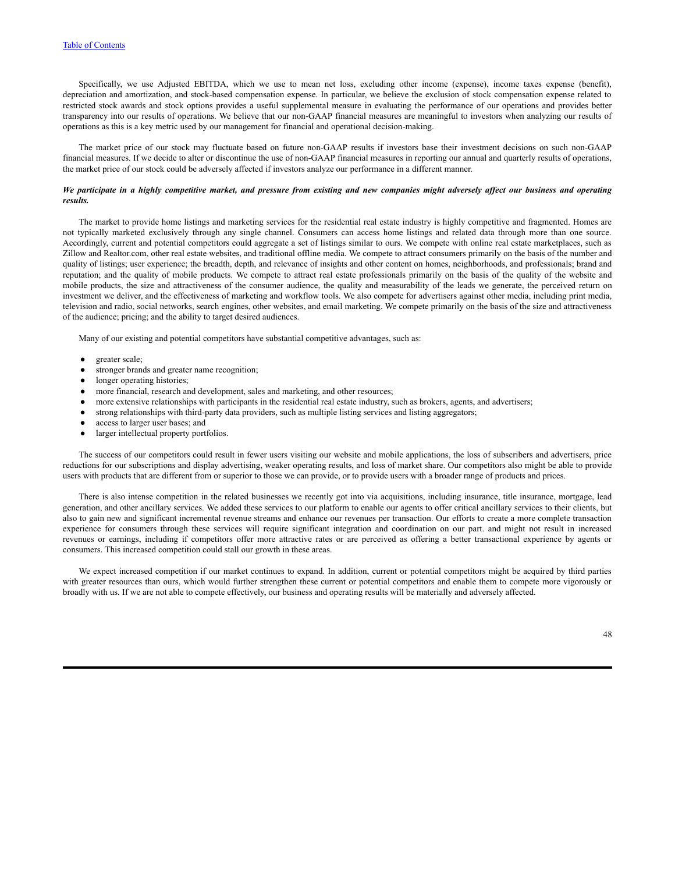Specifically, we use Adjusted EBITDA, which we use to mean net loss, excluding other income (expense), income taxes expense (benefit), depreciation and amortization, and stock-based compensation expense. In particular, we believe the exclusion of stock compensation expense related to restricted stock awards and stock options provides a useful supplemental measure in evaluating the performance of our operations and provides better transparency into our results of operations. We believe that our non-GAAP financial measures are meaningful to investors when analyzing our results of operations as this is a key metric used by our management for financial and operational decision-making.

The market price of our stock may fluctuate based on future non-GAAP results if investors base their investment decisions on such non-GAAP financial measures. If we decide to alter or discontinue the use of non-GAAP financial measures in reporting our annual and quarterly results of operations, the market price of our stock could be adversely affected if investors analyze our performance in a different manner.

## We participate in a highly competitive market, and pressure from existing and new companies might adversely affect our business and operating *results.*

The market to provide home listings and marketing services for the residential real estate industry is highly competitive and fragmented. Homes are not typically marketed exclusively through any single channel. Consumers can access home listings and related data through more than one source. Accordingly, current and potential competitors could aggregate a set of listings similar to ours. We compete with online real estate marketplaces, such as Zillow and Realtor.com, other real estate websites, and traditional offline media. We compete to attract consumers primarily on the basis of the number and quality of listings; user experience; the breadth, depth, and relevance of insights and other content on homes, neighborhoods, and professionals; brand and reputation; and the quality of mobile products. We compete to attract real estate professionals primarily on the basis of the quality of the website and mobile products, the size and attractiveness of the consumer audience, the quality and measurability of the leads we generate, the perceived return on investment we deliver, and the effectiveness of marketing and workflow tools. We also compete for advertisers against other media, including print media, television and radio, social networks, search engines, other websites, and email marketing. We compete primarily on the basis of the size and attractiveness of the audience; pricing; and the ability to target desired audiences.

Many of our existing and potential competitors have substantial competitive advantages, such as:

- greater scale;
- stronger brands and greater name recognition;
- longer operating histories;
- more financial, research and development, sales and marketing, and other resources;
- more extensive relationships with participants in the residential real estate industry, such as brokers, agents, and advertisers;
- strong relationships with third-party data providers, such as multiple listing services and listing aggregators;
- access to larger user bases; and
- larger intellectual property portfolios.

The success of our competitors could result in fewer users visiting our website and mobile applications, the loss of subscribers and advertisers, price reductions for our subscriptions and display advertising, weaker operating results, and loss of market share. Our competitors also might be able to provide users with products that are different from or superior to those we can provide, or to provide users with a broader range of products and prices.

There is also intense competition in the related businesses we recently got into via acquisitions, including insurance, title insurance, mortgage, lead generation, and other ancillary services. We added these services to our platform to enable our agents to offer critical ancillary services to their clients, but also to gain new and significant incremental revenue streams and enhance our revenues per transaction. Our efforts to create a more complete transaction experience for consumers through these services will require significant integration and coordination on our part. and might not result in increased revenues or earnings, including if competitors offer more attractive rates or are perceived as offering a better transactional experience by agents or consumers. This increased competition could stall our growth in these areas.

We expect increased competition if our market continues to expand. In addition, current or potential competitors might be acquired by third parties with greater resources than ours, which would further strengthen these current or potential competitors and enable them to compete more vigorously or broadly with us. If we are not able to compete effectively, our business and operating results will be materially and adversely affected.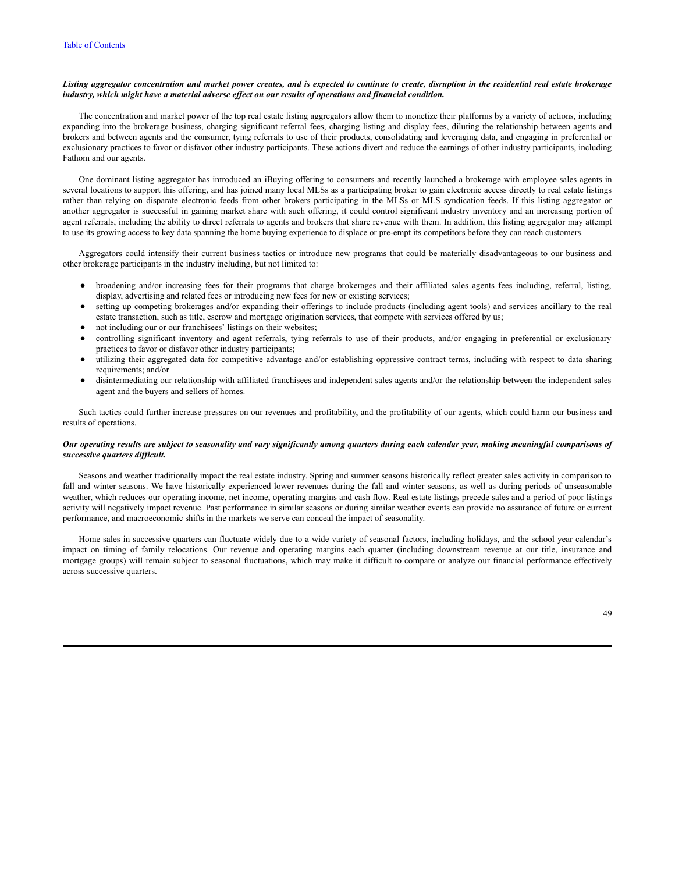## Listing aggregator concentration and market power creates, and is expected to continue to create, disruption in the residential real estate brokerage industry, which might have a material adverse effect on our results of operations and financial condition.

The concentration and market power of the top real estate listing aggregators allow them to monetize their platforms by a variety of actions, including expanding into the brokerage business, charging significant referral fees, charging listing and display fees, diluting the relationship between agents and brokers and between agents and the consumer, tying referrals to use of their products, consolidating and leveraging data, and engaging in preferential or exclusionary practices to favor or disfavor other industry participants. These actions divert and reduce the earnings of other industry participants, including Fathom and our agents.

One dominant listing aggregator has introduced an iBuying offering to consumers and recently launched a brokerage with employee sales agents in several locations to support this offering, and has joined many local MLSs as a participating broker to gain electronic access directly to real estate listings rather than relying on disparate electronic feeds from other brokers participating in the MLSs or MLS syndication feeds. If this listing aggregator or another aggregator is successful in gaining market share with such offering, it could control significant industry inventory and an increasing portion of agent referrals, including the ability to direct referrals to agents and brokers that share revenue with them. In addition, this listing aggregator may attempt to use its growing access to key data spanning the home buying experience to displace or pre-empt its competitors before they can reach customers.

Aggregators could intensify their current business tactics or introduce new programs that could be materially disadvantageous to our business and other brokerage participants in the industry including, but not limited to:

- broadening and/or increasing fees for their programs that charge brokerages and their affiliated sales agents fees including, referral, listing, display, advertising and related fees or introducing new fees for new or existing services;
- setting up competing brokerages and/or expanding their offerings to include products (including agent tools) and services ancillary to the real estate transaction, such as title, escrow and mortgage origination services, that compete with services offered by us;
- not including our or our franchisees' listings on their websites;
- controlling significant inventory and agent referrals, tying referrals to use of their products, and/or engaging in preferential or exclusionary practices to favor or disfavor other industry participants;
- utilizing their aggregated data for competitive advantage and/or establishing oppressive contract terms, including with respect to data sharing requirements; and/or
- disintermediating our relationship with affiliated franchisees and independent sales agents and/or the relationship between the independent sales agent and the buyers and sellers of homes.

Such tactics could further increase pressures on our revenues and profitability, and the profitability of our agents, which could harm our business and results of operations.

### Our operating results are subject to seasonality and vary significantly among quarters during each calendar year, making meaningful comparisons of *successive quarters dif icult.*

Seasons and weather traditionally impact the real estate industry. Spring and summer seasons historically reflect greater sales activity in comparison to fall and winter seasons. We have historically experienced lower revenues during the fall and winter seasons, as well as during periods of unseasonable weather, which reduces our operating income, net income, operating margins and cash flow. Real estate listings precede sales and a period of poor listings activity will negatively impact revenue. Past performance in similar seasons or during similar weather events can provide no assurance of future or current performance, and macroeconomic shifts in the markets we serve can conceal the impact of seasonality.

Home sales in successive quarters can fluctuate widely due to a wide variety of seasonal factors, including holidays, and the school year calendar's impact on timing of family relocations. Our revenue and operating margins each quarter (including downstream revenue at our title, insurance and mortgage groups) will remain subject to seasonal fluctuations, which may make it difficult to compare or analyze our financial performance effectively across successive quarters.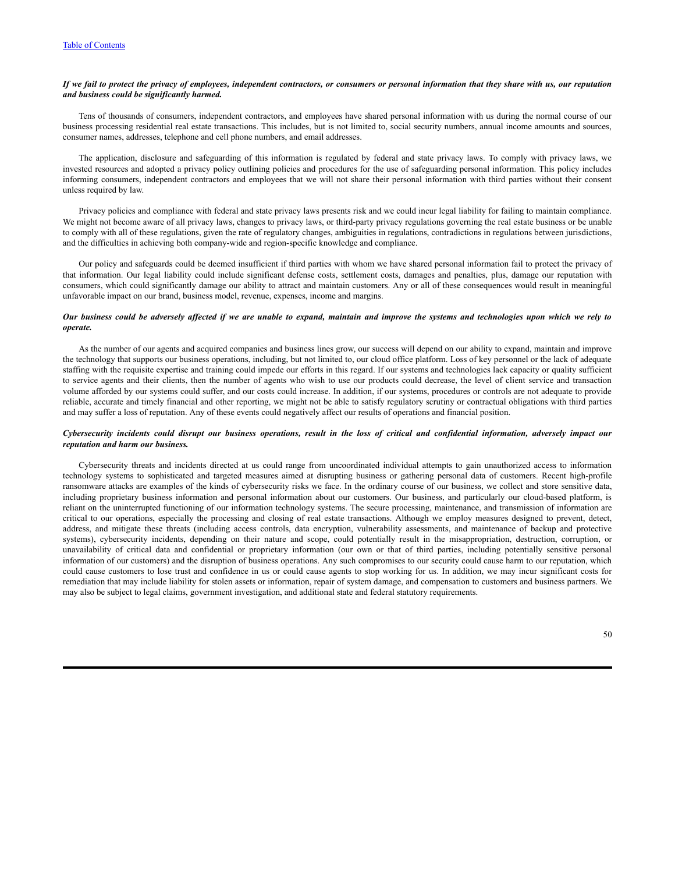## If we fail to protect the privacy of employees, independent contractors, or consumers or personal information that they share with us, our reputation *and business could be significantly harmed.*

Tens of thousands of consumers, independent contractors, and employees have shared personal information with us during the normal course of our business processing residential real estate transactions. This includes, but is not limited to, social security numbers, annual income amounts and sources, consumer names, addresses, telephone and cell phone numbers, and email addresses.

The application, disclosure and safeguarding of this information is regulated by federal and state privacy laws. To comply with privacy laws, we invested resources and adopted a privacy policy outlining policies and procedures for the use of safeguarding personal information. This policy includes informing consumers, independent contractors and employees that we will not share their personal information with third parties without their consent unless required by law.

Privacy policies and compliance with federal and state privacy laws presents risk and we could incur legal liability for failing to maintain compliance. We might not become aware of all privacy laws, changes to privacy laws, or third-party privacy regulations governing the real estate business or be unable to comply with all of these regulations, given the rate of regulatory changes, ambiguities in regulations, contradictions in regulations between jurisdictions, and the difficulties in achieving both company-wide and region-specific knowledge and compliance.

Our policy and safeguards could be deemed insufficient if third parties with whom we have shared personal information fail to protect the privacy of that information. Our legal liability could include significant defense costs, settlement costs, damages and penalties, plus, damage our reputation with consumers, which could significantly damage our ability to attract and maintain customers. Any or all of these consequences would result in meaningful unfavorable impact on our brand, business model, revenue, expenses, income and margins.

## Our business could be adversely affected if we are unable to expand, maintain and improve the systems and technologies upon which we rely to *operate.*

As the number of our agents and acquired companies and business lines grow, our success will depend on our ability to expand, maintain and improve the technology that supports our business operations, including, but not limited to, our cloud office platform. Loss of key personnel or the lack of adequate staffing with the requisite expertise and training could impede our efforts in this regard. If our systems and technologies lack capacity or quality sufficient to service agents and their clients, then the number of agents who wish to use our products could decrease, the level of client service and transaction volume afforded by our systems could suffer, and our costs could increase. In addition, if our systems, procedures or controls are not adequate to provide reliable, accurate and timely financial and other reporting, we might not be able to satisfy regulatory scrutiny or contractual obligations with third parties and may suffer a loss of reputation. Any of these events could negatively affect our results of operations and financial position.

## Cybersecurity incidents could disrupt our business operations, result in the loss of critical and confidential information, adversely impact our *reputation and harm our business.*

Cybersecurity threats and incidents directed at us could range from uncoordinated individual attempts to gain unauthorized access to information technology systems to sophisticated and targeted measures aimed at disrupting business or gathering personal data of customers. Recent high-profile ransomware attacks are examples of the kinds of cybersecurity risks we face. In the ordinary course of our business, we collect and store sensitive data, including proprietary business information and personal information about our customers. Our business, and particularly our cloud-based platform, is reliant on the uninterrupted functioning of our information technology systems. The secure processing, maintenance, and transmission of information are critical to our operations, especially the processing and closing of real estate transactions. Although we employ measures designed to prevent, detect, address, and mitigate these threats (including access controls, data encryption, vulnerability assessments, and maintenance of backup and protective systems), cybersecurity incidents, depending on their nature and scope, could potentially result in the misappropriation, destruction, corruption, or unavailability of critical data and confidential or proprietary information (our own or that of third parties, including potentially sensitive personal information of our customers) and the disruption of business operations. Any such compromises to our security could cause harm to our reputation, which could cause customers to lose trust and confidence in us or could cause agents to stop working for us. In addition, we may incur significant costs for remediation that may include liability for stolen assets or information, repair of system damage, and compensation to customers and business partners. We may also be subject to legal claims, government investigation, and additional state and federal statutory requirements.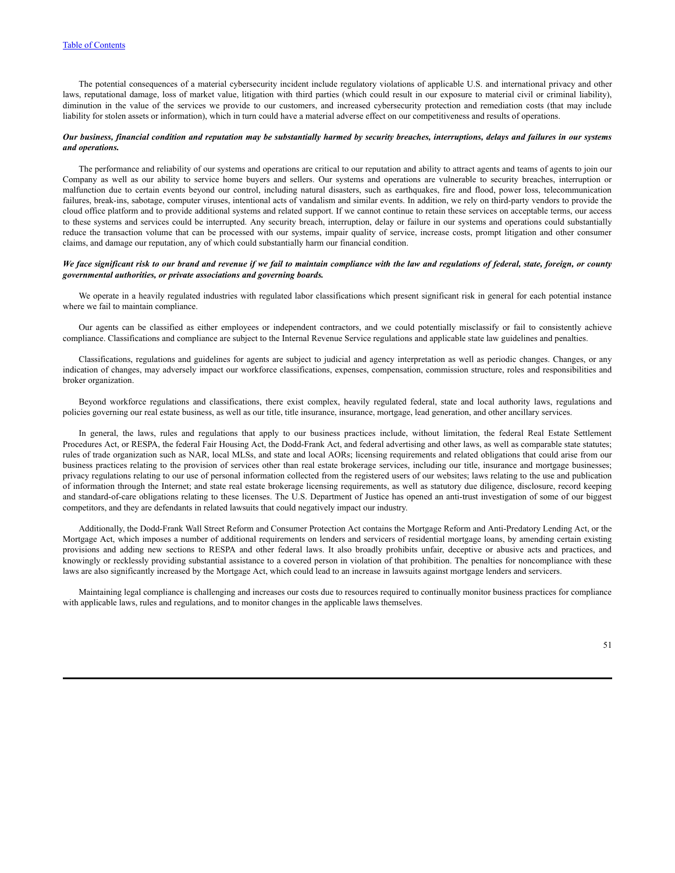The potential consequences of a material cybersecurity incident include regulatory violations of applicable U.S. and international privacy and other laws, reputational damage, loss of market value, litigation with third parties (which could result in our exposure to material civil or criminal liability), diminution in the value of the services we provide to our customers, and increased cybersecurity protection and remediation costs (that may include liability for stolen assets or information), which in turn could have a material adverse effect on our competitiveness and results of operations.

### Our business, financial condition and reputation may be substantially harmed by security breaches, interruptions, delays and failures in our systems *and operations.*

The performance and reliability of our systems and operations are critical to our reputation and ability to attract agents and teams of agents to join our Company as well as our ability to service home buyers and sellers. Our systems and operations are vulnerable to security breaches, interruption or malfunction due to certain events beyond our control, including natural disasters, such as earthquakes, fire and flood, power loss, telecommunication failures, break-ins, sabotage, computer viruses, intentional acts of vandalism and similar events. In addition, we rely on third-party vendors to provide the cloud office platform and to provide additional systems and related support. If we cannot continue to retain these services on acceptable terms, our access to these systems and services could be interrupted. Any security breach, interruption, delay or failure in our systems and operations could substantially reduce the transaction volume that can be processed with our systems, impair quality of service, increase costs, prompt litigation and other consumer claims, and damage our reputation, any of which could substantially harm our financial condition.

### We face significant risk to our brand and revenue if we fail to maintain compliance with the law and regulations of federal, state, foreign, or county *governmental authorities, or private associations and governing boards.*

We operate in a heavily regulated industries with regulated labor classifications which present significant risk in general for each potential instance where we fail to maintain compliance.

Our agents can be classified as either employees or independent contractors, and we could potentially misclassify or fail to consistently achieve compliance. Classifications and compliance are subject to the Internal Revenue Service regulations and applicable state law guidelines and penalties.

Classifications, regulations and guidelines for agents are subject to judicial and agency interpretation as well as periodic changes. Changes, or any indication of changes, may adversely impact our workforce classifications, expenses, compensation, commission structure, roles and responsibilities and broker organization.

Beyond workforce regulations and classifications, there exist complex, heavily regulated federal, state and local authority laws, regulations and policies governing our real estate business, as well as our title, title insurance, insurance, mortgage, lead generation, and other ancillary services.

In general, the laws, rules and regulations that apply to our business practices include, without limitation, the federal Real Estate Settlement Procedures Act, or RESPA, the federal Fair Housing Act, the Dodd-Frank Act, and federal advertising and other laws, as well as comparable state statutes; rules of trade organization such as NAR, local MLSs, and state and local AORs; licensing requirements and related obligations that could arise from our business practices relating to the provision of services other than real estate brokerage services, including our title, insurance and mortgage businesses; privacy regulations relating to our use of personal information collected from the registered users of our websites; laws relating to the use and publication of information through the Internet; and state real estate brokerage licensing requirements, as well as statutory due diligence, disclosure, record keeping and standard-of-care obligations relating to these licenses. The U.S. Department of Justice has opened an anti-trust investigation of some of our biggest competitors, and they are defendants in related lawsuits that could negatively impact our industry.

Additionally, the Dodd-Frank Wall Street Reform and Consumer Protection Act contains the Mortgage Reform and Anti-Predatory Lending Act, or the Mortgage Act, which imposes a number of additional requirements on lenders and servicers of residential mortgage loans, by amending certain existing provisions and adding new sections to RESPA and other federal laws. It also broadly prohibits unfair, deceptive or abusive acts and practices, and knowingly or recklessly providing substantial assistance to a covered person in violation of that prohibition. The penalties for noncompliance with these laws are also significantly increased by the Mortgage Act, which could lead to an increase in lawsuits against mortgage lenders and servicers.

Maintaining legal compliance is challenging and increases our costs due to resources required to continually monitor business practices for compliance with applicable laws, rules and regulations, and to monitor changes in the applicable laws themselves.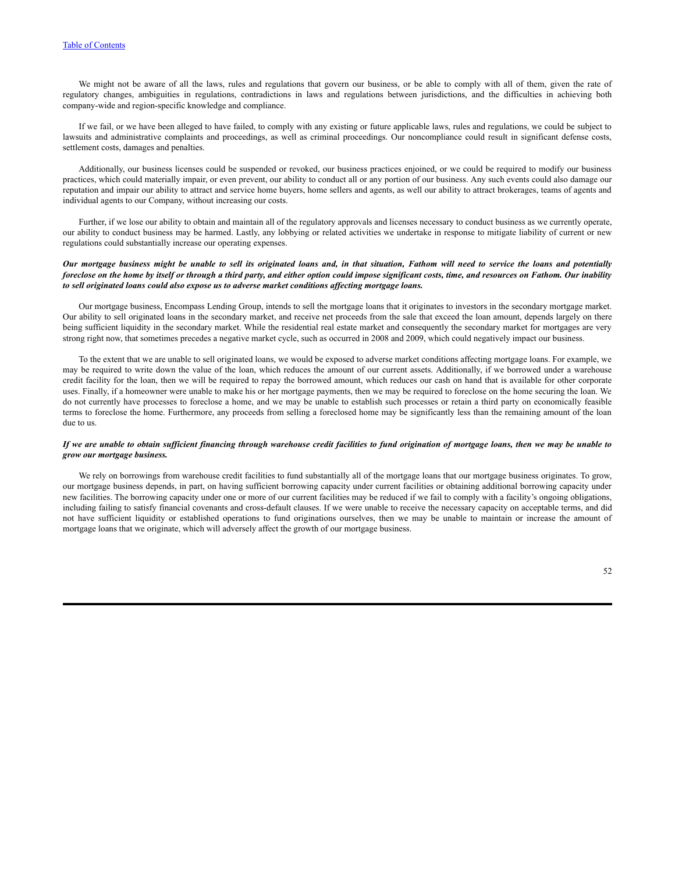We might not be aware of all the laws, rules and regulations that govern our business, or be able to comply with all of them, given the rate of regulatory changes, ambiguities in regulations, contradictions in laws and regulations between jurisdictions, and the difficulties in achieving both company-wide and region-specific knowledge and compliance.

If we fail, or we have been alleged to have failed, to comply with any existing or future applicable laws, rules and regulations, we could be subject to lawsuits and administrative complaints and proceedings, as well as criminal proceedings. Our noncompliance could result in significant defense costs, settlement costs, damages and penalties.

Additionally, our business licenses could be suspended or revoked, our business practices enjoined, or we could be required to modify our business practices, which could materially impair, or even prevent, our ability to conduct all or any portion of our business. Any such events could also damage our reputation and impair our ability to attract and service home buyers, home sellers and agents, as well our ability to attract brokerages, teams of agents and individual agents to our Company, without increasing our costs.

Further, if we lose our ability to obtain and maintain all of the regulatory approvals and licenses necessary to conduct business as we currently operate, our ability to conduct business may be harmed. Lastly, any lobbying or related activities we undertake in response to mitigate liability of current or new regulations could substantially increase our operating expenses.

## Our mortgage business might be unable to sell its originated loans and, in that situation, Fathom will need to service the loans and potentially foreclose on the home by itself or through a third party, and either option could impose significant costs, time, and resources on Fathom. Our inability *to sell originated loans could also expose us to adverse market conditions af ecting mortgage loans.*

Our mortgage business, Encompass Lending Group, intends to sell the mortgage loans that it originates to investors in the secondary mortgage market. Our ability to sell originated loans in the secondary market, and receive net proceeds from the sale that exceed the loan amount, depends largely on there being sufficient liquidity in the secondary market. While the residential real estate market and consequently the secondary market for mortgages are very strong right now, that sometimes precedes a negative market cycle, such as occurred in 2008 and 2009, which could negatively impact our business.

To the extent that we are unable to sell originated loans, we would be exposed to adverse market conditions affecting mortgage loans. For example, we may be required to write down the value of the loan, which reduces the amount of our current assets. Additionally, if we borrowed under a warehouse credit facility for the loan, then we will be required to repay the borrowed amount, which reduces our cash on hand that is available for other corporate uses. Finally, if a homeowner were unable to make his or her mortgage payments, then we may be required to foreclose on the home securing the loan. We do not currently have processes to foreclose a home, and we may be unable to establish such processes or retain a third party on economically feasible terms to foreclose the home. Furthermore, any proceeds from selling a foreclosed home may be significantly less than the remaining amount of the loan due to us.

### If we are unable to obtain sufficient financing through warehouse credit facilities to fund origination of mortgage loans, then we may be unable to *grow our mortgage business.*

We rely on borrowings from warehouse credit facilities to fund substantially all of the mortgage loans that our mortgage business originates. To grow, our mortgage business depends, in part, on having sufficient borrowing capacity under current facilities or obtaining additional borrowing capacity under new facilities. The borrowing capacity under one or more of our current facilities may be reduced if we fail to comply with a facility's ongoing obligations, including failing to satisfy financial covenants and cross-default clauses. If we were unable to receive the necessary capacity on acceptable terms, and did not have sufficient liquidity or established operations to fund originations ourselves, then we may be unable to maintain or increase the amount of mortgage loans that we originate, which will adversely affect the growth of our mortgage business.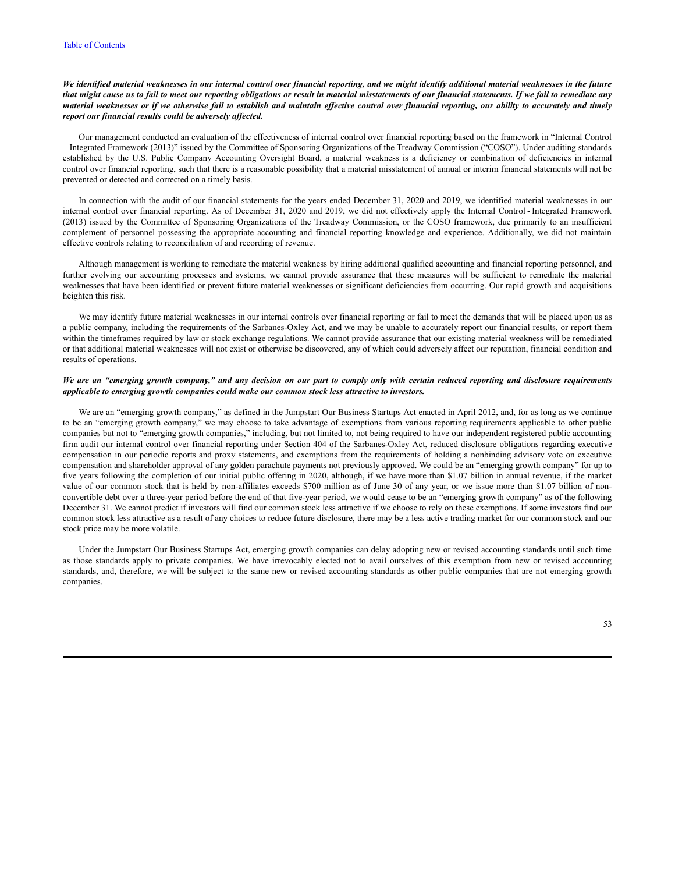## We identified material weaknesses in our internal control over financial reporting, and we might identify additional material weaknesses in the future that might cause us to fail to meet our reporting obligations or result in material misstatements of our financial statements. If we fail to remediate any material weaknesses or if we otherwise fail to establish and maintain effective control over financial reporting, our ability to accurately and timely *report our financial results could be adversely af ected.*

Our management conducted an evaluation of the effectiveness of internal control over financial reporting based on the framework in "Internal Control – Integrated Framework (2013)" issued by the Committee of Sponsoring Organizations of the Treadway Commission ("COSO"). Under auditing standards established by the U.S. Public Company Accounting Oversight Board, a material weakness is a deficiency or combination of deficiencies in internal control over financial reporting, such that there is a reasonable possibility that a material misstatement of annual or interim financial statements will not be prevented or detected and corrected on a timely basis.

In connection with the audit of our financial statements for the years ended December 31, 2020 and 2019, we identified material weaknesses in our internal control over financial reporting. As of December 31, 2020 and 2019, we did not effectively apply the Internal Control - Integrated Framework (2013) issued by the Committee of Sponsoring Organizations of the Treadway Commission, or the COSO framework, due primarily to an insufficient complement of personnel possessing the appropriate accounting and financial reporting knowledge and experience. Additionally, we did not maintain effective controls relating to reconciliation of and recording of revenue.

Although management is working to remediate the material weakness by hiring additional qualified accounting and financial reporting personnel, and further evolving our accounting processes and systems, we cannot provide assurance that these measures will be sufficient to remediate the material weaknesses that have been identified or prevent future material weaknesses or significant deficiencies from occurring. Our rapid growth and acquisitions heighten this risk.

We may identify future material weaknesses in our internal controls over financial reporting or fail to meet the demands that will be placed upon us as a public company, including the requirements of the Sarbanes-Oxley Act, and we may be unable to accurately report our financial results, or report them within the timeframes required by law or stock exchange regulations. We cannot provide assurance that our existing material weakness will be remediated or that additional material weaknesses will not exist or otherwise be discovered, any of which could adversely affect our reputation, financial condition and results of operations.

## We are an "emerging growth company," and any decision on our part to comply only with certain reduced reporting and disclosure requirements *applicable to emerging growth companies could make our common stock less attractive to investors.*

We are an "emerging growth company," as defined in the Jumpstart Our Business Startups Act enacted in April 2012, and, for as long as we continue to be an "emerging growth company," we may choose to take advantage of exemptions from various reporting requirements applicable to other public companies but not to "emerging growth companies," including, but not limited to, not being required to have our independent registered public accounting firm audit our internal control over financial reporting under Section 404 of the Sarbanes-Oxley Act, reduced disclosure obligations regarding executive compensation in our periodic reports and proxy statements, and exemptions from the requirements of holding a nonbinding advisory vote on executive compensation and shareholder approval of any golden parachute payments not previously approved. We could be an "emerging growth company" for up to five years following the completion of our initial public offering in 2020, although, if we have more than \$1.07 billion in annual revenue, if the market value of our common stock that is held by non-affiliates exceeds \$700 million as of June 30 of any year, or we issue more than \$1.07 billion of nonconvertible debt over a three-year period before the end of that five-year period, we would cease to be an "emerging growth company" as of the following December 31. We cannot predict if investors will find our common stock less attractive if we choose to rely on these exemptions. If some investors find our common stock less attractive as a result of any choices to reduce future disclosure, there may be a less active trading market for our common stock and our stock price may be more volatile.

Under the Jumpstart Our Business Startups Act, emerging growth companies can delay adopting new or revised accounting standards until such time as those standards apply to private companies. We have irrevocably elected not to avail ourselves of this exemption from new or revised accounting standards, and, therefore, we will be subject to the same new or revised accounting standards as other public companies that are not emerging growth companies.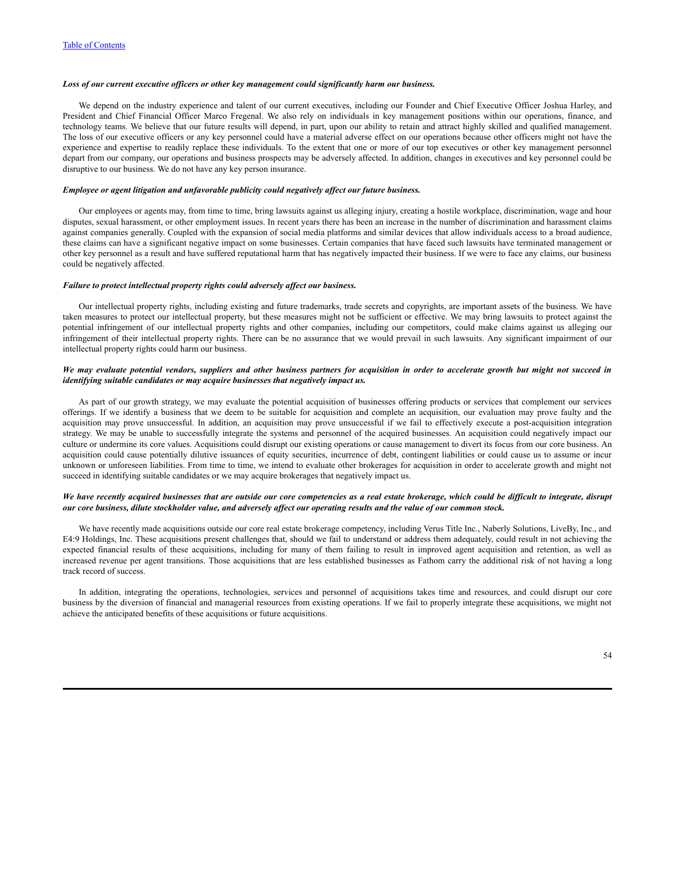## *Loss of our current executive of icers or other key management could significantly harm our business.*

We depend on the industry experience and talent of our current executives, including our Founder and Chief Executive Officer Joshua Harley, and President and Chief Financial Officer Marco Fregenal. We also rely on individuals in key management positions within our operations, finance, and technology teams. We believe that our future results will depend, in part, upon our ability to retain and attract highly skilled and qualified management. The loss of our executive officers or any key personnel could have a material adverse effect on our operations because other officers might not have the experience and expertise to readily replace these individuals. To the extent that one or more of our top executives or other key management personnel depart from our company, our operations and business prospects may be adversely affected. In addition, changes in executives and key personnel could be disruptive to our business. We do not have any key person insurance.

## *Employee or agent litigation and unfavorable publicity could negatively af ect our future business.*

Our employees or agents may, from time to time, bring lawsuits against us alleging injury, creating a hostile workplace, discrimination, wage and hour disputes, sexual harassment, or other employment issues. In recent years there has been an increase in the number of discrimination and harassment claims against companies generally. Coupled with the expansion of social media platforms and similar devices that allow individuals access to a broad audience, these claims can have a significant negative impact on some businesses. Certain companies that have faced such lawsuits have terminated management or other key personnel as a result and have suffered reputational harm that has negatively impacted their business. If we were to face any claims, our business could be negatively affected.

### *Failure to protect intellectual property rights could adversely af ect our business.*

Our intellectual property rights, including existing and future trademarks, trade secrets and copyrights, are important assets of the business. We have taken measures to protect our intellectual property, but these measures might not be sufficient or effective. We may bring lawsuits to protect against the potential infringement of our intellectual property rights and other companies, including our competitors, could make claims against us alleging our infringement of their intellectual property rights. There can be no assurance that we would prevail in such lawsuits. Any significant impairment of our intellectual property rights could harm our business.

## We may evaluate potential vendors, suppliers and other business partners for acquisition in order to accelerate growth but might not succeed in *identifying suitable candidates or may acquire businesses that negatively impact us.*

As part of our growth strategy, we may evaluate the potential acquisition of businesses offering products or services that complement our services offerings. If we identify a business that we deem to be suitable for acquisition and complete an acquisition, our evaluation may prove faulty and the acquisition may prove unsuccessful. In addition, an acquisition may prove unsuccessful if we fail to effectively execute a post-acquisition integration strategy. We may be unable to successfully integrate the systems and personnel of the acquired businesses. An acquisition could negatively impact our culture or undermine its core values. Acquisitions could disrupt our existing operations or cause management to divert its focus from our core business. An acquisition could cause potentially dilutive issuances of equity securities, incurrence of debt, contingent liabilities or could cause us to assume or incur unknown or unforeseen liabilities. From time to time, we intend to evaluate other brokerages for acquisition in order to accelerate growth and might not succeed in identifying suitable candidates or we may acquire brokerages that negatively impact us.

### We have recently acquired businesses that are outside our core competencies as a real estate brokerage, which could be difficult to integrate, disrupt our core business, dilute stockholder value, and adversely affect our operating results and the value of our common stock.

We have recently made acquisitions outside our core real estate brokerage competency, including Verus Title Inc., Naberly Solutions, LiveBy, Inc., and E4:9 Holdings, Inc. These acquisitions present challenges that, should we fail to understand or address them adequately, could result in not achieving the expected financial results of these acquisitions, including for many of them failing to result in improved agent acquisition and retention, as well as increased revenue per agent transitions. Those acquisitions that are less established businesses as Fathom carry the additional risk of not having a long track record of success.

In addition, integrating the operations, technologies, services and personnel of acquisitions takes time and resources, and could disrupt our core business by the diversion of financial and managerial resources from existing operations. If we fail to properly integrate these acquisitions, we might not achieve the anticipated benefits of these acquisitions or future acquisitions.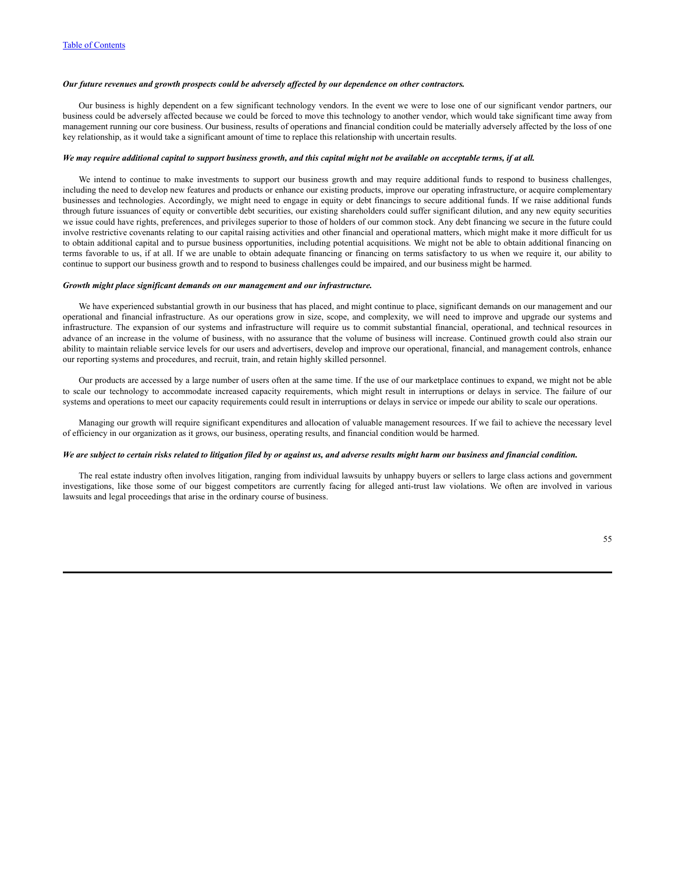## Our future revenues and growth prospects could be adversely affected by our dependence on other contractors.

Our business is highly dependent on a few significant technology vendors. In the event we were to lose one of our significant vendor partners, our business could be adversely affected because we could be forced to move this technology to another vendor, which would take significant time away from management running our core business. Our business, results of operations and financial condition could be materially adversely affected by the loss of one key relationship, as it would take a significant amount of time to replace this relationship with uncertain results.

### We may require additional capital to support business growth, and this capital might not be available on acceptable terms, if at all.

We intend to continue to make investments to support our business growth and may require additional funds to respond to business challenges, including the need to develop new features and products or enhance our existing products, improve our operating infrastructure, or acquire complementary businesses and technologies. Accordingly, we might need to engage in equity or debt financings to secure additional funds. If we raise additional funds through future issuances of equity or convertible debt securities, our existing shareholders could suffer significant dilution, and any new equity securities we issue could have rights, preferences, and privileges superior to those of holders of our common stock. Any debt financing we secure in the future could involve restrictive covenants relating to our capital raising activities and other financial and operational matters, which might make it more difficult for us to obtain additional capital and to pursue business opportunities, including potential acquisitions. We might not be able to obtain additional financing on terms favorable to us, if at all. If we are unable to obtain adequate financing or financing on terms satisfactory to us when we require it, our ability to continue to support our business growth and to respond to business challenges could be impaired, and our business might be harmed.

### *Growth might place significant demands on our management and our infrastructure.*

We have experienced substantial growth in our business that has placed, and might continue to place, significant demands on our management and our operational and financial infrastructure. As our operations grow in size, scope, and complexity, we will need to improve and upgrade our systems and infrastructure. The expansion of our systems and infrastructure will require us to commit substantial financial, operational, and technical resources in advance of an increase in the volume of business, with no assurance that the volume of business will increase. Continued growth could also strain our ability to maintain reliable service levels for our users and advertisers, develop and improve our operational, financial, and management controls, enhance our reporting systems and procedures, and recruit, train, and retain highly skilled personnel.

Our products are accessed by a large number of users often at the same time. If the use of our marketplace continues to expand, we might not be able to scale our technology to accommodate increased capacity requirements, which might result in interruptions or delays in service. The failure of our systems and operations to meet our capacity requirements could result in interruptions or delays in service or impede our ability to scale our operations.

Managing our growth will require significant expenditures and allocation of valuable management resources. If we fail to achieve the necessary level of efficiency in our organization as it grows, our business, operating results, and financial condition would be harmed.

### We are subject to certain risks related to litigation filed by or against us, and adverse results might harm our business and financial condition.

The real estate industry often involves litigation, ranging from individual lawsuits by unhappy buyers or sellers to large class actions and government investigations, like those some of our biggest competitors are currently facing for alleged anti-trust law violations. We often are involved in various lawsuits and legal proceedings that arise in the ordinary course of business.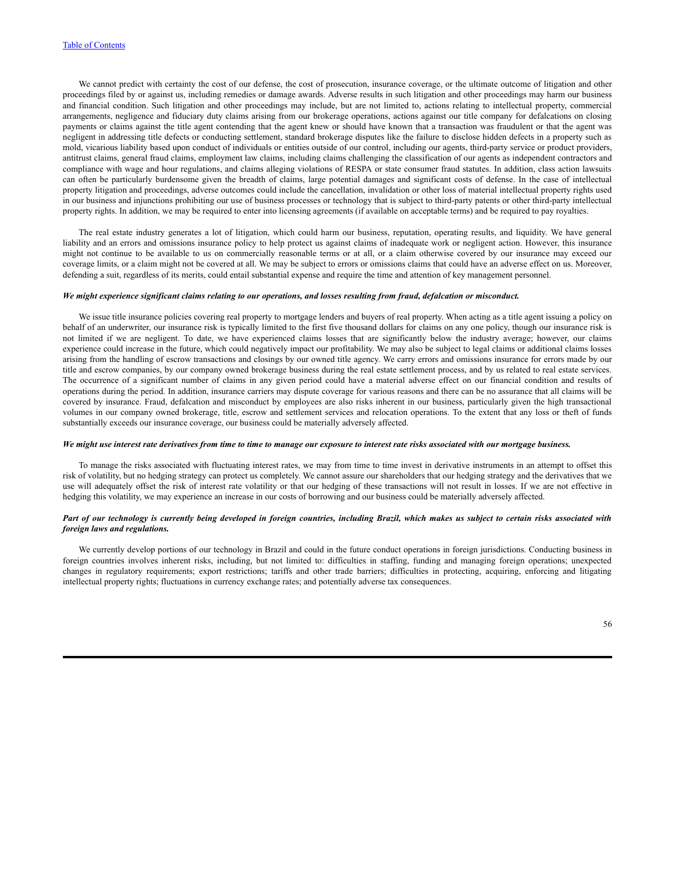We cannot predict with certainty the cost of our defense, the cost of prosecution, insurance coverage, or the ultimate outcome of litigation and other proceedings filed by or against us, including remedies or damage awards. Adverse results in such litigation and other proceedings may harm our business and financial condition. Such litigation and other proceedings may include, but are not limited to, actions relating to intellectual property, commercial arrangements, negligence and fiduciary duty claims arising from our brokerage operations, actions against our title company for defalcations on closing payments or claims against the title agent contending that the agent knew or should have known that a transaction was fraudulent or that the agent was negligent in addressing title defects or conducting settlement, standard brokerage disputes like the failure to disclose hidden defects in a property such as mold, vicarious liability based upon conduct of individuals or entities outside of our control, including our agents, third-party service or product providers, antitrust claims, general fraud claims, employment law claims, including claims challenging the classification of our agents as independent contractors and compliance with wage and hour regulations, and claims alleging violations of RESPA or state consumer fraud statutes. In addition, class action lawsuits can often be particularly burdensome given the breadth of claims, large potential damages and significant costs of defense. In the case of intellectual property litigation and proceedings, adverse outcomes could include the cancellation, invalidation or other loss of material intellectual property rights used in our business and injunctions prohibiting our use of business processes or technology that is subject to third-party patents or other third-party intellectual property rights. In addition, we may be required to enter into licensing agreements (if available on acceptable terms) and be required to pay royalties.

The real estate industry generates a lot of litigation, which could harm our business, reputation, operating results, and liquidity. We have general liability and an errors and omissions insurance policy to help protect us against claims of inadequate work or negligent action. However, this insurance might not continue to be available to us on commercially reasonable terms or at all, or a claim otherwise covered by our insurance may exceed our coverage limits, or a claim might not be covered at all. We may be subject to errors or omissions claims that could have an adverse effect on us. Moreover, defending a suit, regardless of its merits, could entail substantial expense and require the time and attention of key management personnel.

## We might experience significant claims relating to our operations, and losses resulting from fraud, defalcation or misconduct.

We issue title insurance policies covering real property to mortgage lenders and buyers of real property. When acting as a title agent issuing a policy on behalf of an underwriter, our insurance risk is typically limited to the first five thousand dollars for claims on any one policy, though our insurance risk is not limited if we are negligent. To date, we have experienced claims losses that are significantly below the industry average; however, our claims experience could increase in the future, which could negatively impact our profitability. We may also be subject to legal claims or additional claims losses arising from the handling of escrow transactions and closings by our owned title agency. We carry errors and omissions insurance for errors made by our title and escrow companies, by our company owned brokerage business during the real estate settlement process, and by us related to real estate services. The occurrence of a significant number of claims in any given period could have a material adverse effect on our financial condition and results of operations during the period. In addition, insurance carriers may dispute coverage for various reasons and there can be no assurance that all claims will be covered by insurance. Fraud, defalcation and misconduct by employees are also risks inherent in our business, particularly given the high transactional volumes in our company owned brokerage, title, escrow and settlement services and relocation operations. To the extent that any loss or theft of funds substantially exceeds our insurance coverage, our business could be materially adversely affected.

#### We might use interest rate derivatives from time to time to manage our exposure to interest rate risks associated with our mortgage business.

To manage the risks associated with fluctuating interest rates, we may from time to time invest in derivative instruments in an attempt to offset this risk of volatility, but no hedging strategy can protect us completely. We cannot assure our shareholders that our hedging strategy and the derivatives that we use will adequately offset the risk of interest rate volatility or that our hedging of these transactions will not result in losses. If we are not effective in hedging this volatility, we may experience an increase in our costs of borrowing and our business could be materially adversely affected.

## Part of our technology is currently being developed in foreign countries, including Brazil, which makes us subject to certain risks associated with *foreign laws and regulations.*

We currently develop portions of our technology in Brazil and could in the future conduct operations in foreign jurisdictions. Conducting business in foreign countries involves inherent risks, including, but not limited to: difficulties in staffing, funding and managing foreign operations; unexpected changes in regulatory requirements; export restrictions; tariffs and other trade barriers; difficulties in protecting, acquiring, enforcing and litigating intellectual property rights; fluctuations in currency exchange rates; and potentially adverse tax consequences.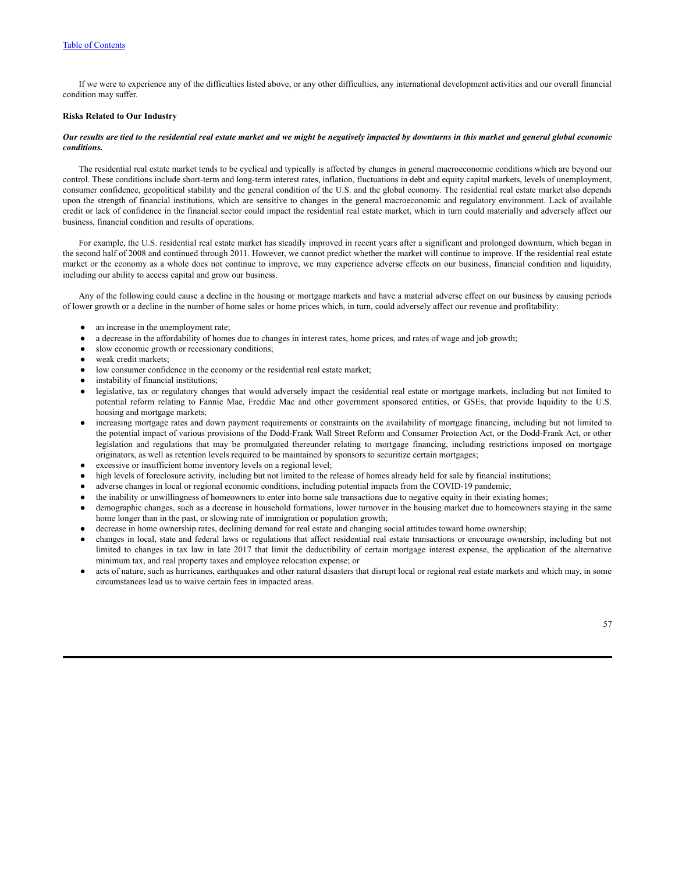If we were to experience any of the difficulties listed above, or any other difficulties, any international development activities and our overall financial condition may suffer.

### **Risks Related to Our Industry**

#### Our results are tied to the residential real estate market and we might be negatively impacted by downturns in this market and general global economic *conditions.*

The residential real estate market tends to be cyclical and typically is affected by changes in general macroeconomic conditions which are beyond our control. These conditions include short-term and long-term interest rates, inflation, fluctuations in debt and equity capital markets, levels of unemployment, consumer confidence, geopolitical stability and the general condition of the U.S. and the global economy. The residential real estate market also depends upon the strength of financial institutions, which are sensitive to changes in the general macroeconomic and regulatory environment. Lack of available credit or lack of confidence in the financial sector could impact the residential real estate market, which in turn could materially and adversely affect our business, financial condition and results of operations.

For example, the U.S. residential real estate market has steadily improved in recent years after a significant and prolonged downturn, which began in the second half of 2008 and continued through 2011. However, we cannot predict whether the market will continue to improve. If the residential real estate market or the economy as a whole does not continue to improve, we may experience adverse effects on our business, financial condition and liquidity, including our ability to access capital and grow our business.

Any of the following could cause a decline in the housing or mortgage markets and have a material adverse effect on our business by causing periods of lower growth or a decline in the number of home sales or home prices which, in turn, could adversely affect our revenue and profitability:

- an increase in the unemployment rate;
- a decrease in the affordability of homes due to changes in interest rates, home prices, and rates of wage and job growth;
- slow economic growth or recessionary conditions;
- weak credit markets;
- low consumer confidence in the economy or the residential real estate market;
- instability of financial institutions;
- legislative, tax or regulatory changes that would adversely impact the residential real estate or mortgage markets, including but not limited to potential reform relating to Fannie Mae, Freddie Mac and other government sponsored entities, or GSEs, that provide liquidity to the U.S. housing and mortgage markets;
- increasing mortgage rates and down payment requirements or constraints on the availability of mortgage financing, including but not limited to the potential impact of various provisions of the Dodd-Frank Wall Street Reform and Consumer Protection Act, or the Dodd-Frank Act, or other legislation and regulations that may be promulgated thereunder relating to mortgage financing, including restrictions imposed on mortgage originators, as well as retention levels required to be maintained by sponsors to securitize certain mortgages;
- excessive or insufficient home inventory levels on a regional level;
- high levels of foreclosure activity, including but not limited to the release of homes already held for sale by financial institutions;
- adverse changes in local or regional economic conditions, including potential impacts from the COVID-19 pandemic;
- the inability or unwillingness of homeowners to enter into home sale transactions due to negative equity in their existing homes;
- demographic changes, such as a decrease in household formations, lower turnover in the housing market due to homeowners staying in the same home longer than in the past, or slowing rate of immigration or population growth;
- decrease in home ownership rates, declining demand for real estate and changing social attitudes toward home ownership;
- changes in local, state and federal laws or regulations that affect residential real estate transactions or encourage ownership, including but not limited to changes in tax law in late 2017 that limit the deductibility of certain mortgage interest expense, the application of the alternative minimum tax, and real property taxes and employee relocation expense; or
- acts of nature, such as hurricanes, earthquakes and other natural disasters that disrupt local or regional real estate markets and which may, in some circumstances lead us to waive certain fees in impacted areas.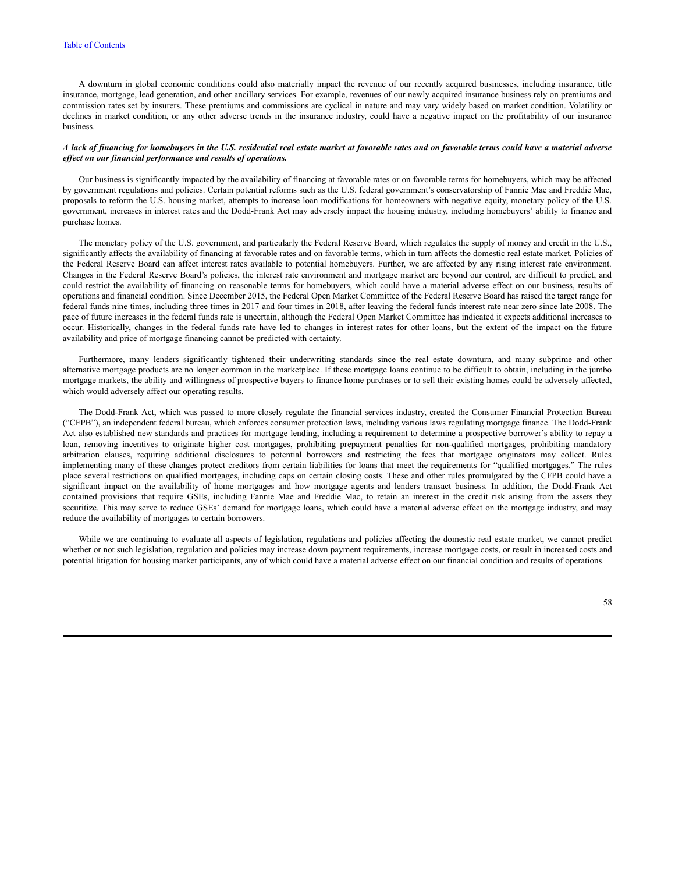A downturn in global economic conditions could also materially impact the revenue of our recently acquired businesses, including insurance, title insurance, mortgage, lead generation, and other ancillary services. For example, revenues of our newly acquired insurance business rely on premiums and commission rates set by insurers. These premiums and commissions are cyclical in nature and may vary widely based on market condition. Volatility or declines in market condition, or any other adverse trends in the insurance industry, could have a negative impact on the profitability of our insurance business.

### A lack of financing for homebuyers in the U.S. residential real estate market at favorable rates and on favorable terms could have a material adverse *ef ect on our financial performance and results of operations.*

Our business is significantly impacted by the availability of financing at favorable rates or on favorable terms for homebuyers, which may be affected by government regulations and policies. Certain potential reforms such as the U.S. federal government's conservatorship of Fannie Mae and Freddie Mac, proposals to reform the U.S. housing market, attempts to increase loan modifications for homeowners with negative equity, monetary policy of the U.S. government, increases in interest rates and the Dodd-Frank Act may adversely impact the housing industry, including homebuyers' ability to finance and purchase homes.

The monetary policy of the U.S. government, and particularly the Federal Reserve Board, which regulates the supply of money and credit in the U.S., significantly affects the availability of financing at favorable rates and on favorable terms, which in turn affects the domestic real estate market. Policies of the Federal Reserve Board can affect interest rates available to potential homebuyers. Further, we are affected by any rising interest rate environment. Changes in the Federal Reserve Board's policies, the interest rate environment and mortgage market are beyond our control, are difficult to predict, and could restrict the availability of financing on reasonable terms for homebuyers, which could have a material adverse effect on our business, results of operations and financial condition. Since December 2015, the Federal Open Market Committee of the Federal Reserve Board has raised the target range for federal funds nine times, including three times in 2017 and four times in 2018, after leaving the federal funds interest rate near zero since late 2008. The pace of future increases in the federal funds rate is uncertain, although the Federal Open Market Committee has indicated it expects additional increases to occur. Historically, changes in the federal funds rate have led to changes in interest rates for other loans, but the extent of the impact on the future availability and price of mortgage financing cannot be predicted with certainty.

Furthermore, many lenders significantly tightened their underwriting standards since the real estate downturn, and many subprime and other alternative mortgage products are no longer common in the marketplace. If these mortgage loans continue to be difficult to obtain, including in the jumbo mortgage markets, the ability and willingness of prospective buyers to finance home purchases or to sell their existing homes could be adversely affected, which would adversely affect our operating results.

The Dodd-Frank Act, which was passed to more closely regulate the financial services industry, created the Consumer Financial Protection Bureau ("CFPB"), an independent federal bureau, which enforces consumer protection laws, including various laws regulating mortgage finance. The Dodd-Frank Act also established new standards and practices for mortgage lending, including a requirement to determine a prospective borrower's ability to repay a loan, removing incentives to originate higher cost mortgages, prohibiting prepayment penalties for non-qualified mortgages, prohibiting mandatory arbitration clauses, requiring additional disclosures to potential borrowers and restricting the fees that mortgage originators may collect. Rules implementing many of these changes protect creditors from certain liabilities for loans that meet the requirements for "qualified mortgages." The rules place several restrictions on qualified mortgages, including caps on certain closing costs. These and other rules promulgated by the CFPB could have a significant impact on the availability of home mortgages and how mortgage agents and lenders transact business. In addition, the Dodd-Frank Act contained provisions that require GSEs, including Fannie Mae and Freddie Mac, to retain an interest in the credit risk arising from the assets they securitize. This may serve to reduce GSEs' demand for mortgage loans, which could have a material adverse effect on the mortgage industry, and may reduce the availability of mortgages to certain borrowers.

While we are continuing to evaluate all aspects of legislation, regulations and policies affecting the domestic real estate market, we cannot predict whether or not such legislation, regulation and policies may increase down payment requirements, increase mortgage costs, or result in increased costs and potential litigation for housing market participants, any of which could have a material adverse effect on our financial condition and results of operations.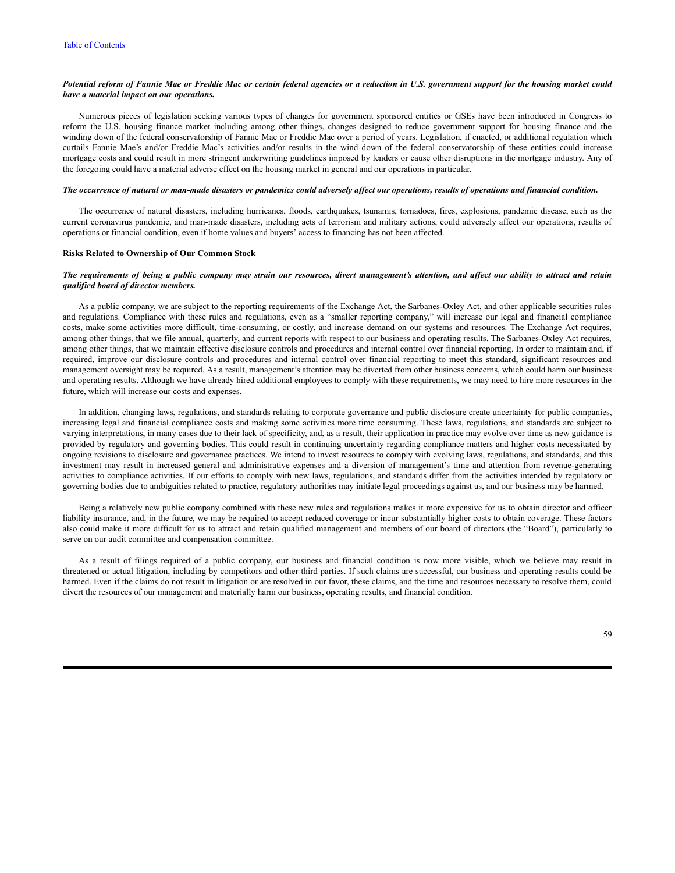## Potential reform of Fannie Mae or Freddie Mac or certain federal agencies or a reduction in U.S. government support for the housing market could *have a material impact on our operations.*

Numerous pieces of legislation seeking various types of changes for government sponsored entities or GSEs have been introduced in Congress to reform the U.S. housing finance market including among other things, changes designed to reduce government support for housing finance and the winding down of the federal conservatorship of Fannie Mae or Freddie Mac over a period of years. Legislation, if enacted, or additional regulation which curtails Fannie Mae's and/or Freddie Mac's activities and/or results in the wind down of the federal conservatorship of these entities could increase mortgage costs and could result in more stringent underwriting guidelines imposed by lenders or cause other disruptions in the mortgage industry. Any of the foregoing could have a material adverse effect on the housing market in general and our operations in particular.

## The occurrence of natural or man-made disasters or pandemics could adversely affect our operations, results of operations and financial condition.

The occurrence of natural disasters, including hurricanes, floods, earthquakes, tsunamis, tornadoes, fires, explosions, pandemic disease, such as the current coronavirus pandemic, and man-made disasters, including acts of terrorism and military actions, could adversely affect our operations, results of operations or financial condition, even if home values and buyers' access to financing has not been affected.

### **Risks Related to Ownership of Our Common Stock**

### The requirements of being a public company may strain our resources, divert management's attention, and affect our ability to attract and retain *qualified board of director members.*

As a public company, we are subject to the reporting requirements of the Exchange Act, the Sarbanes-Oxley Act, and other applicable securities rules and regulations. Compliance with these rules and regulations, even as a "smaller reporting company," will increase our legal and financial compliance costs, make some activities more difficult, time-consuming, or costly, and increase demand on our systems and resources. The Exchange Act requires, among other things, that we file annual, quarterly, and current reports with respect to our business and operating results. The Sarbanes-Oxley Act requires, among other things, that we maintain effective disclosure controls and procedures and internal control over financial reporting. In order to maintain and, if required, improve our disclosure controls and procedures and internal control over financial reporting to meet this standard, significant resources and management oversight may be required. As a result, management's attention may be diverted from other business concerns, which could harm our business and operating results. Although we have already hired additional employees to comply with these requirements, we may need to hire more resources in the future, which will increase our costs and expenses.

In addition, changing laws, regulations, and standards relating to corporate governance and public disclosure create uncertainty for public companies, increasing legal and financial compliance costs and making some activities more time consuming. These laws, regulations, and standards are subject to varying interpretations, in many cases due to their lack of specificity, and, as a result, their application in practice may evolve over time as new guidance is provided by regulatory and governing bodies. This could result in continuing uncertainty regarding compliance matters and higher costs necessitated by ongoing revisions to disclosure and governance practices. We intend to invest resources to comply with evolving laws, regulations, and standards, and this investment may result in increased general and administrative expenses and a diversion of management's time and attention from revenue-generating activities to compliance activities. If our efforts to comply with new laws, regulations, and standards differ from the activities intended by regulatory or governing bodies due to ambiguities related to practice, regulatory authorities may initiate legal proceedings against us, and our business may be harmed.

Being a relatively new public company combined with these new rules and regulations makes it more expensive for us to obtain director and officer liability insurance, and, in the future, we may be required to accept reduced coverage or incur substantially higher costs to obtain coverage. These factors also could make it more difficult for us to attract and retain qualified management and members of our board of directors (the "Board"), particularly to serve on our audit committee and compensation committee.

As a result of filings required of a public company, our business and financial condition is now more visible, which we believe may result in threatened or actual litigation, including by competitors and other third parties. If such claims are successful, our business and operating results could be harmed. Even if the claims do not result in litigation or are resolved in our favor, these claims, and the time and resources necessary to resolve them, could divert the resources of our management and materially harm our business, operating results, and financial condition.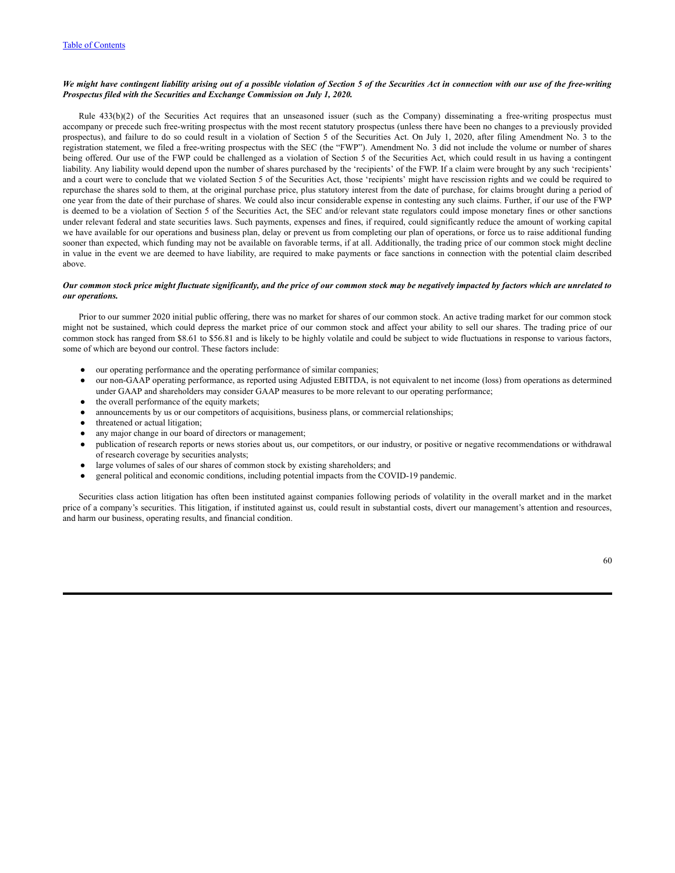## We might have contingent liability arising out of a possible violation of Section 5 of the Securities Act in connection with our use of the free-writing *Prospectus filed with the Securities and Exchange Commission on July 1, 2020.*

Rule 433(b)(2) of the Securities Act requires that an unseasoned issuer (such as the Company) disseminating a free-writing prospectus must accompany or precede such free-writing prospectus with the most recent statutory prospectus (unless there have been no changes to a previously provided prospectus), and failure to do so could result in a violation of Section 5 of the Securities Act. On July 1, 2020, after filing Amendment No. 3 to the registration statement, we filed a free-writing prospectus with the SEC (the "FWP"). Amendment No. 3 did not include the volume or number of shares being offered. Our use of the FWP could be challenged as a violation of Section 5 of the Securities Act, which could result in us having a contingent liability. Any liability would depend upon the number of shares purchased by the 'recipients' of the FWP. If a claim were brought by any such 'recipients' and a court were to conclude that we violated Section 5 of the Securities Act, those 'recipients' might have rescission rights and we could be required to repurchase the shares sold to them, at the original purchase price, plus statutory interest from the date of purchase, for claims brought during a period of one year from the date of their purchase of shares. We could also incur considerable expense in contesting any such claims. Further, if our use of the FWP is deemed to be a violation of Section 5 of the Securities Act, the SEC and/or relevant state regulators could impose monetary fines or other sanctions under relevant federal and state securities laws. Such payments, expenses and fines, if required, could significantly reduce the amount of working capital we have available for our operations and business plan, delay or prevent us from completing our plan of operations, or force us to raise additional funding sooner than expected, which funding may not be available on favorable terms, if at all. Additionally, the trading price of our common stock might decline in value in the event we are deemed to have liability, are required to make payments or face sanctions in connection with the potential claim described above.

## Our common stock price might fluctuate significantly, and the price of our common stock may be negatively impacted by factors which are unrelated to *our operations.*

Prior to our summer 2020 initial public offering, there was no market for shares of our common stock. An active trading market for our common stock might not be sustained, which could depress the market price of our common stock and affect your ability to sell our shares. The trading price of our common stock has ranged from \$8.61 to \$56.81 and is likely to be highly volatile and could be subject to wide fluctuations in response to various factors, some of which are beyond our control. These factors include:

- our operating performance and the operating performance of similar companies;
- our non-GAAP operating performance, as reported using Adjusted EBITDA, is not equivalent to net income (loss) from operations as determined under GAAP and shareholders may consider GAAP measures to be more relevant to our operating performance;
- the overall performance of the equity markets;
- announcements by us or our competitors of acquisitions, business plans, or commercial relationships;
- threatened or actual litigation;
- any major change in our board of directors or management;
- publication of research reports or news stories about us, our competitors, or our industry, or positive or negative recommendations or withdrawal of research coverage by securities analysts;
- large volumes of sales of our shares of common stock by existing shareholders; and
- general political and economic conditions, including potential impacts from the COVID-19 pandemic.

Securities class action litigation has often been instituted against companies following periods of volatility in the overall market and in the market price of a company's securities. This litigation, if instituted against us, could result in substantial costs, divert our management's attention and resources, and harm our business, operating results, and financial condition.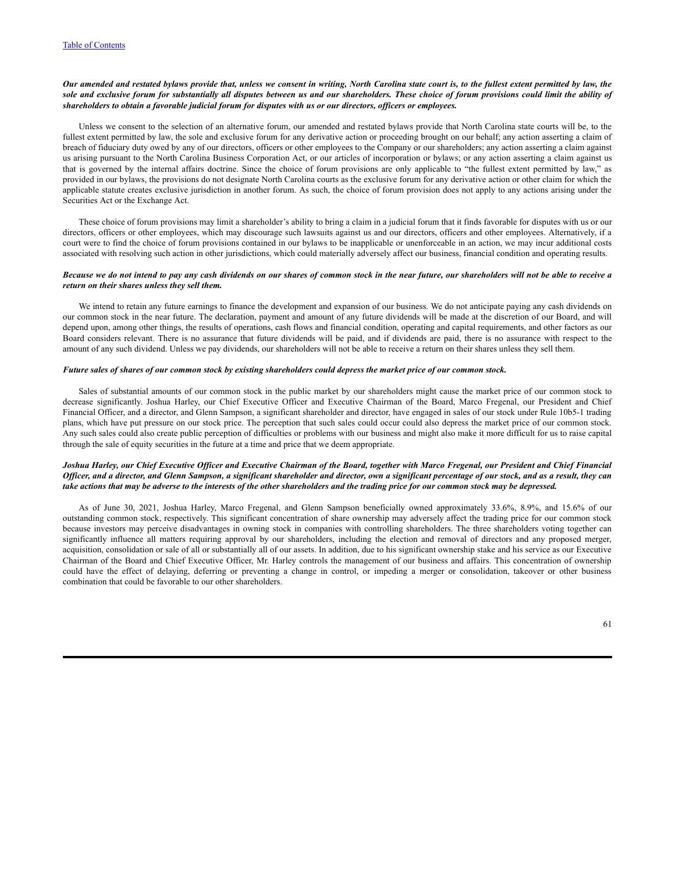## Our amended and restated bylaws provide that, unless we consent in writing, North Carolina state court is, to the fullest extent permitted by law, the sole and exclusive forum for substantially all disputes between us and our shareholders. These choice of forum provisions could limit the ability of shareholders to obtain a favorable judicial forum for disputes with us or our directors, officers or employees.

Unless we consent to the selection of an alternative forum, our amended and restated bylaws provide that North Carolina state courts will be, to the fullest extent permitted by law, the sole and exclusive forum for any derivative action or proceeding brought on our behalf; any action asserting a claim of breach of fiduciary duty owed by any of our directors, officers or other employees to the Company or our shareholders; any action asserting a claim against us arising pursuant to the North Carolina Business Corporation Act, or our articles of incorporation or bylaws; or any action asserting a claim against us that is governed by the internal affairs doctrine. Since the choice of forum provisions are only applicable to "the fullest extent permitted by law," as provided in our bylaws, the provisions do not designate North Carolina courts as the exclusive forum for any derivative action or other claim for which the applicable statute creates exclusive jurisdiction in another forum. As such, the choice of forum provision does not apply to any actions arising under the Securities Act or the Exchange Act.

These choice of forum provisions may limit a shareholder's ability to bring a claim in a judicial forum that it finds favorable for disputes with us or our directors, officers or other employees, which may discourage such lawsuits against us and our directors, officers and other employees. Alternatively, if a court were to find the choice of forum provisions contained in our bylaws to be inapplicable or unenforceable in an action, we may incur additional costs associated with resolving such action in other jurisdictions, which could materially adversely affect our business, financial condition and operating results.

### Because we do not intend to pay any cash dividends on our shares of common stock in the near future, our shareholders will not be able to receive a *return on their shares unless they sell them.*

We intend to retain any future earnings to finance the development and expansion of our business. We do not anticipate paying any cash dividends on our common stock in the near future. The declaration, payment and amount of any future dividends will be made at the discretion of our Board, and will depend upon, among other things, the results of operations, cash flows and financial condition, operating and capital requirements, and other factors as our Board considers relevant. There is no assurance that future dividends will be paid, and if dividends are paid, there is no assurance with respect to the amount of any such dividend. Unless we pay dividends, our shareholders will not be able to receive a return on their shares unless they sell them.

## Future sales of shares of our common stock by existing shareholders could depress the market price of our common stock.

Sales of substantial amounts of our common stock in the public market by our shareholders might cause the market price of our common stock to decrease significantly. Joshua Harley, our Chief Executive Officer and Executive Chairman of the Board, Marco Fregenal, our President and Chief Financial Officer, and a director, and Glenn Sampson, a significant shareholder and director, have engaged in sales of our stock under Rule 10b5-1 trading plans, which have put pressure on our stock price. The perception that such sales could occur could also depress the market price of our common stock. Any such sales could also create public perception of difficulties or problems with our business and might also make it more difficult for us to raise capital through the sale of equity securities in the future at a time and price that we deem appropriate.

## Joshua Harley, our Chief Executive Officer and Executive Chairman of the Board, together with Marco Fregenal, our President and Chief Financial Officer, and a director, and Glenn Sampson, a significant shareholder and director, own a significant percentage of our stock, and as a result, they can take actions that may be adverse to the interests of the other shareholders and the trading price for our common stock may be depressed.

As of June 30, 2021, Joshua Harley, Marco Fregenal, and Glenn Sampson beneficially owned approximately 33.6%, 8.9%, and 15.6% of our outstanding common stock, respectively. This significant concentration of share ownership may adversely affect the trading price for our common stock because investors may perceive disadvantages in owning stock in companies with controlling shareholders. The three shareholders voting together can significantly influence all matters requiring approval by our shareholders, including the election and removal of directors and any proposed merger, acquisition, consolidation or sale of all or substantially all of our assets. In addition, due to his significant ownership stake and his service as our Executive Chairman of the Board and Chief Executive Officer, Mr. Harley controls the management of our business and affairs. This concentration of ownership could have the effect of delaying, deferring or preventing a change in control, or impeding a merger or consolidation, takeover or other business combination that could be favorable to our other shareholders.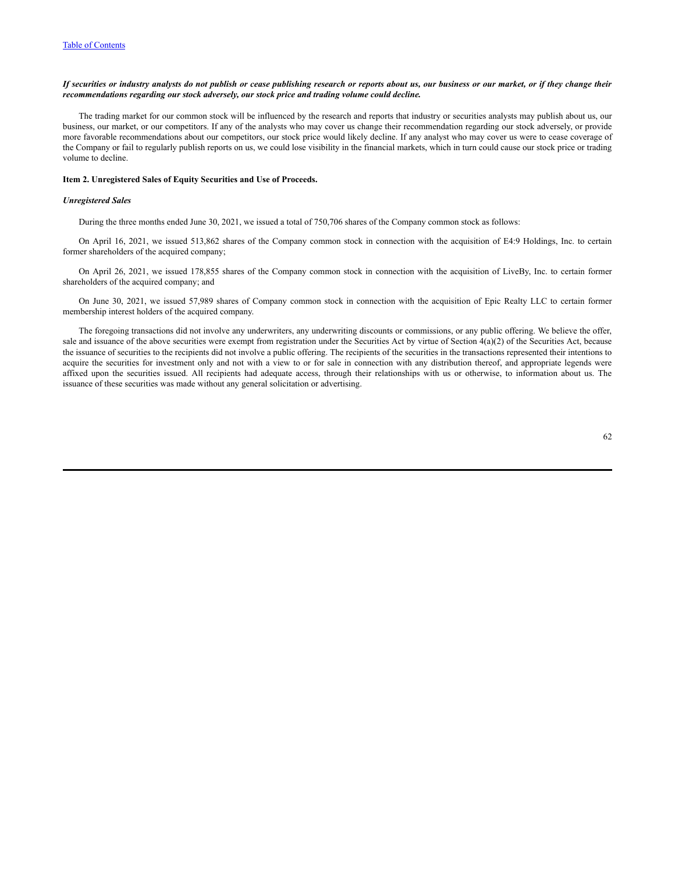## If securities or industry analysts do not publish or cease publishing research or reports about us, our business or our market, or if they change their *recommendations regarding our stock adversely, our stock price and trading volume could decline.*

The trading market for our common stock will be influenced by the research and reports that industry or securities analysts may publish about us, our business, our market, or our competitors. If any of the analysts who may cover us change their recommendation regarding our stock adversely, or provide more favorable recommendations about our competitors, our stock price would likely decline. If any analyst who may cover us were to cease coverage of the Company or fail to regularly publish reports on us, we could lose visibility in the financial markets, which in turn could cause our stock price or trading volume to decline.

## <span id="page-61-0"></span>**Item 2. Unregistered Sales of Equity Securities and Use of Proceeds.**

## *Unregistered Sales*

During the three months ended June 30, 2021, we issued a total of 750,706 shares of the Company common stock as follows:

On April 16, 2021, we issued 513,862 shares of the Company common stock in connection with the acquisition of E4:9 Holdings, Inc. to certain former shareholders of the acquired company;

On April 26, 2021, we issued 178,855 shares of the Company common stock in connection with the acquisition of LiveBy, Inc. to certain former shareholders of the acquired company; and

On June 30, 2021, we issued 57,989 shares of Company common stock in connection with the acquisition of Epic Realty LLC to certain former membership interest holders of the acquired company.

The foregoing transactions did not involve any underwriters, any underwriting discounts or commissions, or any public offering. We believe the offer, sale and issuance of the above securities were exempt from registration under the Securities Act by virtue of Section  $4(a)(2)$  of the Securities Act, because the issuance of securities to the recipients did not involve a public offering. The recipients of the securities in the transactions represented their intentions to acquire the securities for investment only and not with a view to or for sale in connection with any distribution thereof, and appropriate legends were affixed upon the securities issued. All recipients had adequate access, through their relationships with us or otherwise, to information about us. The issuance of these securities was made without any general solicitation or advertising.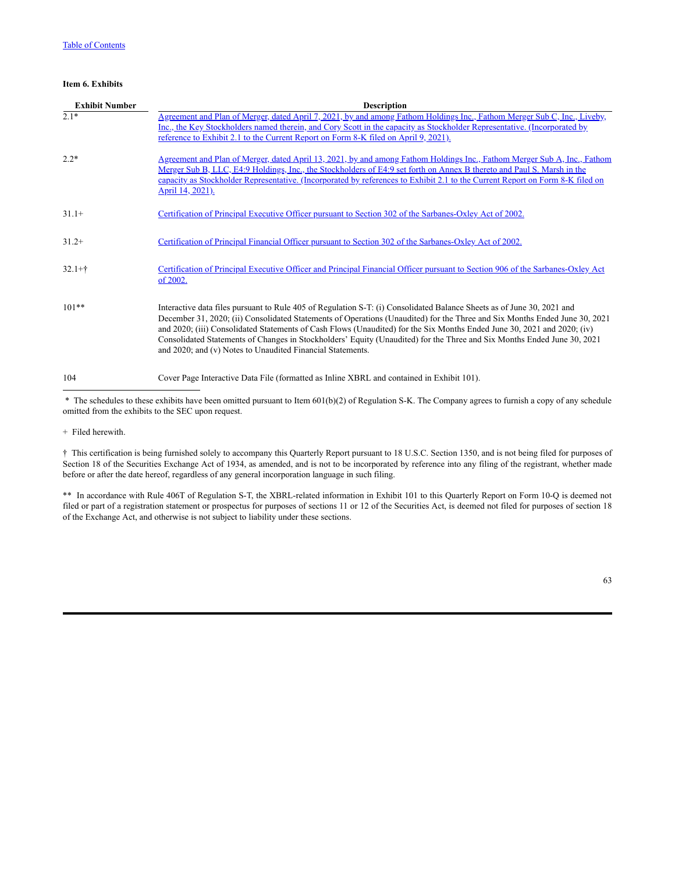# <span id="page-62-0"></span>**Item 6. Exhibits**

| <b>Exhibit Number</b> | <b>Description</b>                                                                                                                                                                                                                                                                                                                                                                                                                                                                                                                                                       |
|-----------------------|--------------------------------------------------------------------------------------------------------------------------------------------------------------------------------------------------------------------------------------------------------------------------------------------------------------------------------------------------------------------------------------------------------------------------------------------------------------------------------------------------------------------------------------------------------------------------|
| $2.1*$                | Agreement and Plan of Merger, dated April 7, 2021, by and among Fathom Holdings Inc., Fathom Merger Sub C, Inc., Liveby,<br>Inc., the Key Stockholders named therein, and Cory Scott in the capacity as Stockholder Representative. (Incorporated by<br>reference to Exhibit 2.1 to the Current Report on Form 8-K filed on April 9, 2021).                                                                                                                                                                                                                              |
| $2.2*$                | Agreement and Plan of Merger, dated April 13, 2021, by and among Fathom Holdings Inc., Fathom Merger Sub A, Inc., Fathom<br>Merger Sub B, LLC, E4:9 Holdings, Inc., the Stockholders of E4:9 set forth on Annex B thereto and Paul S. Marsh in the<br>capacity as Stockholder Representative. (Incorporated by references to Exhibit 2.1 to the Current Report on Form 8-K filed on<br>April 14, 2021).                                                                                                                                                                  |
| $31.1+$               | Certification of Principal Executive Officer pursuant to Section 302 of the Sarbanes-Oxley Act of 2002.                                                                                                                                                                                                                                                                                                                                                                                                                                                                  |
| $31.2+$               | Certification of Principal Financial Officer pursuant to Section 302 of the Sarbanes-Oxley Act of 2002.                                                                                                                                                                                                                                                                                                                                                                                                                                                                  |
| $32.1 +$ †            | Certification of Principal Executive Officer and Principal Financial Officer pursuant to Section 906 of the Sarbanes-Oxley Act<br>of 2002.                                                                                                                                                                                                                                                                                                                                                                                                                               |
| $101**$               | Interactive data files pursuant to Rule 405 of Regulation S-T: (i) Consolidated Balance Sheets as of June 30, 2021 and<br>December 31, 2020; (ii) Consolidated Statements of Operations (Unaudited) for the Three and Six Months Ended June 30, 2021<br>and 2020; (iii) Consolidated Statements of Cash Flows (Unaudited) for the Six Months Ended June 30, 2021 and 2020; (iv)<br>Consolidated Statements of Changes in Stockholders' Equity (Unaudited) for the Three and Six Months Ended June 30, 2021<br>and 2020; and (v) Notes to Unaudited Financial Statements. |
| 104                   | Cover Page Interactive Data File (formatted as Inline XBRL and contained in Exhibit 101).                                                                                                                                                                                                                                                                                                                                                                                                                                                                                |

\* The schedules to these exhibits have been omitted pursuant to Item 601(b)(2) of Regulation S-K. The Company agrees to furnish a copy of any schedule omitted from the exhibits to the SEC upon request.

+ Filed herewith.

† This certification is being furnished solely to accompany this Quarterly Report pursuant to 18 U.S.C. Section 1350, and is not being filed for purposes of Section 18 of the Securities Exchange Act of 1934, as amended, and is not to be incorporated by reference into any filing of the registrant, whether made before or after the date hereof, regardless of any general incorporation language in such filing.

\*\* In accordance with Rule 406T of Regulation S-T, the XBRL-related information in Exhibit 101 to this Quarterly Report on Form 10-Q is deemed not filed or part of a registration statement or prospectus for purposes of sections 11 or 12 of the Securities Act, is deemed not filed for purposes of section 18 of the Exchange Act, and otherwise is not subject to liability under these sections.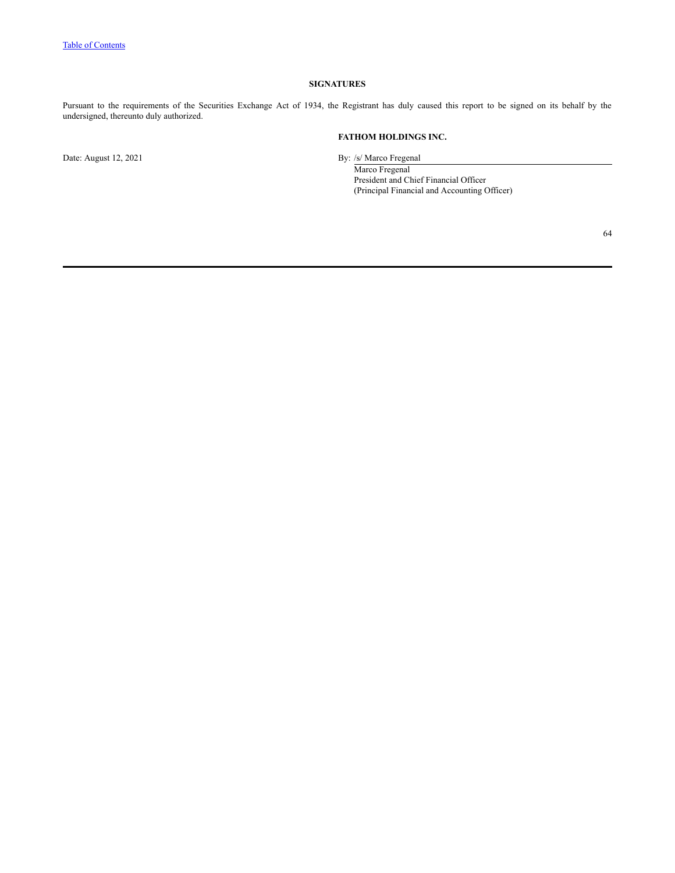## **SIGNATURES**

<span id="page-63-0"></span>Pursuant to the requirements of the Securities Exchange Act of 1934, the Registrant has duly caused this report to be signed on its behalf by the undersigned, thereunto duly authorized.

# **FATHOM HOLDINGS INC.**

Date: August 12, 2021 By: /s/ Marco Fregenal

Marco Fregenal President and Chief Financial Officer (Principal Financial and Accounting Officer)

64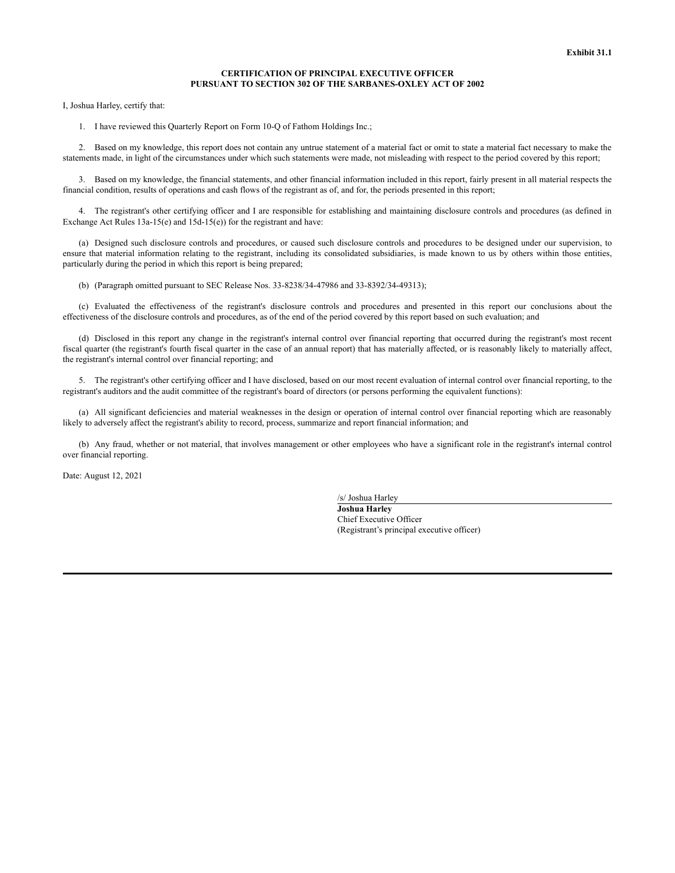### **CERTIFICATION OF PRINCIPAL EXECUTIVE OFFICER PURSUANT TO SECTION 302 OF THE SARBANES-OXLEY ACT OF 2002**

I, Joshua Harley, certify that:

1. I have reviewed this Quarterly Report on Form 10-Q of Fathom Holdings Inc.;

2. Based on my knowledge, this report does not contain any untrue statement of a material fact or omit to state a material fact necessary to make the statements made, in light of the circumstances under which such statements were made, not misleading with respect to the period covered by this report;

3. Based on my knowledge, the financial statements, and other financial information included in this report, fairly present in all material respects the financial condition, results of operations and cash flows of the registrant as of, and for, the periods presented in this report;

4. The registrant's other certifying officer and I are responsible for establishing and maintaining disclosure controls and procedures (as defined in Exchange Act Rules 13a-15(e) and 15d-15(e)) for the registrant and have:

(a) Designed such disclosure controls and procedures, or caused such disclosure controls and procedures to be designed under our supervision, to ensure that material information relating to the registrant, including its consolidated subsidiaries, is made known to us by others within those entities, particularly during the period in which this report is being prepared;

(b) (Paragraph omitted pursuant to SEC Release Nos. 33-8238/34-47986 and 33-8392/34-49313);

(c) Evaluated the effectiveness of the registrant's disclosure controls and procedures and presented in this report our conclusions about the effectiveness of the disclosure controls and procedures, as of the end of the period covered by this report based on such evaluation; and

(d) Disclosed in this report any change in the registrant's internal control over financial reporting that occurred during the registrant's most recent fiscal quarter (the registrant's fourth fiscal quarter in the case of an annual report) that has materially affected, or is reasonably likely to materially affect, the registrant's internal control over financial reporting; and

5. The registrant's other certifying officer and I have disclosed, based on our most recent evaluation of internal control over financial reporting, to the registrant's auditors and the audit committee of the registrant's board of directors (or persons performing the equivalent functions):

(a) All significant deficiencies and material weaknesses in the design or operation of internal control over financial reporting which are reasonably likely to adversely affect the registrant's ability to record, process, summarize and report financial information; and

(b) Any fraud, whether or not material, that involves management or other employees who have a significant role in the registrant's internal control over financial reporting.

Date: August 12, 2021

/s/ Joshua Harley

**Joshua Harley** Chief Executive Officer (Registrant's principal executive officer)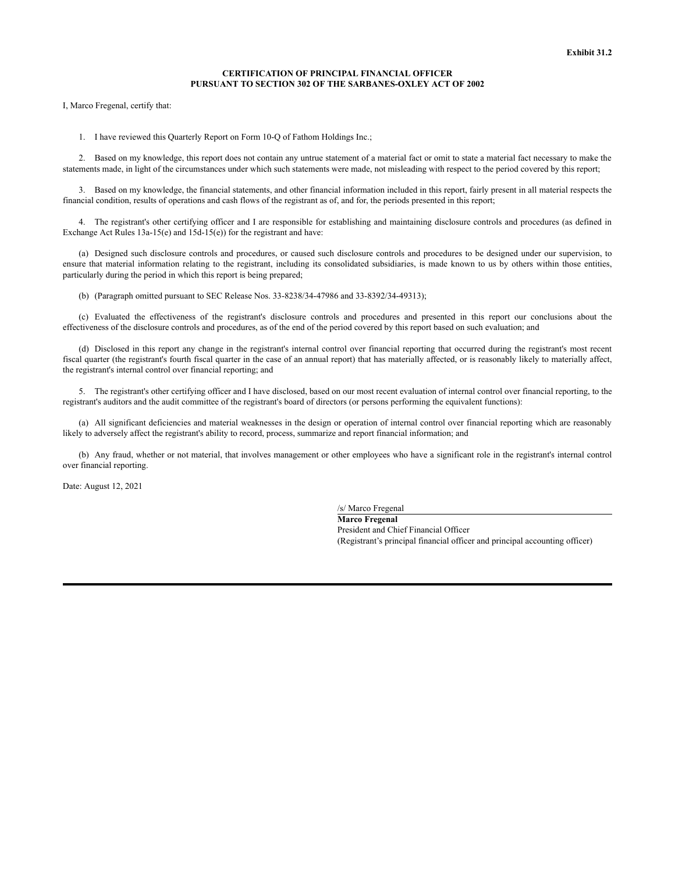### **CERTIFICATION OF PRINCIPAL FINANCIAL OFFICER PURSUANT TO SECTION 302 OF THE SARBANES-OXLEY ACT OF 2002**

I, Marco Fregenal, certify that:

1. I have reviewed this Quarterly Report on Form 10-Q of Fathom Holdings Inc.;

2. Based on my knowledge, this report does not contain any untrue statement of a material fact or omit to state a material fact necessary to make the statements made, in light of the circumstances under which such statements were made, not misleading with respect to the period covered by this report;

3. Based on my knowledge, the financial statements, and other financial information included in this report, fairly present in all material respects the financial condition, results of operations and cash flows of the registrant as of, and for, the periods presented in this report;

4. The registrant's other certifying officer and I are responsible for establishing and maintaining disclosure controls and procedures (as defined in Exchange Act Rules 13a-15(e) and 15d-15(e)) for the registrant and have:

(a) Designed such disclosure controls and procedures, or caused such disclosure controls and procedures to be designed under our supervision, to ensure that material information relating to the registrant, including its consolidated subsidiaries, is made known to us by others within those entities, particularly during the period in which this report is being prepared;

(b) (Paragraph omitted pursuant to SEC Release Nos. 33-8238/34-47986 and 33-8392/34-49313);

(c) Evaluated the effectiveness of the registrant's disclosure controls and procedures and presented in this report our conclusions about the effectiveness of the disclosure controls and procedures, as of the end of the period covered by this report based on such evaluation; and

(d) Disclosed in this report any change in the registrant's internal control over financial reporting that occurred during the registrant's most recent fiscal quarter (the registrant's fourth fiscal quarter in the case of an annual report) that has materially affected, or is reasonably likely to materially affect, the registrant's internal control over financial reporting; and

5. The registrant's other certifying officer and I have disclosed, based on our most recent evaluation of internal control over financial reporting, to the registrant's auditors and the audit committee of the registrant's board of directors (or persons performing the equivalent functions):

(a) All significant deficiencies and material weaknesses in the design or operation of internal control over financial reporting which are reasonably likely to adversely affect the registrant's ability to record, process, summarize and report financial information; and

(b) Any fraud, whether or not material, that involves management or other employees who have a significant role in the registrant's internal control over financial reporting.

Date: August 12, 2021

/s/ Marco Fregenal

**Marco Fregenal** President and Chief Financial Officer (Registrant's principal financial officer and principal accounting officer)